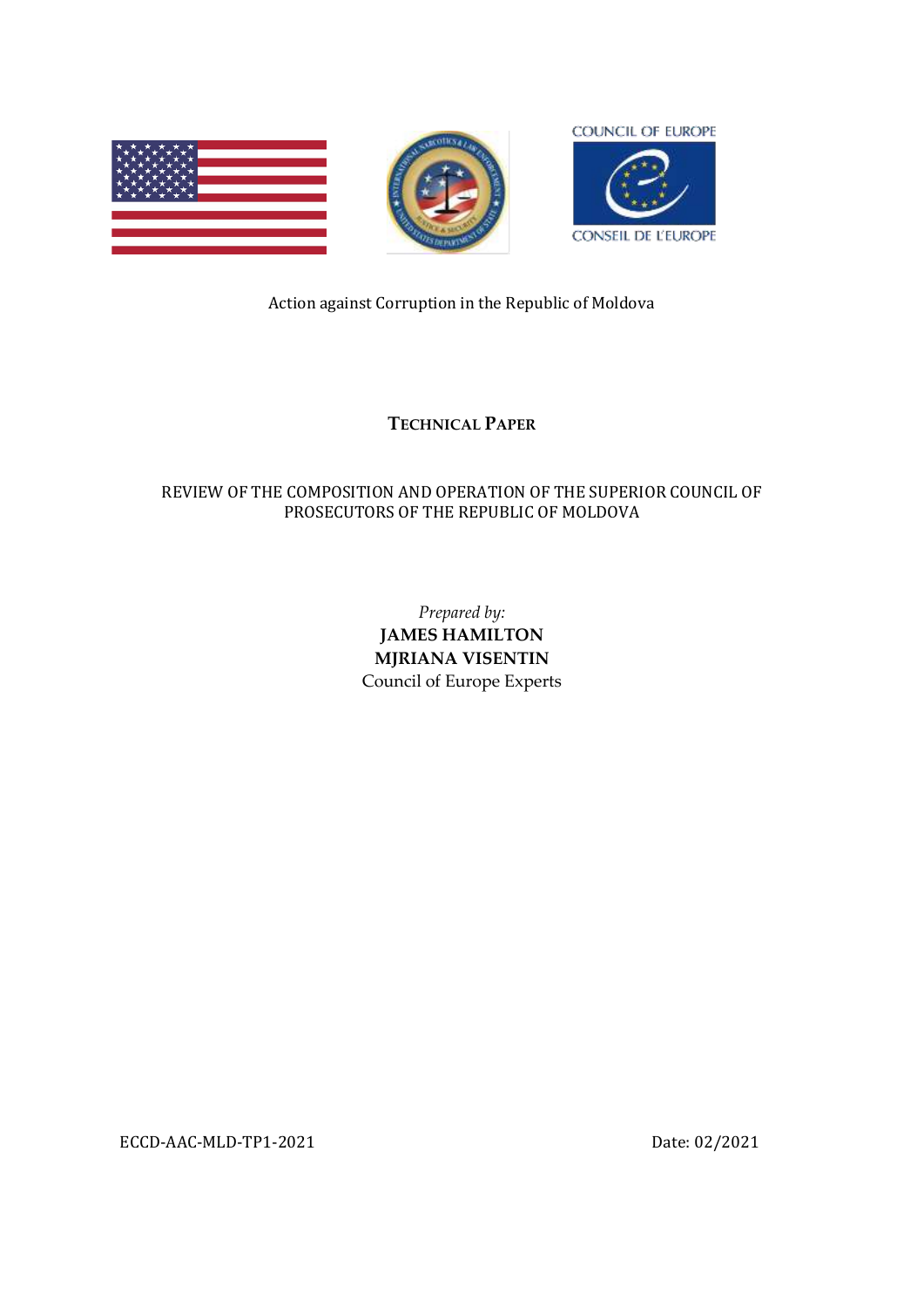

# Action against Corruption in the Republic of Moldova

# **TECHNICAL PAPER**

## REVIEW OF THE COMPOSITION AND OPERATION OF THE SUPERIOR COUNCIL OF PROSECUTORS OF THE REPUBLIC OF MOLDOVA

*Prepared by:* **JAMES HAMILTON MJRIANA VISENTIN** Council of Europe Experts

ECCD-AAC-MLD-TP1-2021 Date: 02/2021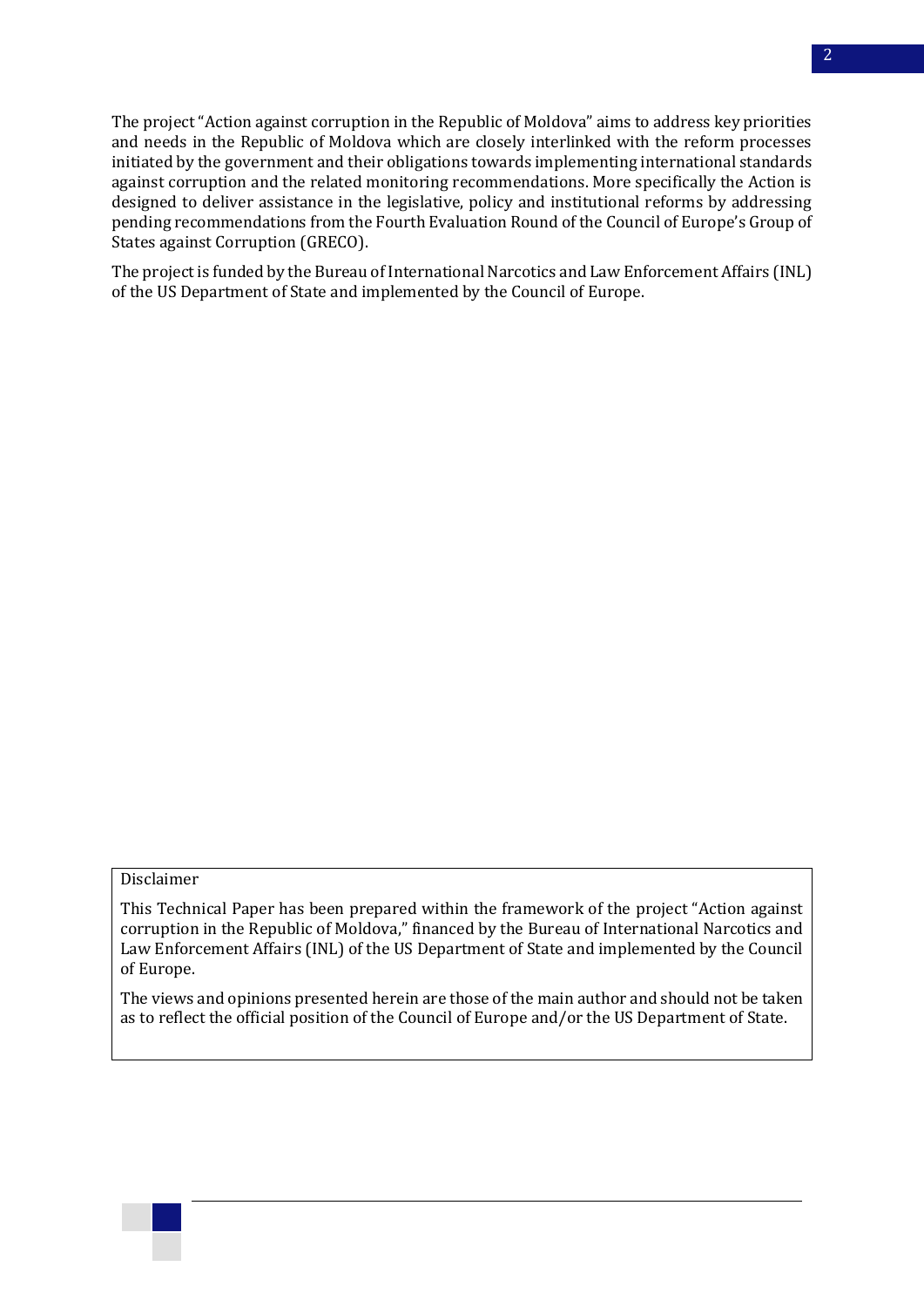The project "Action against corruption in the Republic of Moldova" aims to address key priorities and needs in the Republic of Moldova which are closely interlinked with the reform processes initiated by the government and their obligations towards implementing international standards against corruption and the related monitoring recommendations. More specifically the Action is designed to deliver assistance in the legislative, policy and institutional reforms by addressing pending recommendations from th[e Fourth Evaluation Round](https://www.coe.int/en/web/greco/evaluations/republic-of-moldova) of the Council of Europe's Group of States against Corruption (GRECO).

The project is funded by the Bureau of International Narcotics and Law Enforcement Affairs (INL) of the US Department of State and implemented by the Council of Europe.

## Disclaimer

This Technical Paper has been prepared within the framework of the project "Action against corruption in the Republic of Moldova," financed by the Bureau of International Narcotics and Law Enforcement Affairs (INL) of the US Department of State and implemented by the Council of Europe.

The views and opinions presented herein are those of the main author and should not be taken as to reflect the official position of the Council of Europe and/or the US Department of State.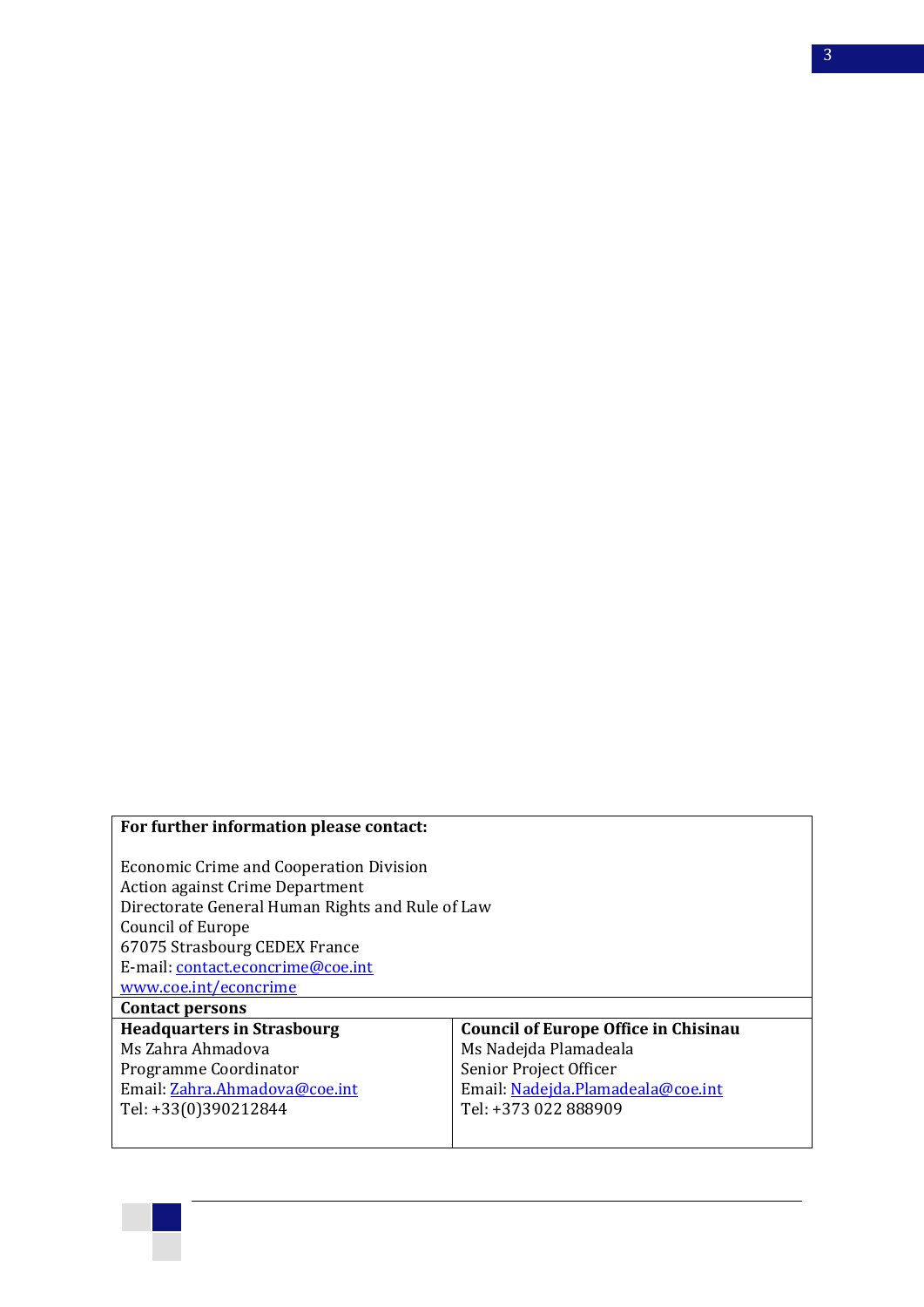## **For further information please contact:**

Economic Crime and Cooperation Division Action against Crime Department Directorate General Human Rights and Rule of Law Council of Europe 67075 Strasbourg CEDEX France E-mail[: contact.econcrime@coe.int](mailto:contact.econcrime@coe.int) [www.coe.int/econcrime](http://www.coe.int/econcrime)

**Contact persons** 

**Headquarters in Strasbourg** Ms Zahra Ahmadova Programme Coordinator Email: [Zahra.Ahmadova@coe.int](mailto:Zahra.Ahmadova@coe.int) Tel: +33(0)390212844

### **Council of Europe Office in Chisinau** Ms Nadejda Plamadeala Senior Project Officer Email[: Nadejda.Plamadeala@coe.int](mailto:Nadejda.Plamadeala@coe.int) Tel: +373 022 888909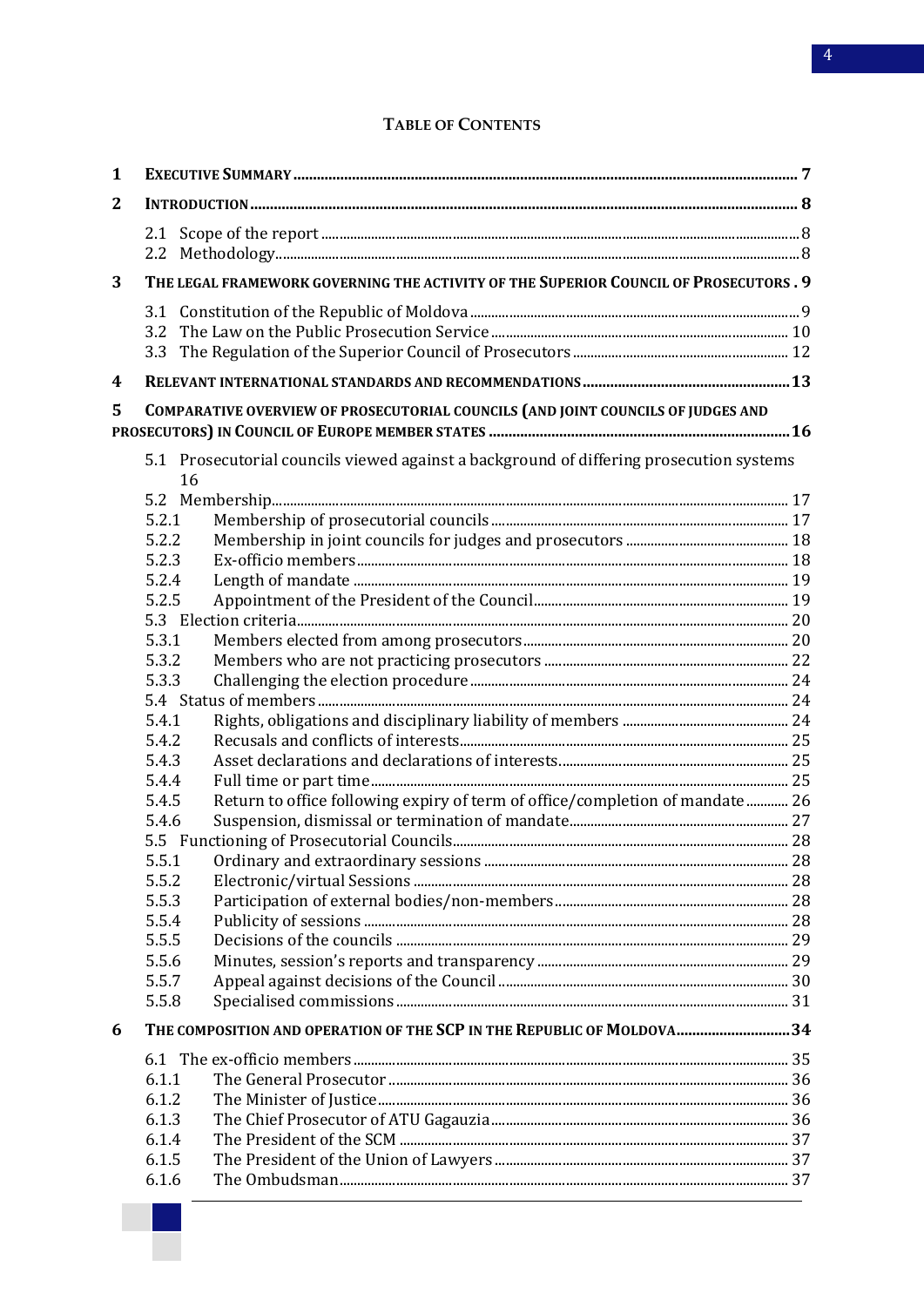## **TABLE OF CONTENTS**

| 1            |                |                                                                                         |  |  |
|--------------|----------------|-----------------------------------------------------------------------------------------|--|--|
| $\mathbf{2}$ |                |                                                                                         |  |  |
|              |                |                                                                                         |  |  |
|              | $2.2^{\circ}$  |                                                                                         |  |  |
| 3            |                | THE LEGAL FRAMEWORK GOVERNING THE ACTIVITY OF THE SUPERIOR COUNCIL OF PROSECUTORS . 9   |  |  |
|              |                |                                                                                         |  |  |
|              | 3.2            |                                                                                         |  |  |
|              | 3.3            |                                                                                         |  |  |
|              |                |                                                                                         |  |  |
| 4            |                |                                                                                         |  |  |
| 5            |                | COMPARATIVE OVERVIEW OF PROSECUTORIAL COUNCILS (AND JOINT COUNCILS OF JUDGES AND        |  |  |
|              |                |                                                                                         |  |  |
|              |                | 5.1 Prosecutorial councils viewed against a background of differing prosecution systems |  |  |
|              |                | 16                                                                                      |  |  |
|              |                |                                                                                         |  |  |
|              | 5.2.1          |                                                                                         |  |  |
|              | 5.2.2          |                                                                                         |  |  |
|              | 5.2.3          |                                                                                         |  |  |
|              | 5.2.4<br>5.2.5 |                                                                                         |  |  |
|              |                |                                                                                         |  |  |
|              | 5.3.1          |                                                                                         |  |  |
|              | 5.3.2          |                                                                                         |  |  |
|              | 5.3.3          |                                                                                         |  |  |
|              |                |                                                                                         |  |  |
|              | 5.4.1          |                                                                                         |  |  |
|              | 5.4.2          |                                                                                         |  |  |
|              | 5.4.3          |                                                                                         |  |  |
|              | 5.4.4          |                                                                                         |  |  |
|              | 5.4.5          | Return to office following expiry of term of office/completion of mandate 26            |  |  |
|              | 5.4.6          |                                                                                         |  |  |
|              |                |                                                                                         |  |  |
|              | 5.5.1          |                                                                                         |  |  |
|              | 5.5.2          |                                                                                         |  |  |
|              | 5.5.3          |                                                                                         |  |  |
|              | 5.5.4          |                                                                                         |  |  |
|              | 5.5.5          |                                                                                         |  |  |
|              | 5.5.6          |                                                                                         |  |  |
|              | 5.5.7          |                                                                                         |  |  |
|              | 5.5.8          |                                                                                         |  |  |
| 6            |                | THE COMPOSITION AND OPERATION OF THE SCP IN THE REPUBLIC OF MOLDOVA34                   |  |  |
|              |                |                                                                                         |  |  |
|              | 6.1.1          |                                                                                         |  |  |
|              | 6.1.2          |                                                                                         |  |  |
|              | 6.1.3          |                                                                                         |  |  |
|              | 6.1.4          |                                                                                         |  |  |
|              | 6.1.5          |                                                                                         |  |  |
|              | 6.1.6          |                                                                                         |  |  |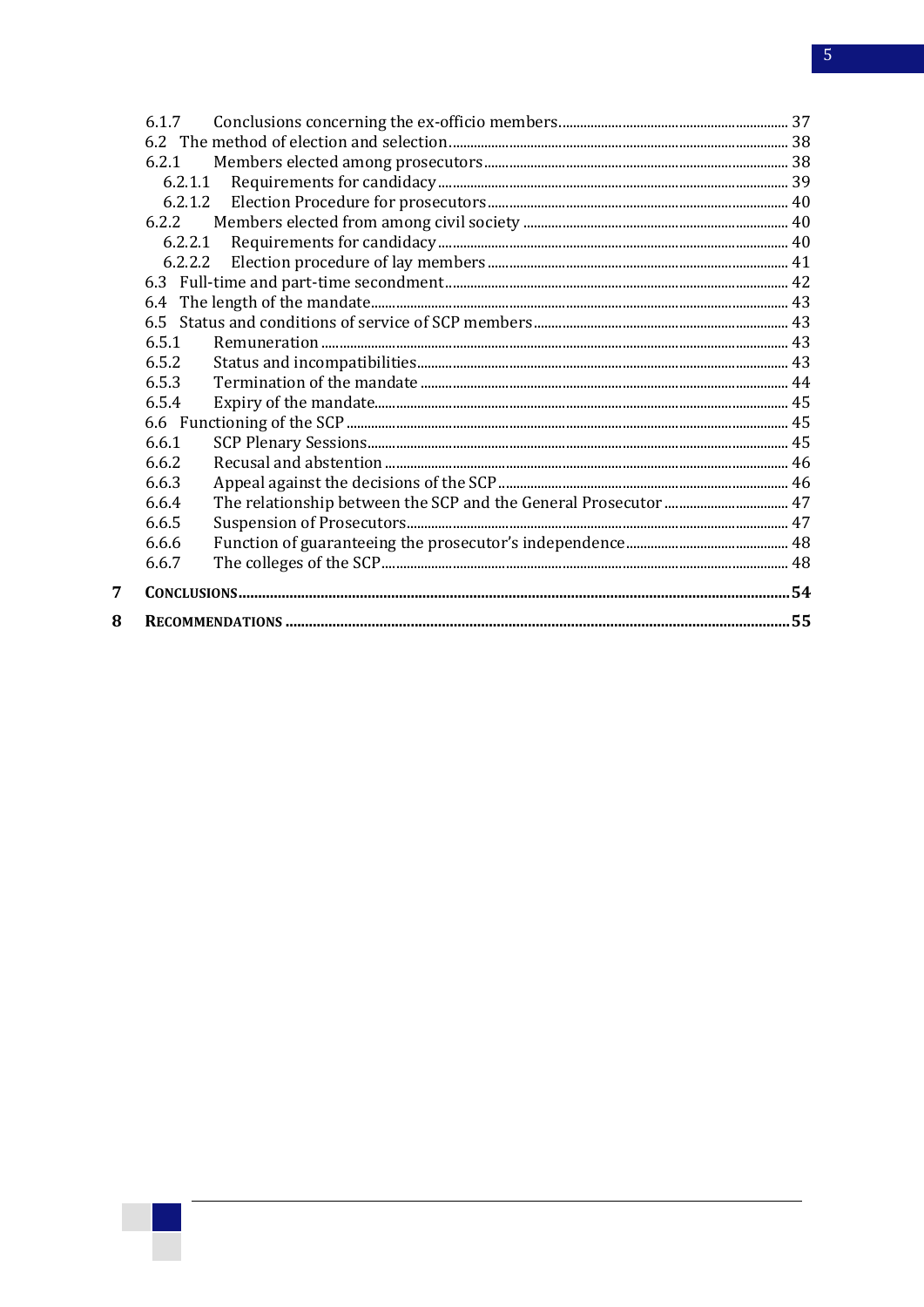| 6.1.7   |  |  |  |
|---------|--|--|--|
|         |  |  |  |
| 6.2.1   |  |  |  |
| 6.2.1.1 |  |  |  |
|         |  |  |  |
|         |  |  |  |
| 6.2.2.1 |  |  |  |
| 6.2.2.2 |  |  |  |
|         |  |  |  |
| 6.4     |  |  |  |
|         |  |  |  |
| 6.5.1   |  |  |  |
| 6.5.2   |  |  |  |
| 6.5.3   |  |  |  |
| 6.5.4   |  |  |  |
|         |  |  |  |
| 6.6.1   |  |  |  |
| 6.6.2   |  |  |  |
| 6.6.3   |  |  |  |
| 6.6.4   |  |  |  |
| 6.6.5   |  |  |  |
| 6.6.6   |  |  |  |
| 6.6.7   |  |  |  |
|         |  |  |  |
|         |  |  |  |
|         |  |  |  |

 $\overline{7}$  $\bf{8}$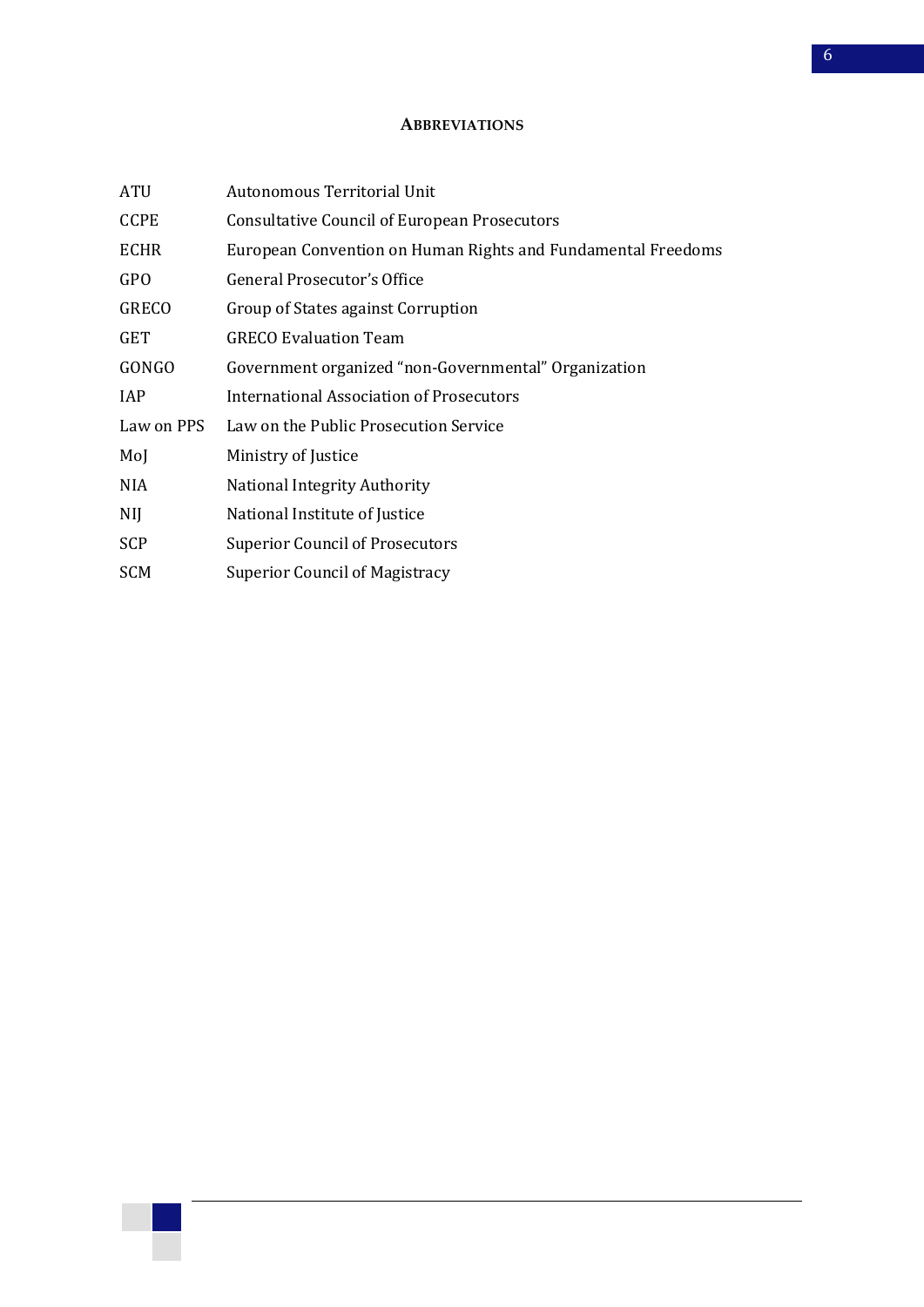#### 6

## **ABBREVIATIONS**

| ATU         | Autonomous Territorial Unit                                  |
|-------------|--------------------------------------------------------------|
| <b>CCPE</b> | <b>Consultative Council of European Prosecutors</b>          |
| <b>ECHR</b> | European Convention on Human Rights and Fundamental Freedoms |
| GPO         | General Prosecutor's Office                                  |
| GRECO       | Group of States against Corruption                           |
| <b>GET</b>  | <b>GRECO Evaluation Team</b>                                 |
| GONGO       | Government organized "non-Governmental" Organization         |
| <b>IAP</b>  | International Association of Prosecutors                     |
| Law on PPS  | Law on the Public Prosecution Service                        |
| MoJ         | Ministry of Justice                                          |
| NIA.        | <b>National Integrity Authority</b>                          |
| NIJ         | National Institute of Justice                                |
| <b>SCP</b>  | <b>Superior Council of Prosecutors</b>                       |
| SCM         | <b>Superior Council of Magistracy</b>                        |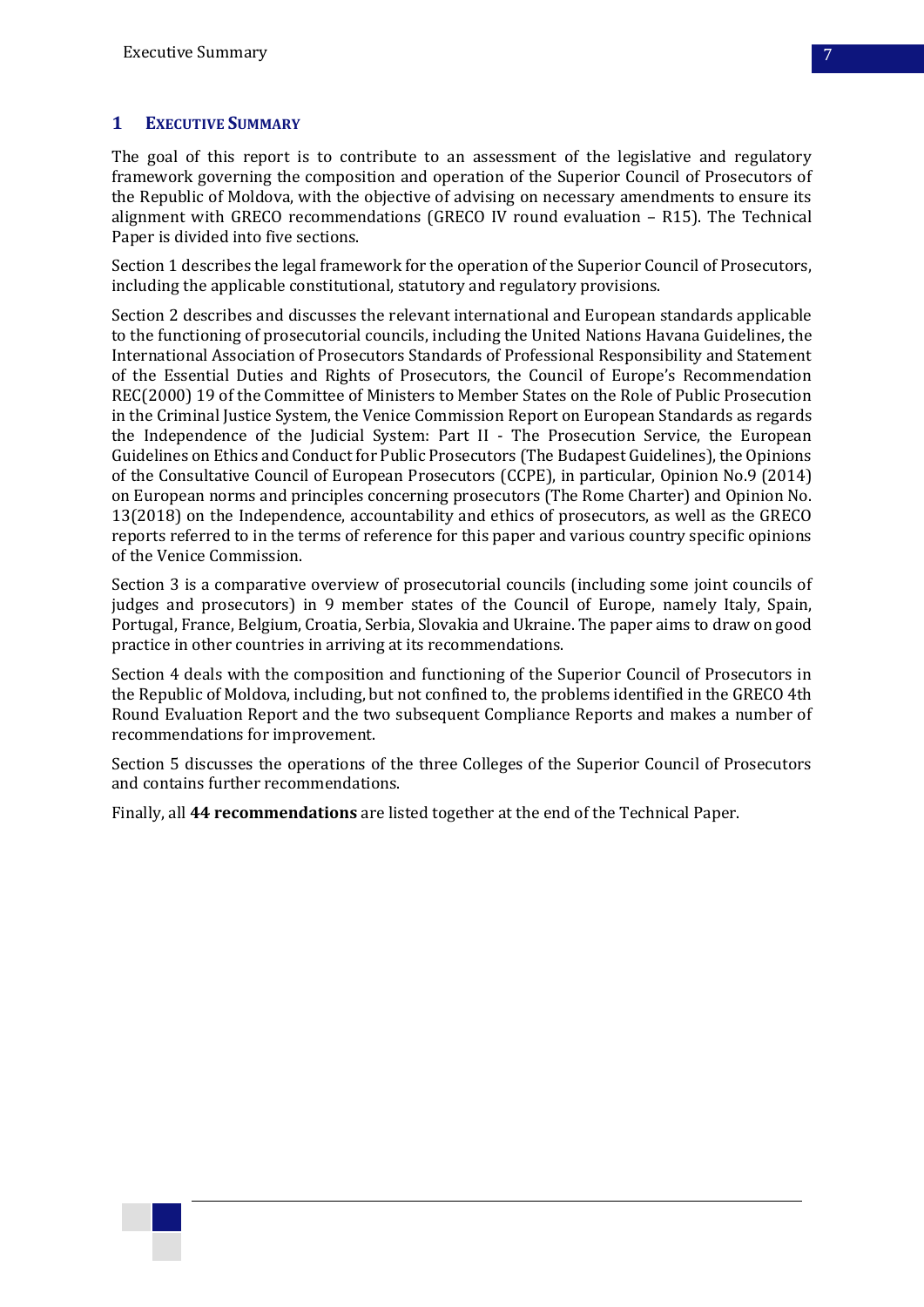# <span id="page-6-0"></span>**1 EXECUTIVE SUMMARY**

The goal of this report is to contribute to an assessment of the legislative and regulatory framework governing the composition and operation of the Superior Council of Prosecutors of the Republic of Moldova, with the objective of advising on necessary amendments to ensure its alignment with GRECO recommendations (GRECO IV round evaluation – R15). The Technical Paper is divided into five sections.

Section 1 describes the legal framework for the operation of the Superior Council of Prosecutors, including the applicable constitutional, statutory and regulatory provisions.

Section 2 describes and discusses the relevant international and European standards applicable to the functioning of prosecutorial councils, including the United Nations Havana Guidelines, the International Association of Prosecutors Standards of Professional Responsibility and Statement of the Essential Duties and Rights of Prosecutors, the Council of Europe's Recommendation REC(2000) 19 of the Committee of Ministers to Member States on the Role of Public Prosecution in the Criminal Justice System, the Venice Commission Report on European Standards as regards the Independence of the Judicial System: Part II - The Prosecution Service, the European Guidelines on Ethics and Conduct for Public Prosecutors (The Budapest Guidelines), the Opinions of the Consultative Council of European Prosecutors (CCPE), in particular, Opinion No.9 (2014) on European norms and principles concerning prosecutors (The Rome Charter) and Opinion No. 13(2018) on the Independence, accountability and ethics of prosecutors, as well as the GRECO reports referred to in the terms of reference for this paper and various country specific opinions of the Venice Commission.

Section 3 is a comparative overview of prosecutorial councils (including some joint councils of judges and prosecutors) in 9 member states of the Council of Europe, namely Italy, Spain, Portugal, France, Belgium, Croatia, Serbia, Slovakia and Ukraine. The paper aims to draw on good practice in other countries in arriving at its recommendations.

Section 4 deals with the composition and functioning of the Superior Council of Prosecutors in the Republic of Moldova, including, but not confined to, the problems identified in the GRECO 4th Round Evaluation Report and the two subsequent Compliance Reports and makes a number of recommendations for improvement.

Section 5 discusses the operations of the three Colleges of the Superior Council of Prosecutors and contains further recommendations.

Finally, all **44 recommendations** are listed together at the end of the Technical Paper.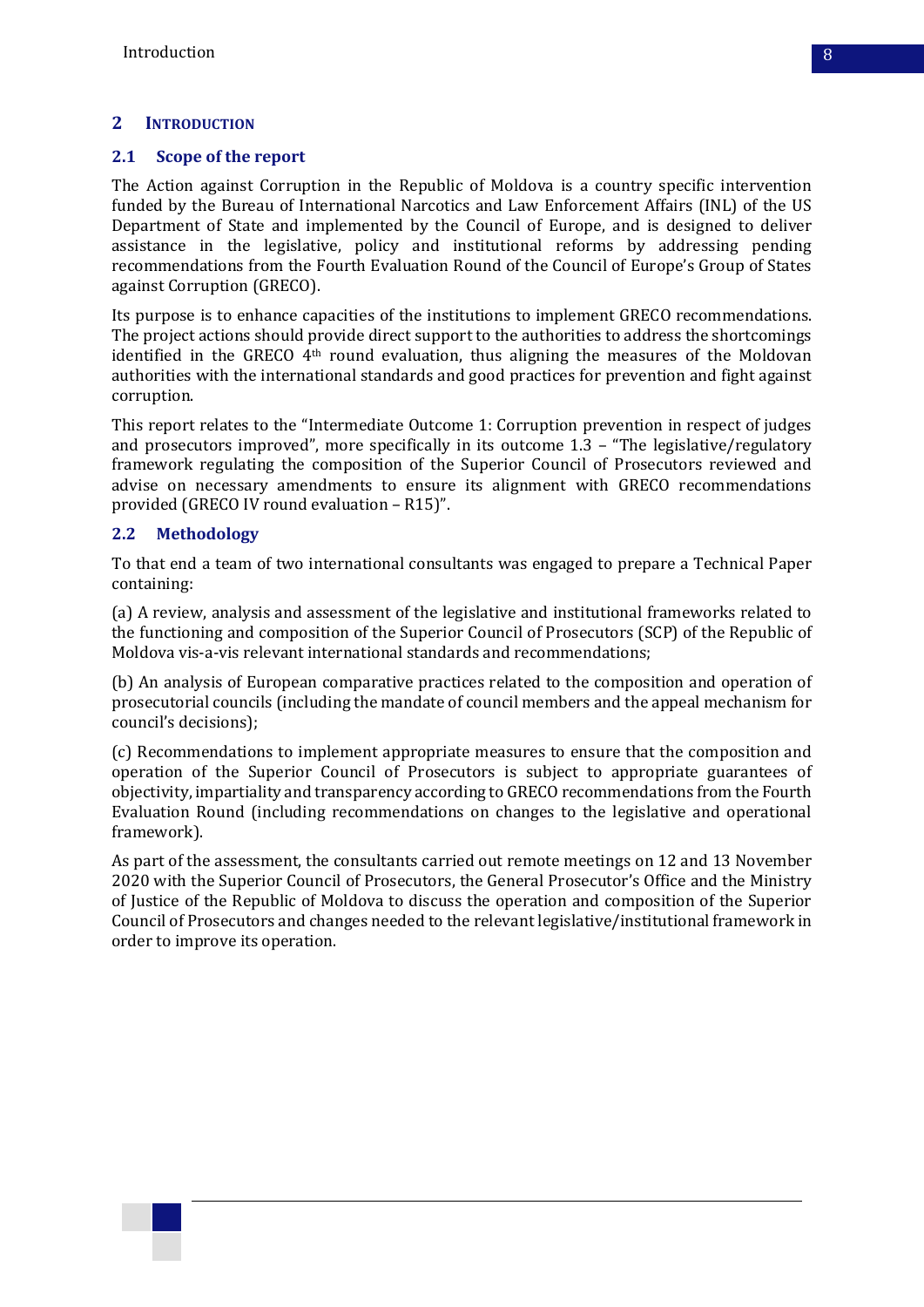## <span id="page-7-0"></span>**2 INTRODUCTION**

### <span id="page-7-1"></span>**2.1 Scope of the report**

The Action against Corruption in the Republic of Moldova is a country specific intervention funded by the Bureau of International Narcotics and Law Enforcement Affairs (INL) of the US Department of State and implemented by the Council of Europe, and is designed to deliver assistance in the legislative, policy and institutional reforms by addressing pending recommendations from the Fourth Evaluation Round of the Council of Europe's Group of States against Corruption (GRECO).

Its purpose is to enhance capacities of the institutions to implement GRECO recommendations. The project actions should provide direct support to the authorities to address the shortcomings identified in the GRECO 4th round evaluation, thus aligning the measures of the Moldovan authorities with the international standards and good practices for prevention and fight against corruption.

This report relates to the "Intermediate Outcome 1: Corruption prevention in respect of judges and prosecutors improved", more specifically in its outcome 1.3 – "The legislative/regulatory framework regulating the composition of the Superior Council of Prosecutors reviewed and advise on necessary amendments to ensure its alignment with GRECO recommendations provided (GRECO IV round evaluation – R15)".

### <span id="page-7-2"></span>**2.2 Methodology**

To that end a team of two international consultants was engaged to prepare a Technical Paper containing:

(a) A review, analysis and assessment of the legislative and institutional frameworks related to the functioning and composition of the Superior Council of Prosecutors (SCP) of the Republic of Moldova vis-a-vis relevant international standards and recommendations;

(b) An analysis of European comparative practices related to the composition and operation of prosecutorial councils (including the mandate of council members and the appeal mechanism for council's decisions);

(c) Recommendations to implement appropriate measures to ensure that the composition and operation of the Superior Council of Prosecutors is subject to appropriate guarantees of objectivity, impartiality and transparency according to GRECO recommendations from the Fourth Evaluation Round (including recommendations on changes to the legislative and operational framework).

As part of the assessment, the consultants carried out remote meetings on 12 and 13 November 2020 with the Superior Council of Prosecutors, the General Prosecutor's Office and the Ministry of Justice of the Republic of Moldova to discuss the operation and composition of the Superior Council of Prosecutors and changes needed to the relevant legislative/institutional framework in order to improve its operation.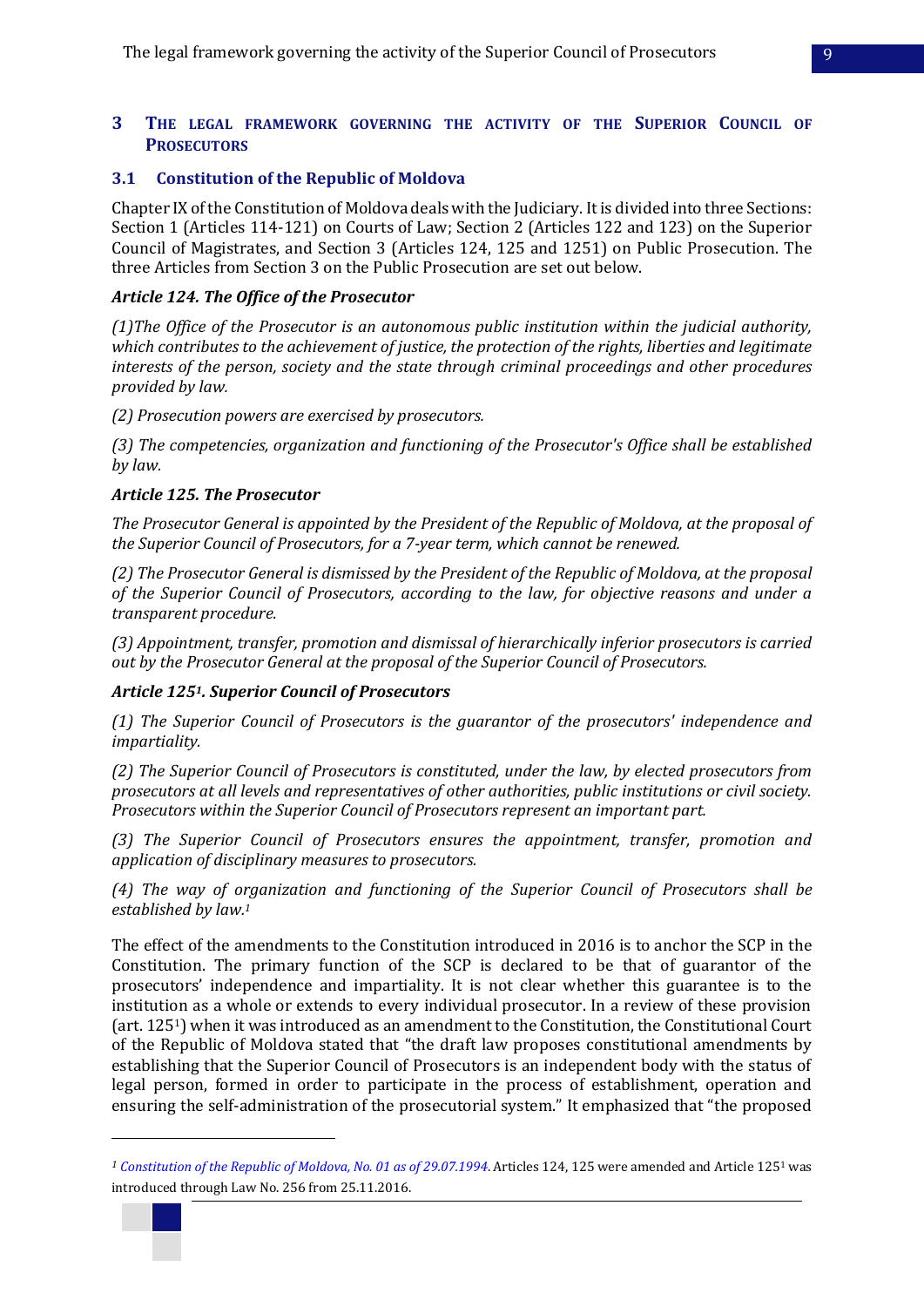## <span id="page-8-0"></span>**3 THE LEGAL FRAMEWORK GOVERNING THE ACTIVITY OF THE SUPERIOR COUNCIL OF PROSECUTORS**

## <span id="page-8-1"></span>**3.1 Constitution of the Republic of Moldova**

Chapter IX of the Constitution of Moldova deals with the Judiciary. It is divided into three Sections: Section 1 (Articles 114-121) on Courts of Law; Section 2 (Articles 122 and 123) on the Superior Council of Magistrates, and Section 3 (Articles 124, 125 and 1251) on Public Prosecution. The three Articles from Section 3 on the Public Prosecution are set out below.

### *Article 124. The Office of the Prosecutor*

*(1)The Office of the Prosecutor is an autonomous public institution within the judicial authority, which contributes to the achievement of justice, the protection of the rights, liberties and legitimate interests of the person, society and the state through criminal proceedings and other procedures provided by law.* 

*(2) Prosecution powers are exercised by prosecutors.* 

*(3) The competencies, organization and functioning of the Prosecutor's Office shall be established by law.* 

### *Article 125. The Prosecutor*

*The Prosecutor General is appointed by the President of the Republic of Moldova, at the proposal of the Superior Council of Prosecutors, for a 7-year term, which cannot be renewed.* 

*(2) The Prosecutor General is dismissed by the President of the Republic of Moldova, at the proposal of the Superior Council of Prosecutors, according to the law, for objective reasons and under a transparent procedure.* 

*(3) Appointment, transfer, promotion and dismissal of hierarchically inferior prosecutors is carried out by the Prosecutor General at the proposal of the Superior Council of Prosecutors.* 

## *Article 1251. Superior Council of Prosecutors*

*(1) The Superior Council of Prosecutors is the guarantor of the prosecutors' independence and impartiality.* 

*(2) The Superior Council of Prosecutors is constituted, under the law, by elected prosecutors from prosecutors at all levels and representatives of other authorities, public institutions or civil society. Prosecutors within the Superior Council of Prosecutors represent an important part.* 

*(3) The Superior Council of Prosecutors ensures the appointment, transfer, promotion and application of disciplinary measures to prosecutors.*

*(4) The way of organization and functioning of the Superior Council of Prosecutors shall be established by law.<sup>1</sup>*

The effect of the amendments to the Constitution introduced in 2016 is to anchor the SCP in the Constitution. The primary function of the SCP is declared to be that of guarantor of the prosecutors' independence and impartiality. It is not clear whether this guarantee is to the institution as a whole or extends to every individual prosecutor. In a review of these provision (art. 1251) when it was introduced as an amendment to the Constitution, the Constitutional Court of the Republic of Moldova stated that "the draft law proposes constitutional amendments by establishing that the Superior Council of Prosecutors is an independent body with the status of legal person, formed in order to participate in the process of establishment, operation and ensuring the self-administration of the prosecutorial system." It emphasized that "the proposed



*<sup>1</sup> [Constitution of the Republic of Moldova, No. 01 as of 29.07.1994](https://www.legis.md/cautare/getResults?doc_id=111918&lang=ro)*. Articles 124, 125 were amended and Article 125<sup>1</sup> was introduced through Law No. 256 from 25.11.2016.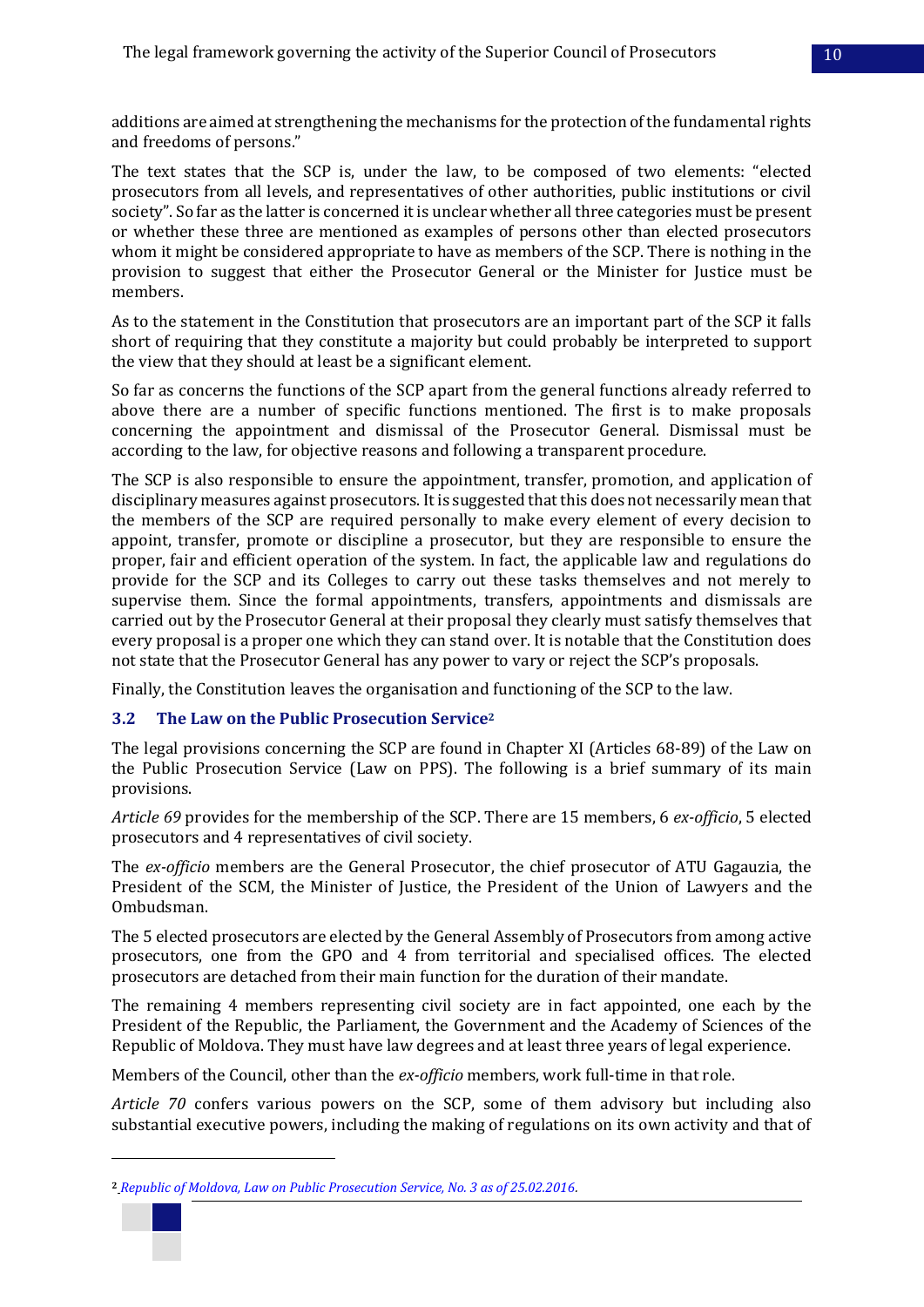additions are aimed at strengthening the mechanisms for the protection of the fundamental rights and freedoms of persons."

The text states that the SCP is, under the law, to be composed of two elements: "elected prosecutors from all levels, and representatives of other authorities, public institutions or civil society". So far as the latter is concerned it is unclear whether all three categories must be present or whether these three are mentioned as examples of persons other than elected prosecutors whom it might be considered appropriate to have as members of the SCP. There is nothing in the provision to suggest that either the Prosecutor General or the Minister for Justice must be members.

As to the statement in the Constitution that prosecutors are an important part of the SCP it falls short of requiring that they constitute a majority but could probably be interpreted to support the view that they should at least be a significant element.

So far as concerns the functions of the SCP apart from the general functions already referred to above there are a number of specific functions mentioned. The first is to make proposals concerning the appointment and dismissal of the Prosecutor General. Dismissal must be according to the law, for objective reasons and following a transparent procedure.

The SCP is also responsible to ensure the appointment, transfer, promotion, and application of disciplinary measures against prosecutors. It is suggested that this does not necessarily mean that the members of the SCP are required personally to make every element of every decision to appoint, transfer, promote or discipline a prosecutor, but they are responsible to ensure the proper, fair and efficient operation of the system. In fact, the applicable law and regulations do provide for the SCP and its Colleges to carry out these tasks themselves and not merely to supervise them. Since the formal appointments, transfers, appointments and dismissals are carried out by the Prosecutor General at their proposal they clearly must satisfy themselves that every proposal is a proper one which they can stand over. It is notable that the Constitution does not state that the Prosecutor General has any power to vary or reject the SCP's proposals.

Finally, the Constitution leaves the organisation and functioning of the SCP to the law.

## <span id="page-9-0"></span>**3.2 The Law on the Public Prosecution Service<sup>2</sup>**

The legal provisions concerning the SCP are found in Chapter XI (Articles 68-89) of the Law on the Public Prosecution Service (Law on PPS). The following is a brief summary of its main provisions.

*Article 69* provides for the membership of the SCP. There are 15 members, 6 *ex-officio*, 5 elected prosecutors and 4 representatives of civil society.

The *ex-officio* members are the General Prosecutor, the chief prosecutor of ATU Gagauzia, the President of the SCM, the Minister of Justice, the President of the Union of Lawyers and the Ombudsman.

The 5 elected prosecutors are elected by the General Assembly of Prosecutors from among active prosecutors, one from the GPO and 4 from territorial and specialised offices. The elected prosecutors are detached from their main function for the duration of their mandate.

The remaining 4 members representing civil society are in fact appointed, one each by the President of the Republic, the Parliament, the Government and the Academy of Sciences of the Republic of Moldova. They must have law degrees and at least three years of legal experience.

Members of the Council, other than the *ex-officio* members, work full-time in that role.

*Article 70* confers various powers on the SCP, some of them advisory but including also substantial executive powers, including the making of regulations on its own activity and that of

**<sup>2</sup>** *[Republic of Moldova, Law on Public Prosecution Service, No. 3 as of 25.02.2016.](https://www.legis.md/cautare/getResults?doc_id=122584&lang=ro)*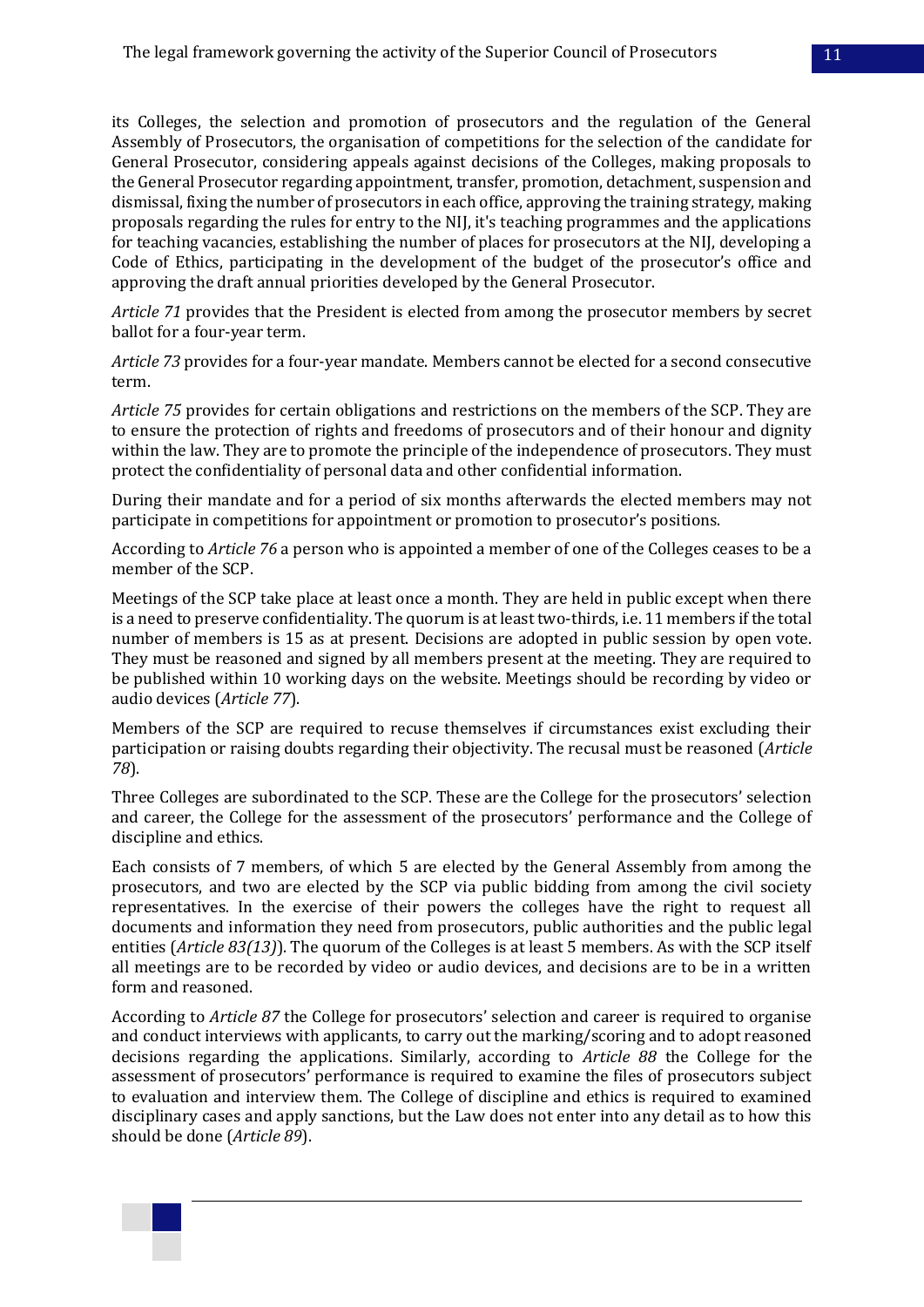its Colleges, the selection and promotion of prosecutors and the regulation of the General Assembly of Prosecutors, the organisation of competitions for the selection of the candidate for General Prosecutor, considering appeals against decisions of the Colleges, making proposals to the General Prosecutor regarding appointment, transfer, promotion, detachment, suspension and dismissal, fixing the number of prosecutors in each office, approving the training strategy, making proposals regarding the rules for entry to the NIJ, it's teaching programmes and the applications for teaching vacancies, establishing the number of places for prosecutors at the NIJ, developing a Code of Ethics, participating in the development of the budget of the prosecutor's office and approving the draft annual priorities developed by the General Prosecutor.

*Article 71* provides that the President is elected from among the prosecutor members by secret ballot for a four-year term.

*Article 73* provides for a four-year mandate. Members cannot be elected for a second consecutive term.

*Article 75* provides for certain obligations and restrictions on the members of the SCP. They are to ensure the protection of rights and freedoms of prosecutors and of their honour and dignity within the law. They are to promote the principle of the independence of prosecutors. They must protect the confidentiality of personal data and other confidential information.

During their mandate and for a period of six months afterwards the elected members may not participate in competitions for appointment or promotion to prosecutor's positions.

According to *Article 76* a person who is appointed a member of one of the Colleges ceases to be a member of the SCP.

Meetings of the SCP take place at least once a month. They are held in public except when there is a need to preserve confidentiality. The quorum is at least two-thirds, i.e. 11 members if the total number of members is 15 as at present. Decisions are adopted in public session by open vote. They must be reasoned and signed by all members present at the meeting. They are required to be published within 10 working days on the website. Meetings should be recording by video or audio devices (*Article 77*).

Members of the SCP are required to recuse themselves if circumstances exist excluding their participation or raising doubts regarding their objectivity. The recusal must be reasoned (*Article 78*).

Three Colleges are subordinated to the SCP. These are the College for the prosecutors' selection and career, the College for the assessment of the prosecutors' performance and the College of discipline and ethics.

Each consists of 7 members, of which 5 are elected by the General Assembly from among the prosecutors, and two are elected by the SCP via public bidding from among the civil society representatives. In the exercise of their powers the colleges have the right to request all documents and information they need from prosecutors, public authorities and the public legal entities (*Article 83(13)*). The quorum of the Colleges is at least 5 members. As with the SCP itself all meetings are to be recorded by video or audio devices, and decisions are to be in a written form and reasoned.

According to *Article 87* the College for prosecutors' selection and career is required to organise and conduct interviews with applicants, to carry out the marking/scoring and to adopt reasoned decisions regarding the applications. Similarly, according to *Article 88* the College for the assessment of prosecutors' performance is required to examine the files of prosecutors subject to evaluation and interview them. The College of discipline and ethics is required to examined disciplinary cases and apply sanctions, but the Law does not enter into any detail as to how this should be done (*Article 89*).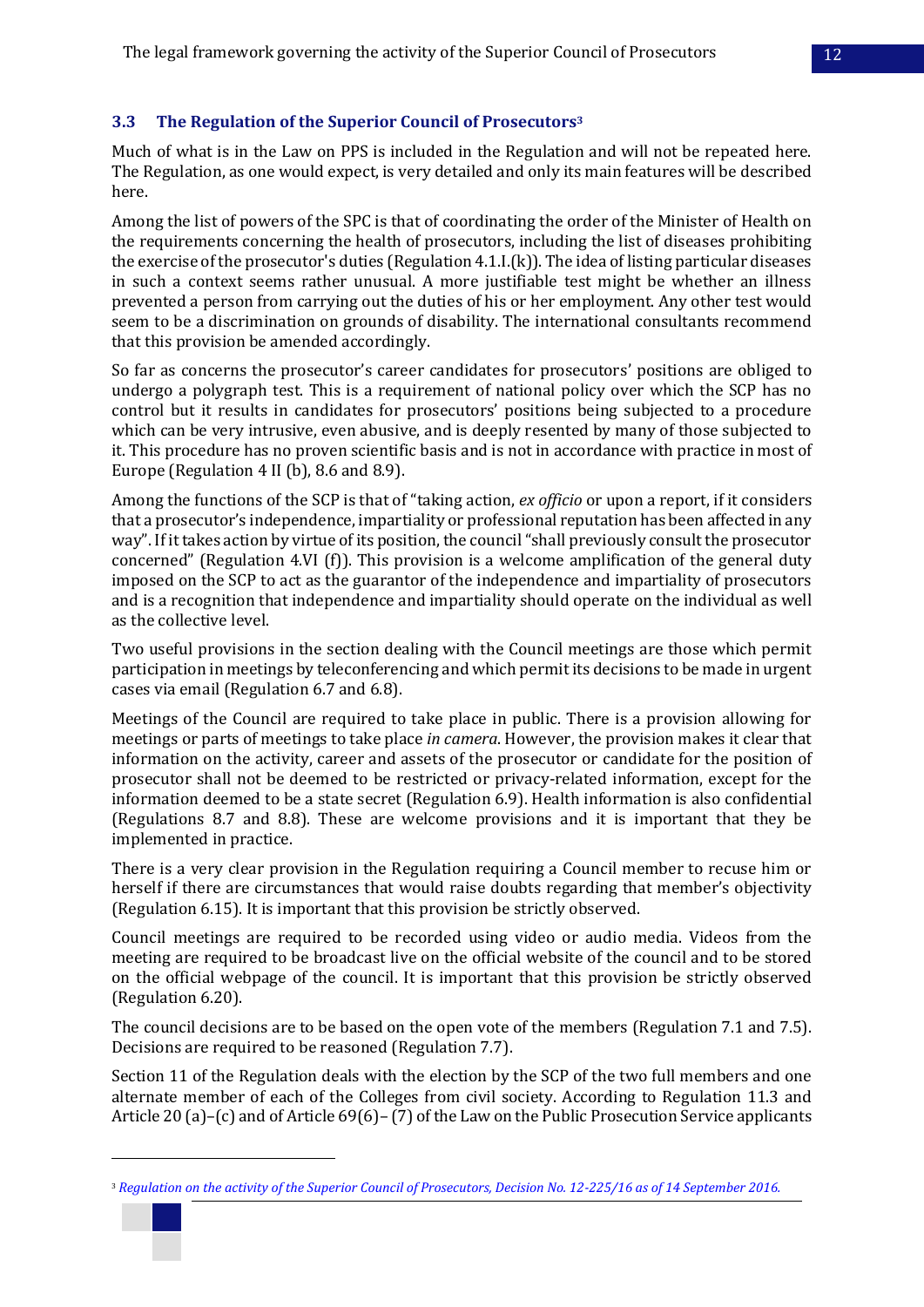## <span id="page-11-0"></span>**3.3 The Regulation of the Superior Council of Prosecutors<sup>3</sup>**

Much of what is in the Law on PPS is included in the Regulation and will not be repeated here. The Regulation, as one would expect, is very detailed and only its main features will be described here.

Among the list of powers of the SPC is that of coordinating the order of the Minister of Health on the requirements concerning the health of prosecutors, including the list of diseases prohibiting the exercise of the prosecutor's duties (Regulation 4.1.I.(k)). The idea of listing particular diseases in such a context seems rather unusual. A more justifiable test might be whether an illness prevented a person from carrying out the duties of his or her employment. Any other test would seem to be a discrimination on grounds of disability. The international consultants recommend that this provision be amended accordingly.

So far as concerns the prosecutor's career candidates for prosecutors' positions are obliged to undergo a polygraph test. This is a requirement of national policy over which the SCP has no control but it results in candidates for prosecutors' positions being subjected to a procedure which can be very intrusive, even abusive, and is deeply resented by many of those subjected to it. This procedure has no proven scientific basis and is not in accordance with practice in most of Europe (Regulation 4 II (b), 8.6 and 8.9).

Among the functions of the SCP is that of "taking action, *ex officio* or upon a report, if it considers that a prosecutor's independence, impartiality or professional reputation has been affected in any way". If it takes action by virtue of its position, the council "shall previously consult the prosecutor concerned" (Regulation 4.VI (f)). This provision is a welcome amplification of the general duty imposed on the SCP to act as the guarantor of the independence and impartiality of prosecutors and is a recognition that independence and impartiality should operate on the individual as well as the collective level.

Two useful provisions in the section dealing with the Council meetings are those which permit participation in meetings by teleconferencing and which permit its decisions to be made in urgent cases via email (Regulation 6.7 and 6.8).

Meetings of the Council are required to take place in public. There is a provision allowing for meetings or parts of meetings to take place *in camera*. However, the provision makes it clear that information on the activity, career and assets of the prosecutor or candidate for the position of prosecutor shall not be deemed to be restricted or privacy-related information, except for the information deemed to be a state secret (Regulation 6.9). Health information is also confidential (Regulations 8.7 and 8.8). These are welcome provisions and it is important that they be implemented in practice.

There is a very clear provision in the Regulation requiring a Council member to recuse him or herself if there are circumstances that would raise doubts regarding that member's objectivity (Regulation 6.15). It is important that this provision be strictly observed.

Council meetings are required to be recorded using video or audio media. Videos from the meeting are required to be broadcast live on the official website of the council and to be stored on the official webpage of the council. It is important that this provision be strictly observed (Regulation 6.20).

The council decisions are to be based on the open vote of the members (Regulation 7.1 and 7.5). Decisions are required to be reasoned (Regulation 7.7).

Section 11 of the Regulation deals with the election by the SCP of the two full members and one alternate member of each of the Colleges from civil society. According to Regulation 11.3 and Article 20 (a)–(c) and of Article 69(6)– (7) of the Law on the Public Prosecution Service applicants

<sup>3</sup> *[Regulation on the activity of the Superior Council of Prosecutors, Decision No. 12-225/16 as of 14 September 2016.](http://csp.md/sites/default/files/inline-files/Regulamentul%20CSP%20cu%20modif.18.12.2020.pdf)*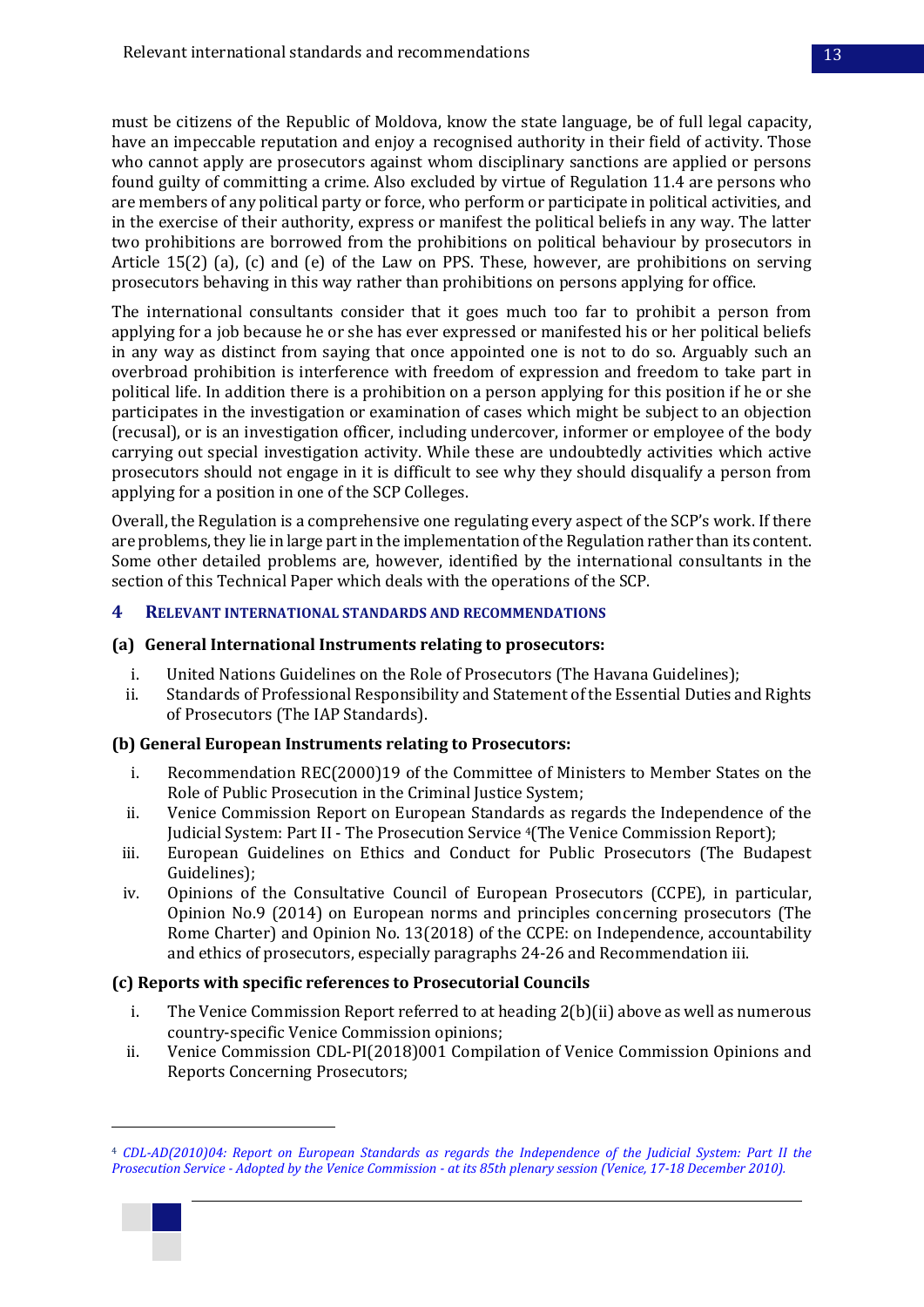must be citizens of the Republic of Moldova, know the state language, be of full legal capacity, have an impeccable reputation and enjoy a recognised authority in their field of activity. Those who cannot apply are prosecutors against whom disciplinary sanctions are applied or persons found guilty of committing a crime. Also excluded by virtue of Regulation 11.4 are persons who are members of any political party or force, who perform or participate in political activities, and in the exercise of their authority, express or manifest the political beliefs in any way. The latter two prohibitions are borrowed from the prohibitions on political behaviour by prosecutors in Article 15(2) (a), (c) and (e) of the Law on PPS. These, however, are prohibitions on serving prosecutors behaving in this way rather than prohibitions on persons applying for office.

The international consultants consider that it goes much too far to prohibit a person from applying for a job because he or she has ever expressed or manifested his or her political beliefs in any way as distinct from saying that once appointed one is not to do so. Arguably such an overbroad prohibition is interference with freedom of expression and freedom to take part in political life. In addition there is a prohibition on a person applying for this position if he or she participates in the investigation or examination of cases which might be subject to an objection (recusal), or is an investigation officer, including undercover, informer or employee of the body carrying out special investigation activity. While these are undoubtedly activities which active prosecutors should not engage in it is difficult to see why they should disqualify a person from applying for a position in one of the SCP Colleges.

Overall, the Regulation is a comprehensive one regulating every aspect of the SCP's work. If there are problems, they lie in large part in the implementation of the Regulation rather than its content. Some other detailed problems are, however, identified by the international consultants in the section of this Technical Paper which deals with the operations of the SCP.

#### <span id="page-12-0"></span>**4 RELEVANT INTERNATIONAL STANDARDS AND RECOMMENDATIONS**

### **(a) General International Instruments relating to prosecutors:**

- i. United Nations Guidelines on the Role of Prosecutors (The Havana Guidelines);
- ii. Standards of Professional Responsibility and Statement of the Essential Duties and Rights of Prosecutors (The IAP Standards).

## **(b) General European Instruments relating to Prosecutors:**

- i. Recommendation REC(2000)19 of the Committee of Ministers to Member States on the Role of Public Prosecution in the Criminal Justice System;
- ii. Venice Commission Report on European Standards as regards the Independence of the Judicial System: Part II - The Prosecution Service 4(The Venice Commission Report);
- iii. European Guidelines on Ethics and Conduct for Public Prosecutors (The Budapest Guidelines);
- iv. Opinions of the Consultative Council of European Prosecutors (CCPE), in particular, Opinion No.9 (2014) on European norms and principles concerning prosecutors (The Rome Charter) and Opinion No. 13(2018) of the CCPE: on Independence, accountability and ethics of prosecutors, especially paragraphs 24-26 and Recommendation iii.

### **(c) Reports with specific references to Prosecutorial Councils**

- i. The Venice Commission Report referred to at heading 2(b)(ii) above as well as numerous country-specific Venice Commission opinions;
- ii. Venice Commission CDL-PI(2018)001 Compilation of Venice Commission Opinions and Reports Concerning Prosecutors;

<sup>4</sup> *[CDL-AD\(2010\)04: Report on European Standards as regards the Independence of the Judicial System: Part II the](https://www.venice.coe.int/webforms/documents/?pdf=CDL-AD(2010)040-e)  Prosecution Service - Adopted by the Venice Commission - [at its 85th plenary session \(Venice, 17-18 December 2010\).](https://www.venice.coe.int/webforms/documents/?pdf=CDL-AD(2010)040-e)*

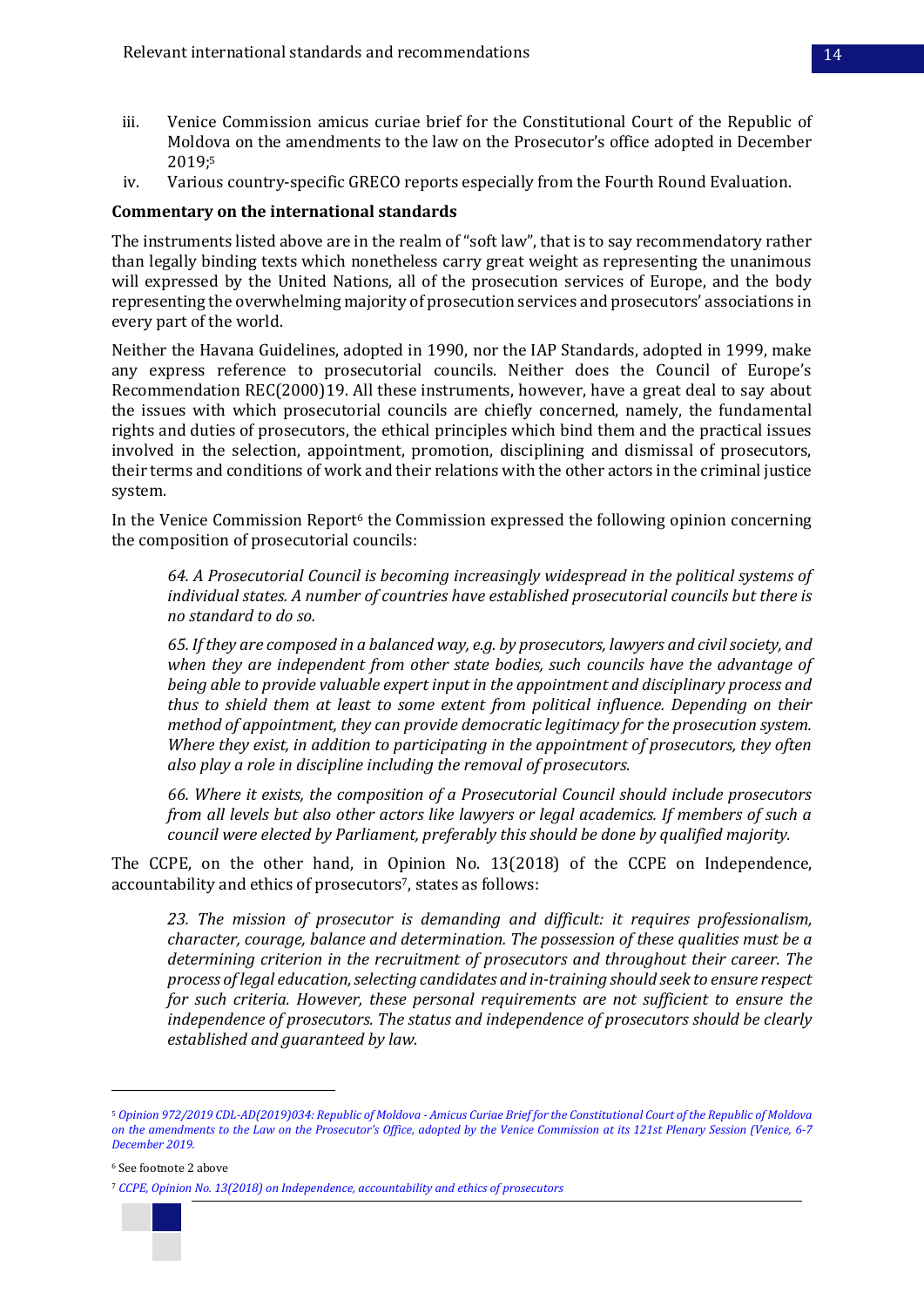- iii. Venice Commission amicus curiae brief for the Constitutional Court of the Republic of Moldova on the amendments to the law on the Prosecutor's office adopted in December 2019; 5
- iv. Various country-specific GRECO reports especially from the Fourth Round Evaluation.

### **Commentary on the international standards**

The instruments listed above are in the realm of "soft law", that is to say recommendatory rather than legally binding texts which nonetheless carry great weight as representing the unanimous will expressed by the United Nations, all of the prosecution services of Europe, and the body representing the overwhelming majority of prosecution services and prosecutors' associations in every part of the world.

Neither the Havana Guidelines, adopted in 1990, nor the IAP Standards, adopted in 1999, make any express reference to prosecutorial councils. Neither does the Council of Europe's Recommendation REC(2000)19. All these instruments, however, have a great deal to say about the issues with which prosecutorial councils are chiefly concerned, namely, the fundamental rights and duties of prosecutors, the ethical principles which bind them and the practical issues involved in the selection, appointment, promotion, disciplining and dismissal of prosecutors, their terms and conditions of work and their relations with the other actors in the criminal justice system.

In the Venice Commission Report<sup>6</sup> the Commission expressed the following opinion concerning the composition of prosecutorial councils:

*64. A Prosecutorial Council is becoming increasingly widespread in the political systems of individual states. A number of countries have established prosecutorial councils but there is no standard to do so.* 

*65. If they are composed in a balanced way, e.g. by prosecutors, lawyers and civil society, and when they are independent from other state bodies, such councils have the advantage of being able to provide valuable expert input in the appointment and disciplinary process and thus to shield them at least to some extent from political influence. Depending on their method of appointment, they can provide democratic legitimacy for the prosecution system. Where they exist, in addition to participating in the appointment of prosecutors, they often also play a role in discipline including the removal of prosecutors.* 

*66. Where it exists, the composition of a Prosecutorial Council should include prosecutors from all levels but also other actors like lawyers or legal academics. If members of such a council were elected by Parliament, preferably this should be done by qualified majority.*

The CCPE, on the other hand, in Opinion No. 13(2018) of the CCPE on Independence, accountability and ethics of prosecutors<sup>7</sup>, states as follows:

*23. The mission of prosecutor is demanding and difficult: it requires professionalism, character, courage, balance and determination. The possession of these qualities must be a determining criterion in the recruitment of prosecutors and throughout their career. The process of legal education,selecting candidates and in-training should seek to ensure respect for such criteria. However, these personal requirements are not sufficient to ensure the independence of prosecutors. The status and independence of prosecutors should be clearly established and guaranteed by law.*

<sup>7</sup> *[CCPE, Opinion No. 13\(2018\) on Independence, accountability and ethics of prosecutors](https://rm.coe.int/opinion-13-ccpe-2018-2e-independence-accountability-and-ethics-of-pros/1680907e9d)*



<sup>5</sup> *Opinion 972/2019 CDL-AD(2019)034: Republic of Moldova - [Amicus Curiae Brief for the Constitutional Court of the Republic of Moldova](https://www.venice.coe.int/webforms/documents/?pdf=CDL-AD(2019)034-e)  [on the amendments to the Law on the Prosecutor's Office, adopted by the Venice Commission at its 121st Plenary Session \(Venice, 6-7](https://www.venice.coe.int/webforms/documents/?pdf=CDL-AD(2019)034-e)  [December 2019.](https://www.venice.coe.int/webforms/documents/?pdf=CDL-AD(2019)034-e)*

<sup>6</sup> See footnote 2 above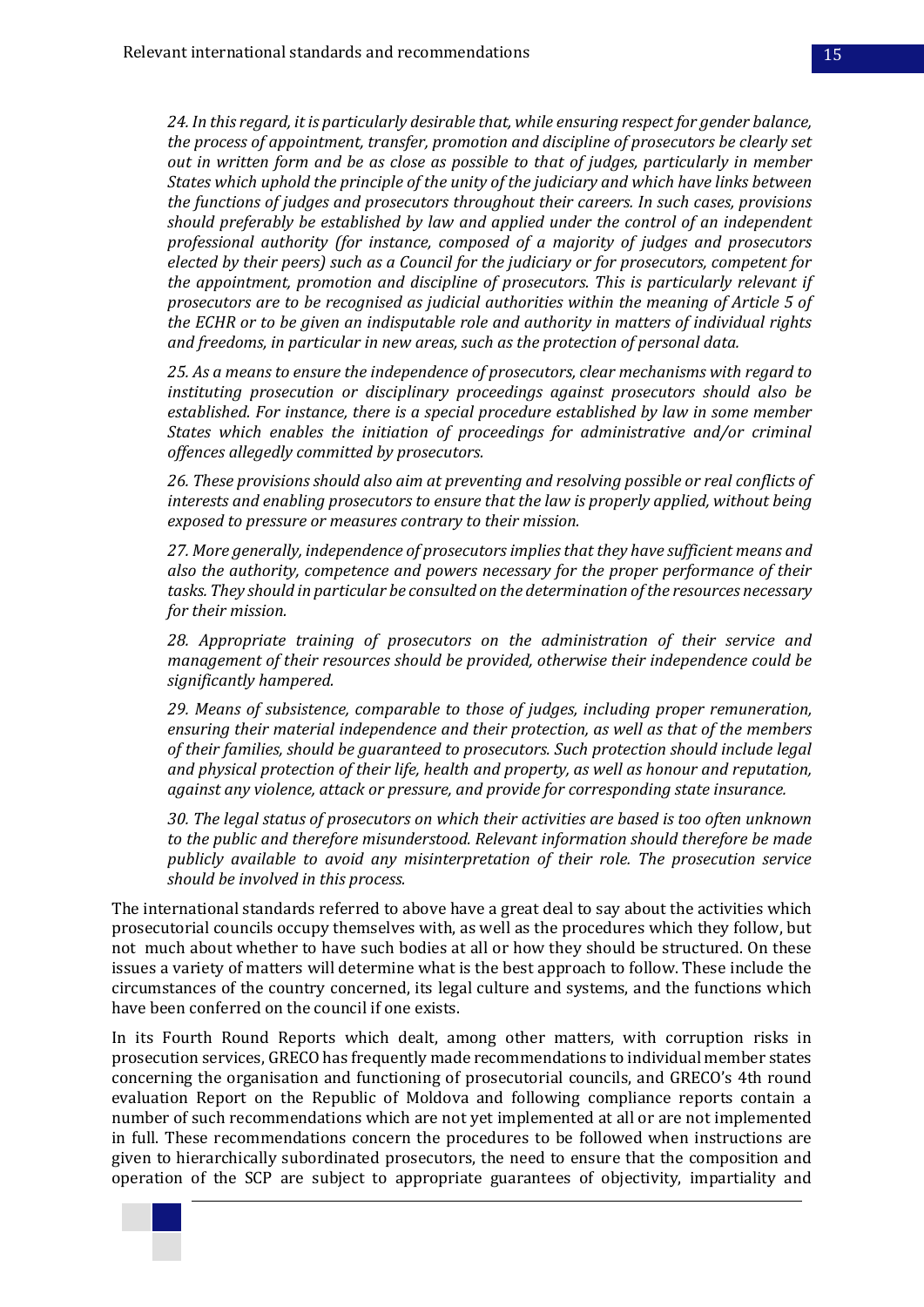*24. In this regard, it is particularly desirable that, while ensuring respect for gender balance, the process of appointment, transfer, promotion and discipline of prosecutors be clearly set out in written form and be as close as possible to that of judges, particularly in member States which uphold the principle of the unity of the judiciary and which have links between the functions of judges and prosecutors throughout their careers. In such cases, provisions should preferably be established by law and applied under the control of an independent professional authority (for instance, composed of a majority of judges and prosecutors elected by their peers) such as a Council for the judiciary or for prosecutors, competent for the appointment, promotion and discipline of prosecutors. This is particularly relevant if prosecutors are to be recognised as judicial authorities within the meaning of Article 5 of the ECHR or to be given an indisputable role and authority in matters of individual rights and freedoms, in particular in new areas, such as the protection of personal data.*

*25. As a means to ensure the independence of prosecutors, clear mechanisms with regard to instituting prosecution or disciplinary proceedings against prosecutors should also be established. For instance, there is a special procedure established by law in some member States which enables the initiation of proceedings for administrative and/or criminal offences allegedly committed by prosecutors.*

*26. These provisions should also aim at preventing and resolving possible or real conflicts of interests and enabling prosecutors to ensure that the law is properly applied, without being exposed to pressure or measures contrary to their mission.*

*27. More generally, independence of prosecutors implies that they have sufficient means and also the authority, competence and powers necessary for the proper performance of their tasks. They should in particular be consulted on the determination of the resources necessary for their mission.*

*28. Appropriate training of prosecutors on the administration of their service and management of their resources should be provided, otherwise their independence could be significantly hampered.*

*29. Means of subsistence, comparable to those of judges, including proper remuneration, ensuring their material independence and their protection, as well as that of the members of their families, should be guaranteed to prosecutors. Such protection should include legal and physical protection of their life, health and property, as well as honour and reputation, against any violence, attack or pressure, and provide for corresponding state insurance.*

*30. The legal status of prosecutors on which their activities are based is too often unknown to the public and therefore misunderstood. Relevant information should therefore be made publicly available to avoid any misinterpretation of their role. The prosecution service should be involved in this process.*

The international standards referred to above have a great deal to say about the activities which prosecutorial councils occupy themselves with, as well as the procedures which they follow, but not much about whether to have such bodies at all or how they should be structured. On these issues a variety of matters will determine what is the best approach to follow. These include the circumstances of the country concerned, its legal culture and systems, and the functions which have been conferred on the council if one exists.

In its Fourth Round Reports which dealt, among other matters, with corruption risks in prosecution services, GRECO has frequently made recommendations to individual member states concerning the organisation and functioning of prosecutorial councils, and GRECO's 4th round evaluation Report on the Republic of Moldova and following compliance reports contain a number of such recommendations which are not yet implemented at all or are not implemented in full. These recommendations concern the procedures to be followed when instructions are given to hierarchically subordinated prosecutors, the need to ensure that the composition and operation of the SCP are subject to appropriate guarantees of objectivity, impartiality and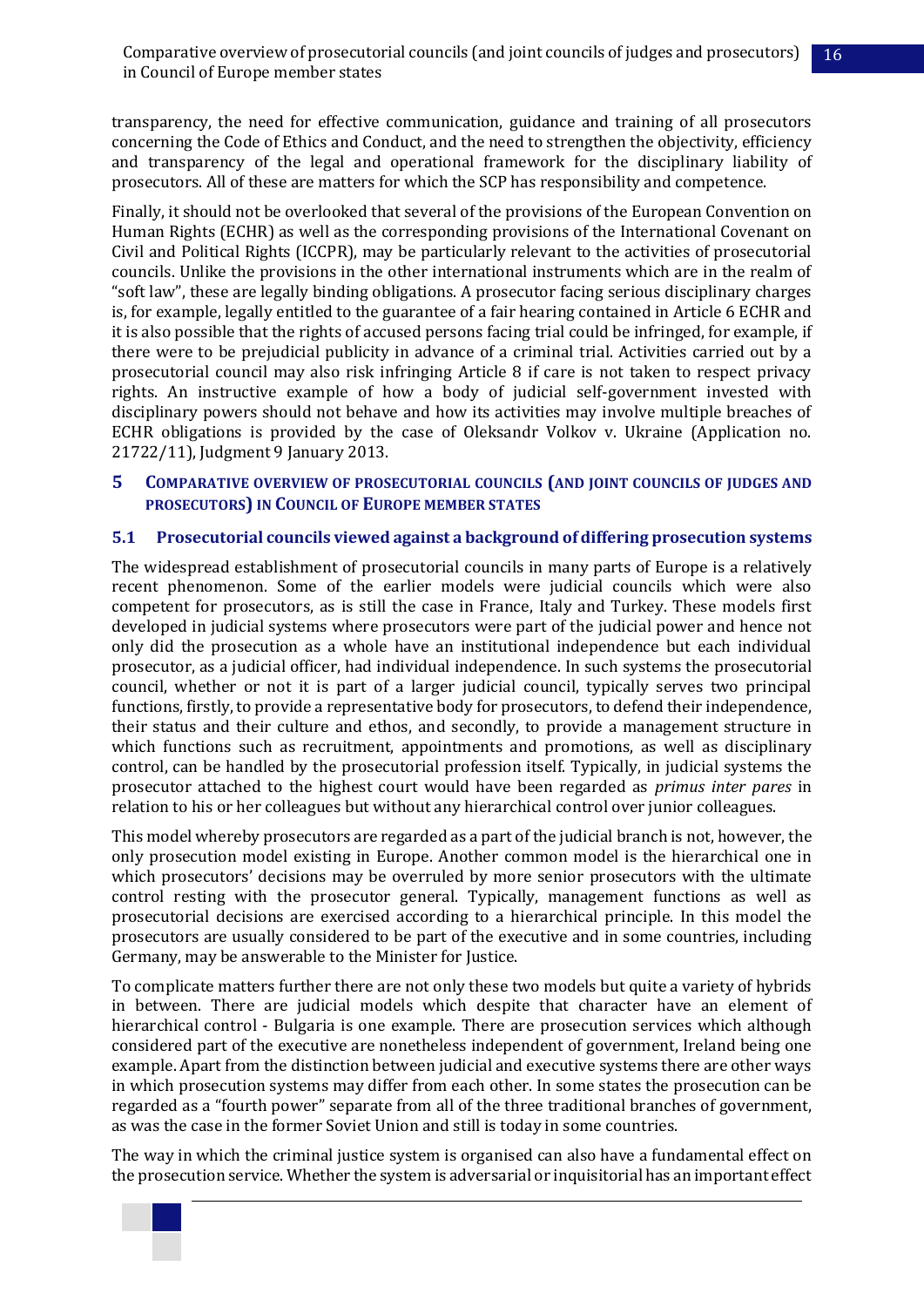transparency, the need for effective communication, guidance and training of all prosecutors concerning the Code of Ethics and Conduct, and the need to strengthen the objectivity, efficiency and transparency of the legal and operational framework for the disciplinary liability of prosecutors. All of these are matters for which the SCP has responsibility and competence.

Finally, it should not be overlooked that several of the provisions of the European Convention on Human Rights (ECHR) as well as the corresponding provisions of the International Covenant on Civil and Political Rights (ICCPR), may be particularly relevant to the activities of prosecutorial councils. Unlike the provisions in the other international instruments which are in the realm of "soft law", these are legally binding obligations. A prosecutor facing serious disciplinary charges is, for example, legally entitled to the guarantee of a fair hearing contained in Article 6 ECHR and it is also possible that the rights of accused persons facing trial could be infringed, for example, if there were to be prejudicial publicity in advance of a criminal trial. Activities carried out by a prosecutorial council may also risk infringing Article 8 if care is not taken to respect privacy rights. An instructive example of how a body of judicial self-government invested with disciplinary powers should not behave and how its activities may involve multiple breaches of ECHR obligations is provided by the case of Oleksandr Volkov v. Ukraine (Application no. 21722/11), Judgment 9 January 2013.

## <span id="page-15-0"></span>**5 COMPARATIVE OVERVIEW OF PROSECUTORIAL COUNCILS (AND JOINT COUNCILS OF JUDGES AND PROSECUTORS) IN COUNCIL OF EUROPE MEMBER STATES**

## <span id="page-15-1"></span>**5.1 Prosecutorial councils viewed against a background of differing prosecution systems**

The widespread establishment of prosecutorial councils in many parts of Europe is a relatively recent phenomenon. Some of the earlier models were judicial councils which were also competent for prosecutors, as is still the case in France, Italy and Turkey. These models first developed in judicial systems where prosecutors were part of the judicial power and hence not only did the prosecution as a whole have an institutional independence but each individual prosecutor, as a judicial officer, had individual independence. In such systems the prosecutorial council, whether or not it is part of a larger judicial council, typically serves two principal functions, firstly, to provide a representative body for prosecutors, to defend their independence, their status and their culture and ethos, and secondly, to provide a management structure in which functions such as recruitment, appointments and promotions, as well as disciplinary control, can be handled by the prosecutorial profession itself. Typically, in judicial systems the prosecutor attached to the highest court would have been regarded as *primus inter pares* in relation to his or her colleagues but without any hierarchical control over junior colleagues.

This model whereby prosecutors are regarded as a part of the judicial branch is not, however, the only prosecution model existing in Europe. Another common model is the hierarchical one in which prosecutors' decisions may be overruled by more senior prosecutors with the ultimate control resting with the prosecutor general. Typically, management functions as well as prosecutorial decisions are exercised according to a hierarchical principle. In this model the prosecutors are usually considered to be part of the executive and in some countries, including Germany, may be answerable to the Minister for Justice.

To complicate matters further there are not only these two models but quite a variety of hybrids in between. There are judicial models which despite that character have an element of hierarchical control - Bulgaria is one example. There are prosecution services which although considered part of the executive are nonetheless independent of government, Ireland being one example. Apart from the distinction between judicial and executive systems there are other ways in which prosecution systems may differ from each other. In some states the prosecution can be regarded as a "fourth power" separate from all of the three traditional branches of government, as was the case in the former Soviet Union and still is today in some countries.

The way in which the criminal justice system is organised can also have a fundamental effect on the prosecution service. Whether the system is adversarial or inquisitorial has an important effect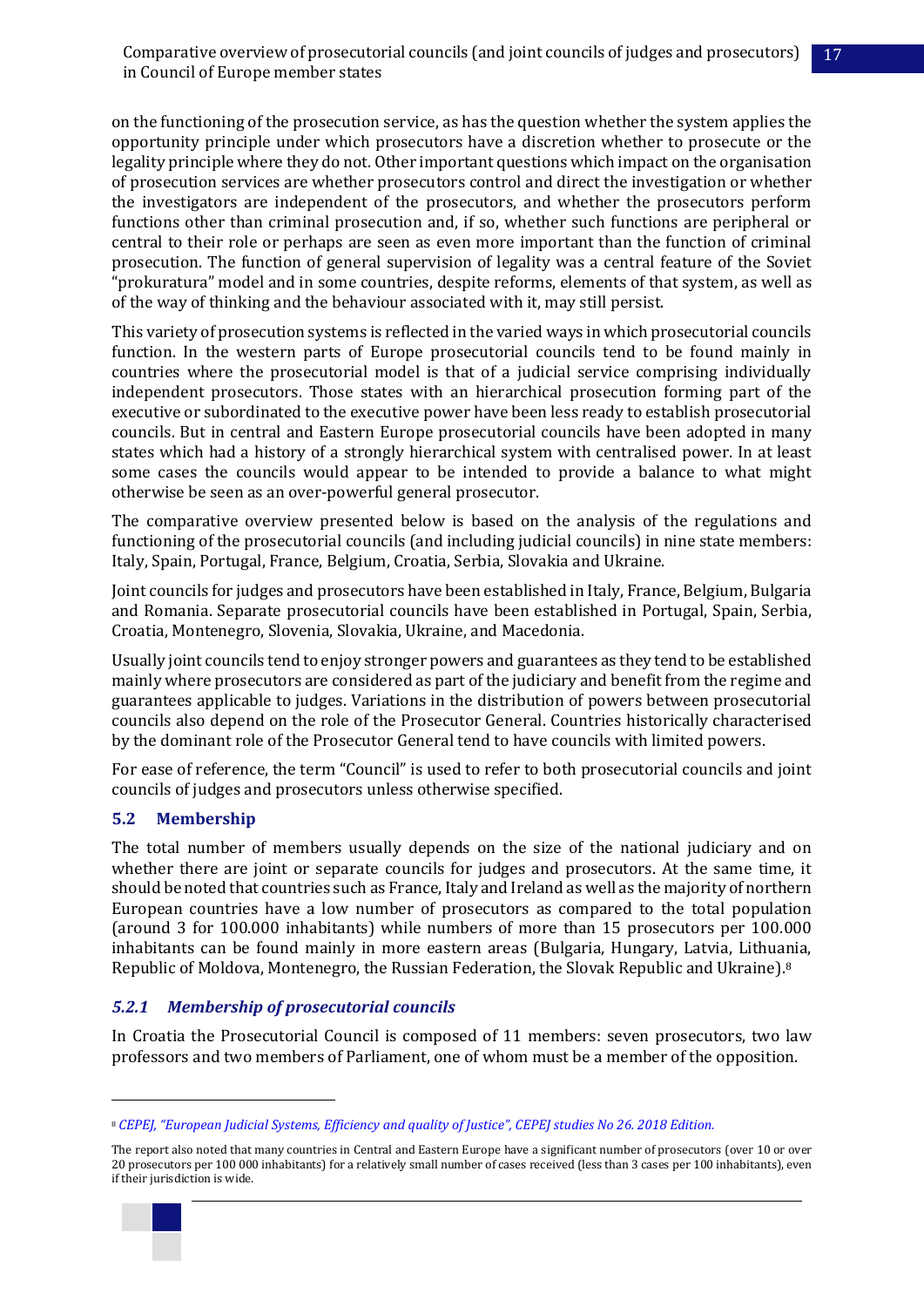on the functioning of the prosecution service, as has the question whether the system applies the opportunity principle under which prosecutors have a discretion whether to prosecute or the legality principle where they do not. Other important questions which impact on the organisation of prosecution services are whether prosecutors control and direct the investigation or whether the investigators are independent of the prosecutors, and whether the prosecutors perform functions other than criminal prosecution and, if so, whether such functions are peripheral or central to their role or perhaps are seen as even more important than the function of criminal prosecution. The function of general supervision of legality was a central feature of the Soviet "prokuratura" model and in some countries, despite reforms, elements of that system, as well as of the way of thinking and the behaviour associated with it, may still persist.

This variety of prosecution systems is reflected in the varied ways in which prosecutorial councils function. In the western parts of Europe prosecutorial councils tend to be found mainly in countries where the prosecutorial model is that of a judicial service comprising individually independent prosecutors. Those states with an hierarchical prosecution forming part of the executive or subordinated to the executive power have been less ready to establish prosecutorial councils. But in central and Eastern Europe prosecutorial councils have been adopted in many states which had a history of a strongly hierarchical system with centralised power. In at least some cases the councils would appear to be intended to provide a balance to what might otherwise be seen as an over-powerful general prosecutor.

The comparative overview presented below is based on the analysis of the regulations and functioning of the prosecutorial councils (and including judicial councils) in nine state members: Italy, Spain, Portugal, France, Belgium, Croatia, Serbia, Slovakia and Ukraine.

Joint councils for judges and prosecutors have been established in Italy, France, Belgium, Bulgaria and Romania. Separate prosecutorial councils have been established in Portugal, Spain, Serbia, Croatia, Montenegro, Slovenia, Slovakia, Ukraine, and Macedonia.

Usually joint councils tend to enjoy stronger powers and guarantees as they tend to be established mainly where prosecutors are considered as part of the judiciary and benefit from the regime and guarantees applicable to judges. Variations in the distribution of powers between prosecutorial councils also depend on the role of the Prosecutor General. Countries historically characterised by the dominant role of the Prosecutor General tend to have councils with limited powers.

For ease of reference, the term "Council" is used to refer to both prosecutorial councils and joint councils of judges and prosecutors unless otherwise specified.

# <span id="page-16-0"></span>**5.2 Membership**

The total number of members usually depends on the size of the national judiciary and on whether there are joint or separate councils for judges and prosecutors. At the same time, it should be noted that countries such as France, Italy and Ireland as well as the majority of northern European countries have a low number of prosecutors as compared to the total population (around 3 for 100.000 inhabitants) while numbers of more than 15 prosecutors per 100.000 inhabitants can be found mainly in more eastern areas (Bulgaria, Hungary, Latvia, Lithuania, Republic of Moldova, Montenegro, the Russian Federation, the Slovak Republic and Ukraine).<sup>8</sup>

## <span id="page-16-1"></span>*5.2.1 Membership of prosecutorial councils*

In Croatia the Prosecutorial Council is composed of 11 members: seven prosecutors, two law professors and two members of Parliament, one of whom must be a member of the opposition.

The report also noted that many countries in Central and Eastern Europe have a significant number of prosecutors (over 10 or over 20 prosecutors per 100 000 inhabitants) for a relatively small number of cases received (less than 3 cases per 100 inhabitants), even if their jurisdiction is wide.



<sup>8</sup> *CEPEJ, ["European](https://rm.coe.int/rapport-avec-couv-18-09-2018-en/16808def9c) Judicial Systems, Efficiency and quality of Justice", CEPEJ studies No 26. 2018 Edition.*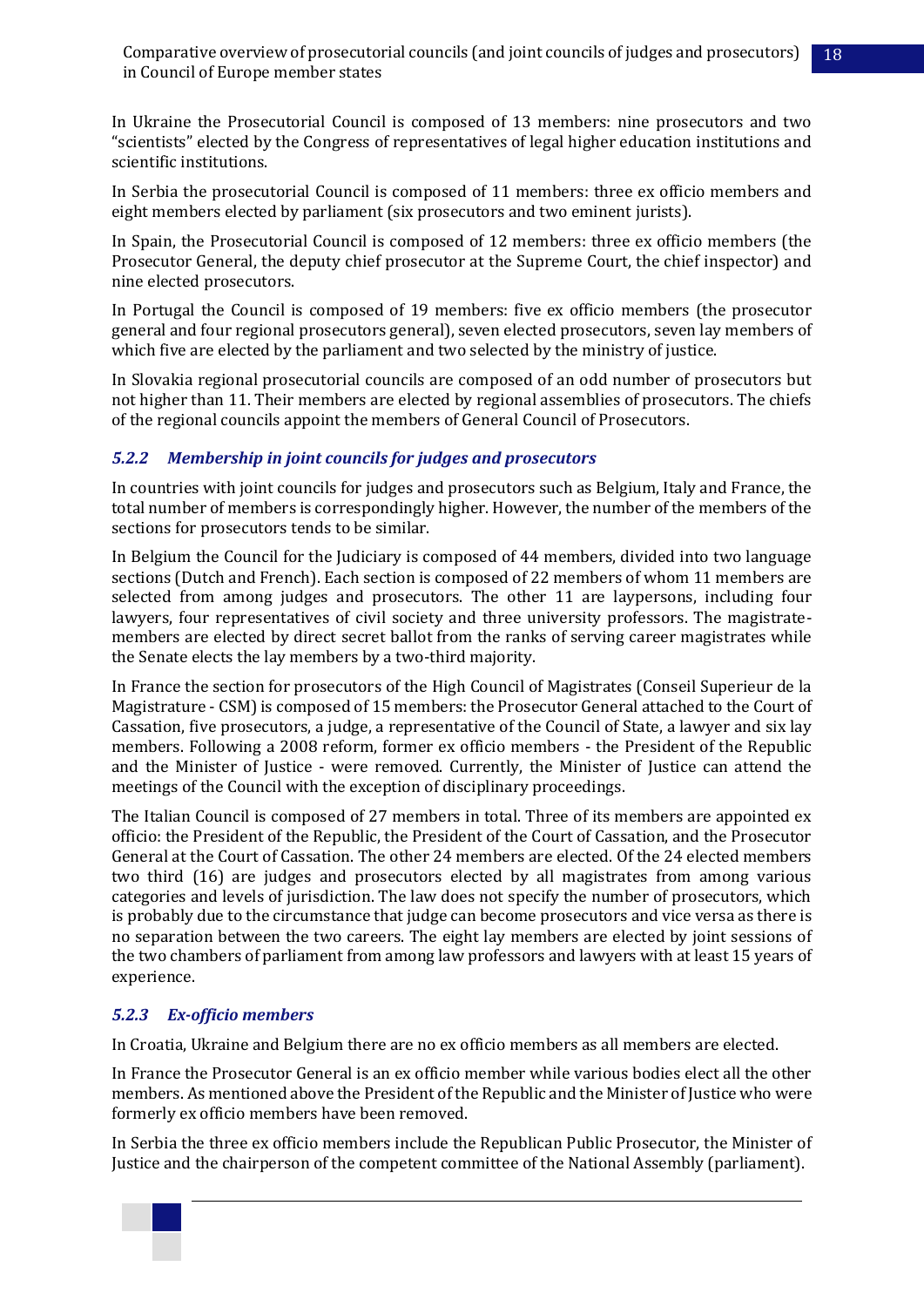In Ukraine the Prosecutorial Council is composed of 13 members: nine prosecutors and two "scientists" elected by the Congress of representatives of legal higher education institutions and scientific institutions.

In Serbia the prosecutorial Council is composed of 11 members: three ex officio members and eight members elected by parliament (six prosecutors and two eminent jurists).

In Spain, the Prosecutorial Council is composed of 12 members: three ex officio members (the Prosecutor General, the deputy chief prosecutor at the Supreme Court, the chief inspector) and nine elected prosecutors.

In Portugal the Council is composed of 19 members: five ex officio members (the prosecutor general and four regional prosecutors general), seven elected prosecutors, seven lay members of which five are elected by the parliament and two selected by the ministry of justice.

In Slovakia regional prosecutorial councils are composed of an odd number of prosecutors but not higher than 11. Their members are elected by regional assemblies of prosecutors. The chiefs of the regional councils appoint the members of General Council of Prosecutors.

# <span id="page-17-0"></span>*5.2.2 Membership in joint councils for judges and prosecutors*

In countries with joint councils for judges and prosecutors such as Belgium, Italy and France, the total number of members is correspondingly higher. However, the number of the members of the sections for prosecutors tends to be similar.

In Belgium the Council for the Judiciary is composed of 44 members, divided into two language sections (Dutch and French). Each section is composed of 22 members of whom 11 members are selected from among judges and prosecutors. The other 11 are laypersons, including four lawyers, four representatives of civil society and three university professors. The magistratemembers are elected by direct secret ballot from the ranks of serving career magistrates while the Senate elects the lay members by a two-third majority.

In France the section for prosecutors of the High Council of Magistrates (Conseil Superieur de la Magistrature - CSM) is composed of 15 members: the Prosecutor General attached to the Court of Cassation, five prosecutors, a judge, a representative of the Council of State, a lawyer and six lay members. Following a 2008 reform, former ex officio members - the President of the Republic and the Minister of Justice - were removed. Currently, the Minister of Justice can attend the meetings of the Council with the exception of disciplinary proceedings.

The Italian Council is composed of 27 members in total. Three of its members are appointed ex officio: the President of the Republic, the President of the Court of Cassation, and the Prosecutor General at the Court of Cassation. The other 24 members are elected. Of the 24 elected members two third (16) are judges and prosecutors elected by all magistrates from among various categories and levels of jurisdiction. The law does not specify the number of prosecutors, which is probably due to the circumstance that judge can become prosecutors and vice versa as there is no separation between the two careers. The eight lay members are elected by joint sessions of the two chambers of parliament from among law professors and lawyers with at least 15 years of experience.

# <span id="page-17-1"></span>*5.2.3 Ex-officio members*

In Croatia, Ukraine and Belgium there are no ex officio members as all members are elected.

In France the Prosecutor General is an ex officio member while various bodies elect all the other members. As mentioned above the President of the Republic and the Minister of Justice who were formerly ex officio members have been removed.

In Serbia the three ex officio members include the Republican Public Prosecutor, the Minister of Justice and the chairperson of the competent committee of the National Assembly (parliament).

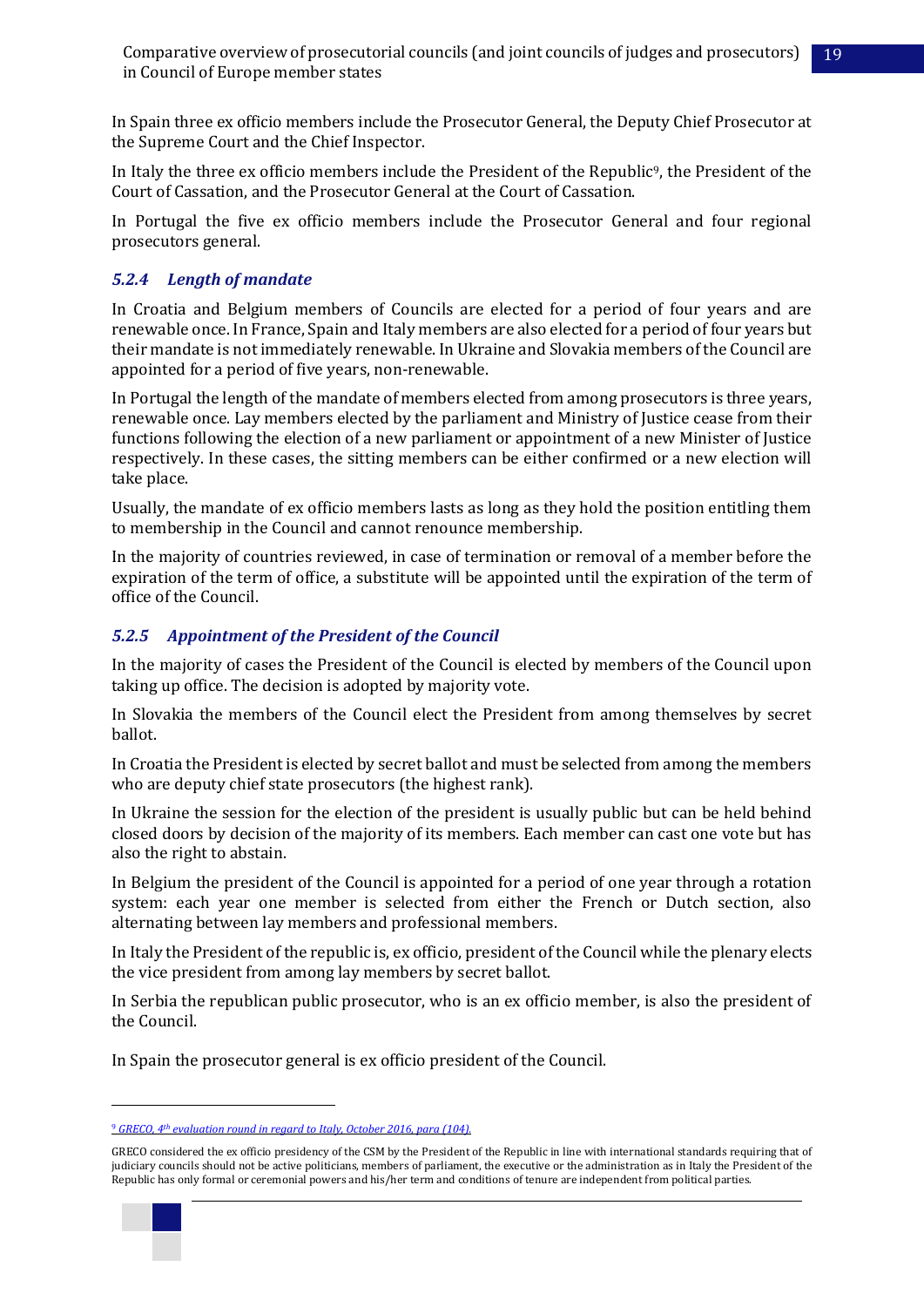In Spain three ex officio members include the Prosecutor General, the Deputy Chief Prosecutor at the Supreme Court and the Chief Inspector.

In Italy the three ex officio members include the President of the Republic9, the President of the Court of Cassation, and the Prosecutor General at the Court of Cassation.

In Portugal the five ex officio members include the Prosecutor General and four regional prosecutors general.

## <span id="page-18-0"></span>*5.2.4 Length of mandate*

In Croatia and Belgium members of Councils are elected for a period of four years and are renewable once. In France, Spain and Italy members are also elected for a period of four years but their mandate is not immediately renewable. In Ukraine and Slovakia members of the Council are appointed for a period of five years, non-renewable.

In Portugal the length of the mandate of members elected from among prosecutors is three years, renewable once. Lay members elected by the parliament and Ministry of Justice cease from their functions following the election of a new parliament or appointment of a new Minister of Justice respectively. In these cases, the sitting members can be either confirmed or a new election will take place.

Usually, the mandate of ex officio members lasts as long as they hold the position entitling them to membership in the Council and cannot renounce membership.

In the majority of countries reviewed, in case of termination or removal of a member before the expiration of the term of office, a substitute will be appointed until the expiration of the term of office of the Council.

## <span id="page-18-1"></span>*5.2.5 Appointment of the President of the Council*

In the majority of cases the President of the Council is elected by members of the Council upon taking up office. The decision is adopted by majority vote.

In Slovakia the members of the Council elect the President from among themselves by secret ballot.

In Croatia the President is elected by secret ballot and must be selected from among the members who are deputy chief state prosecutors (the highest rank).

In Ukraine the session for the election of the president is usually public but can be held behind closed doors by decision of the majority of its members. Each member can cast one vote but has also the right to abstain.

In Belgium the president of the Council is appointed for a period of one year through a rotation system: each year one member is selected from either the French or Dutch section, also alternating between lay members and professional members.

In Italy the President of the republic is, ex officio, president of the Council while the plenary elects the vice president from among lay members by secret ballot.

In Serbia the republican public prosecutor, who is an ex officio member, is also the president of the Council.

In Spain the prosecutor general is ex officio president of the Council.

GRECO considered the ex officio presidency of the CSM by the President of the Republic in line with international standards requiring that of judiciary councils should not be active politicians, members of parliament, the executive or the administration as in Italy the President of the Republic has only formal or ceremonial powers and his/her term and conditions of tenure are independent from political parties.



<sup>9</sup> *GRECO, 4 th [evaluation](https://rm.coe.int/CoERMPublicCommonSearchServices/DisplayDCTMContent?documentId=09000016806dce15) round in regard to Italy, October 2016, para (104).*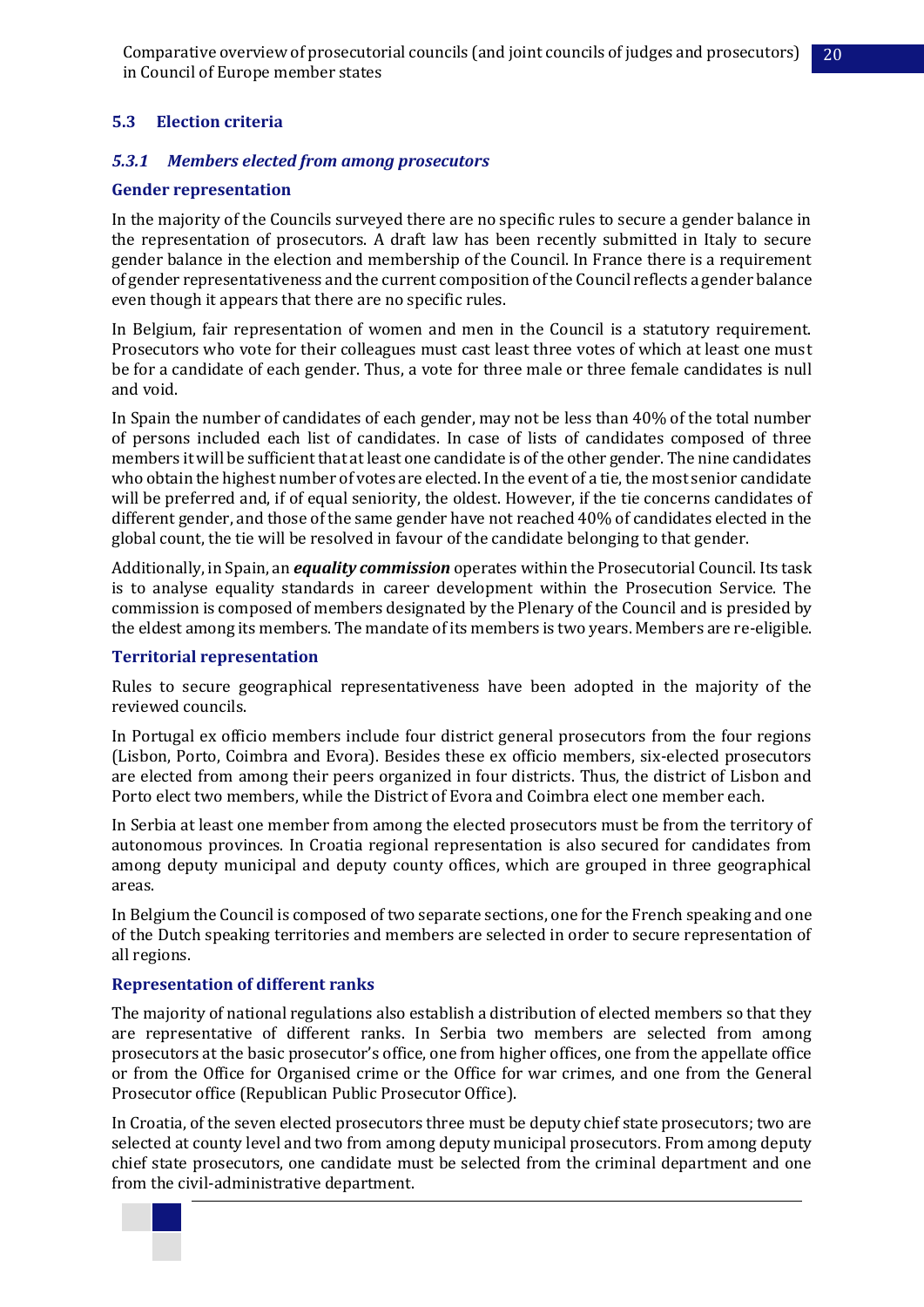Comparative overview of prosecutorial councils (and joint councils of judges and prosecutors) 20 in Council of Europe member states

### <span id="page-19-0"></span>**5.3 Election criteria**

### <span id="page-19-1"></span>*5.3.1 Members elected from among prosecutors*

#### **Gender representation**

In the majority of the Councils surveyed there are no specific rules to secure a gender balance in the representation of prosecutors. A draft law has been recently submitted in Italy to secure gender balance in the election and membership of the Council. In France there is a requirement of gender representativeness and the current composition of the Council reflects a gender balance even though it appears that there are no specific rules.

In Belgium, fair representation of women and men in the Council is a statutory requirement. Prosecutors who vote for their colleagues must cast least three votes of which at least one must be for a candidate of each gender. Thus, a vote for three male or three female candidates is null and void.

In Spain the number of candidates of each gender, may not be less than 40% of the total number of persons included each list of candidates. In case of lists of candidates composed of three members it will be sufficient that at least one candidate is of the other gender. The nine candidates who obtain the highest number of votes are elected. In the event of a tie, the most senior candidate will be preferred and, if of equal seniority, the oldest. However, if the tie concerns candidates of different gender, and those of the same gender have not reached 40% of candidates elected in the global count, the tie will be resolved in favour of the candidate belonging to that gender.

Additionally, in Spain, an *equality commission* operates within the Prosecutorial Council. Its task is to analyse equality standards in career development within the Prosecution Service. The commission is composed of members designated by the Plenary of the Council and is presided by the eldest among its members. The mandate of its members is two years. Members are re-eligible.

#### **Territorial representation**

Rules to secure geographical representativeness have been adopted in the majority of the reviewed councils.

In Portugal ex officio members include four district general prosecutors from the four regions (Lisbon, Porto, Coimbra and Evora). Besides these ex officio members, six-elected prosecutors are elected from among their peers organized in four districts. Thus, the district of Lisbon and Porto elect two members, while the District of Evora and Coimbra elect one member each.

In Serbia at least one member from among the elected prosecutors must be from the territory of autonomous provinces. In Croatia regional representation is also secured for candidates from among deputy municipal and deputy county offices, which are grouped in three geographical areas.

In Belgium the Council is composed of two separate sections, one for the French speaking and one of the Dutch speaking territories and members are selected in order to secure representation of all regions.

#### **Representation of different ranks**

The majority of national regulations also establish a distribution of elected members so that they are representative of different ranks. In Serbia two members are selected from among prosecutors at the basic prosecutor's office, one from higher offices, one from the appellate office or from the Office for Organised crime or the Office for war crimes, and one from the General Prosecutor office (Republican Public Prosecutor Office).

In Croatia, of the seven elected prosecutors three must be deputy chief state prosecutors; two are selected at county level and two from among deputy municipal prosecutors. From among deputy chief state prosecutors, one candidate must be selected from the criminal department and one from the civil-administrative department.

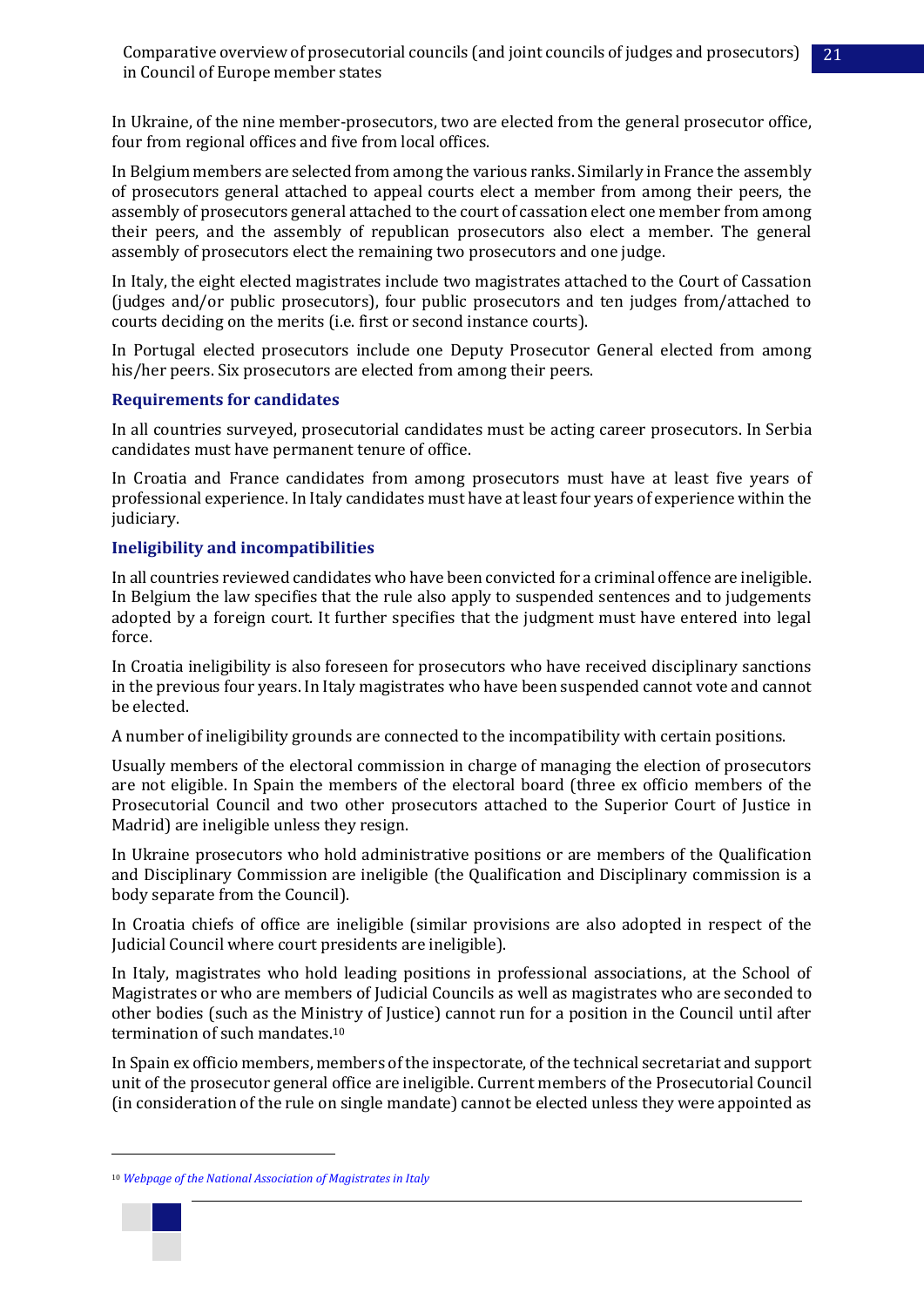In Ukraine, of the nine member-prosecutors, two are elected from the general prosecutor office, four from regional offices and five from local offices.

In Belgium members are selected from among the various ranks. Similarly in France the assembly of prosecutors general attached to appeal courts elect a member from among their peers, the assembly of prosecutors general attached to the court of cassation elect one member from among their peers, and the assembly of republican prosecutors also elect a member. The general assembly of prosecutors elect the remaining two prosecutors and one judge.

In Italy, the eight elected magistrates include two magistrates attached to the Court of Cassation (judges and/or public prosecutors), four public prosecutors and ten judges from/attached to courts deciding on the merits (i.e. first or second instance courts).

In Portugal elected prosecutors include one Deputy Prosecutor General elected from among his/her peers. Six prosecutors are elected from among their peers.

### **Requirements for candidates**

In all countries surveyed, prosecutorial candidates must be acting career prosecutors. In Serbia candidates must have permanent tenure of office.

In Croatia and France candidates from among prosecutors must have at least five years of professional experience. In Italy candidates must have at least four years of experience within the judiciary.

### **Ineligibility and incompatibilities**

In all countries reviewed candidates who have been convicted for a criminal offence are ineligible. In Belgium the law specifies that the rule also apply to suspended sentences and to judgements adopted by a foreign court. It further specifies that the judgment must have entered into legal force.

In Croatia ineligibility is also foreseen for prosecutors who have received disciplinary sanctions in the previous four years. In Italy magistrates who have been suspended cannot vote and cannot be elected.

A number of ineligibility grounds are connected to the incompatibility with certain positions.

Usually members of the electoral commission in charge of managing the election of prosecutors are not eligible. In Spain the members of the electoral board (three ex officio members of the Prosecutorial Council and two other prosecutors attached to the Superior Court of Justice in Madrid) are ineligible unless they resign.

In Ukraine prosecutors who hold administrative positions or are members of the Qualification and Disciplinary Commission are ineligible (the Qualification and Disciplinary commission is a body separate from the Council).

In Croatia chiefs of office are ineligible (similar provisions are also adopted in respect of the Judicial Council where court presidents are ineligible).

In Italy, magistrates who hold leading positions in professional associations, at the School of Magistrates or who are members of Judicial Councils as well as magistrates who are seconded to other bodies (such as the Ministry of Justice) cannot run for a position in the Council until after termination of such mandates.<sup>10</sup>

In Spain ex officio members, members of the inspectorate, of the technical secretariat and support unit of the prosecutor general office are ineligible. Current members of the Prosecutorial Council (in consideration of the rule on single mandate) cannot be elected unless they were appointed as

<sup>10</sup> *Webpage of the National Association of [Magistrates](https://www.associazionemagistrati.it/doc/3272/sulla-modifica-del-codice-etico.htm) in Italy*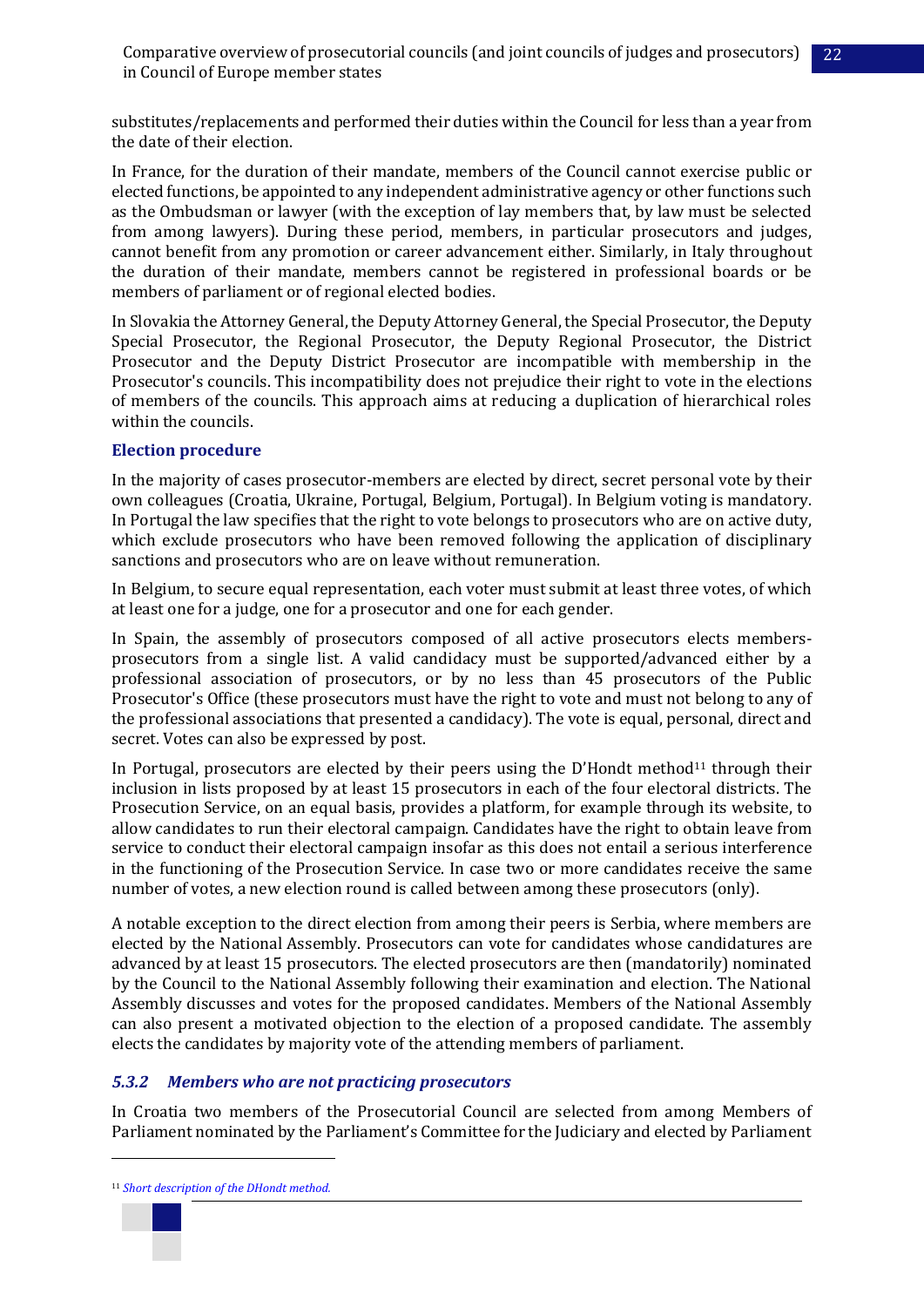substitutes/replacements and performed their duties within the Council for less than a year from the date of their election.

In France, for the duration of their mandate, members of the Council cannot exercise public or elected functions, be appointed to any independent administrative agency or other functions such as the Ombudsman or lawyer (with the exception of lay members that, by law must be selected from among lawyers). During these period, members, in particular prosecutors and judges, cannot benefit from any promotion or career advancement either. Similarly, in Italy throughout the duration of their mandate, members cannot be registered in professional boards or be members of parliament or of regional elected bodies.

In Slovakia the Attorney General, the Deputy Attorney General, the Special Prosecutor, the Deputy Special Prosecutor, the Regional Prosecutor, the Deputy Regional Prosecutor, the District Prosecutor and the Deputy District Prosecutor are incompatible with membership in the Prosecutor's councils. This incompatibility does not prejudice their right to vote in the elections of members of the councils. This approach aims at reducing a duplication of hierarchical roles within the councils.

### **Election procedure**

In the majority of cases prosecutor-members are elected by direct, secret personal vote by their own colleagues (Croatia, Ukraine, Portugal, Belgium, Portugal). In Belgium voting is mandatory. In Portugal the law specifies that the right to vote belongs to prosecutors who are on active duty, which exclude prosecutors who have been removed following the application of disciplinary sanctions and prosecutors who are on leave without remuneration.

In Belgium, to secure equal representation, each voter must submit at least three votes, of which at least one for a judge, one for a prosecutor and one for each gender.

In Spain, the assembly of prosecutors composed of all active prosecutors elects membersprosecutors from a single list. A valid candidacy must be supported/advanced either by a professional association of prosecutors, or by no less than 45 prosecutors of the Public Prosecutor's Office (these prosecutors must have the right to vote and must not belong to any of the professional associations that presented a candidacy). The vote is equal, personal, direct and secret. Votes can also be expressed by post.

In Portugal, prosecutors are elected by their peers using the D'Hondt method $11$  through their inclusion in lists proposed by at least 15 prosecutors in each of the four electoral districts. The Prosecution Service, on an equal basis, provides a platform, for example through its website, to allow candidates to run their electoral campaign. Candidates have the right to obtain leave from service to conduct their electoral campaign insofar as this does not entail a serious interference in the functioning of the Prosecution Service. In case two or more candidates receive the same number of votes, a new election round is called between among these prosecutors (only).

A notable exception to the direct election from among their peers is Serbia, where members are elected by the National Assembly. Prosecutors can vote for candidates whose candidatures are advanced by at least 15 prosecutors. The elected prosecutors are then (mandatorily) nominated by the Council to the National Assembly following their examination and election. The National Assembly discusses and votes for the proposed candidates. Members of the National Assembly can also present a motivated objection to the election of a proposed candidate. The assembly elects the candidates by majority vote of the attending members of parliament.

## <span id="page-21-0"></span>*5.3.2 Members who are not practicing prosecutors*

In Croatia two members of the Prosecutorial Council are selected from among Members of Parliament nominated by the Parliament's Committee for the Judiciary and elected by Parliament

<sup>11</sup> *[Short description of the DHondt method.](https://www.europarl.europa.eu/thinktank/en/document.html?reference=EPRS_BRI(2019)637966)*

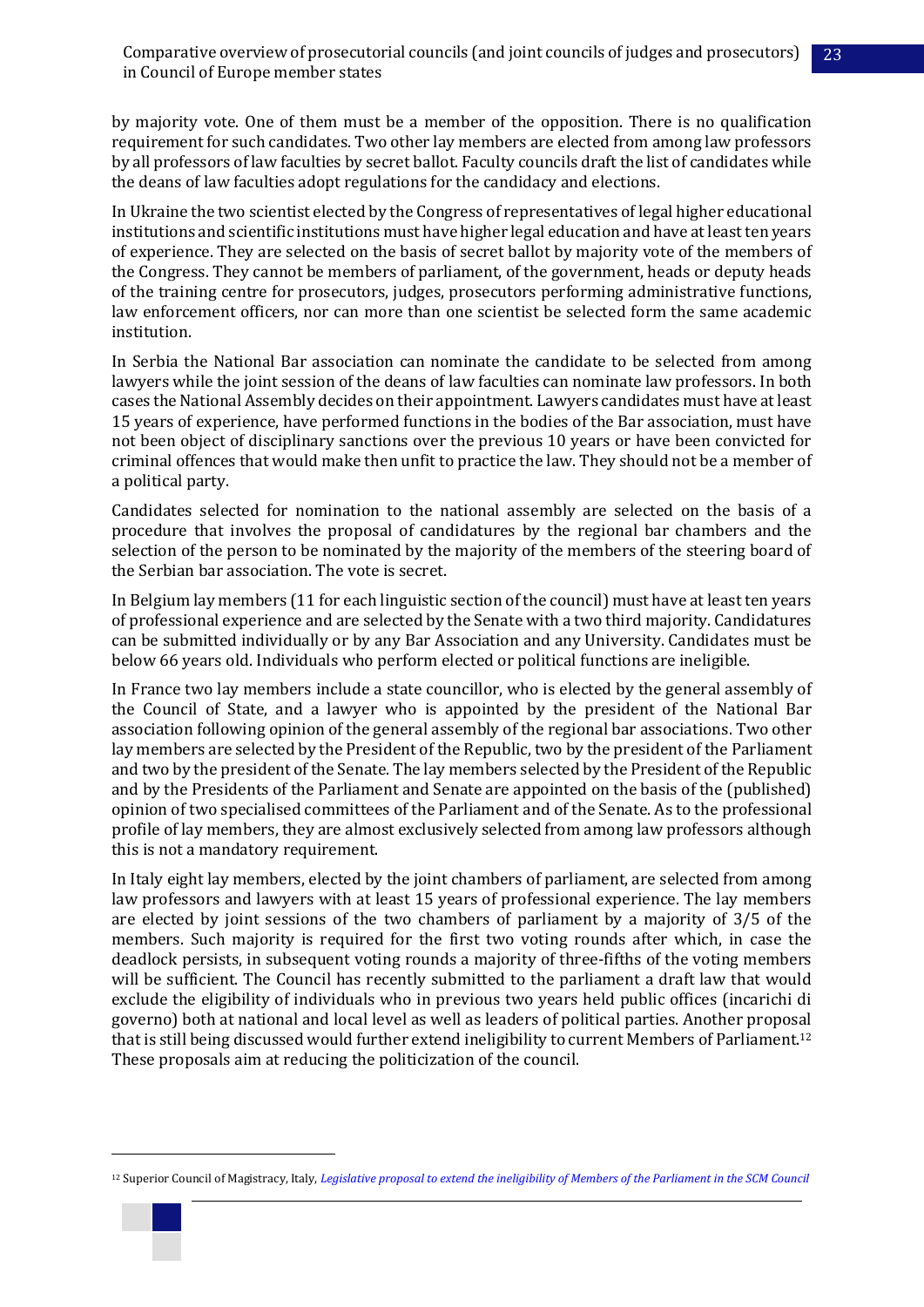by majority vote. One of them must be a member of the opposition. There is no qualification requirement for such candidates. Two other lay members are elected from among law professors by all professors of law faculties by secret ballot. Faculty councils draft the list of candidates while the deans of law faculties adopt regulations for the candidacy and elections.

In Ukraine the two scientist elected by the Congress of representatives of legal higher educational institutions and scientific institutions must have higher legal education and have at least ten years of experience. They are selected on the basis of secret ballot by majority vote of the members of the Congress. They cannot be members of parliament, of the government, heads or deputy heads of the training centre for prosecutors, judges, prosecutors performing administrative functions, law enforcement officers, nor can more than one scientist be selected form the same academic institution.

In Serbia the National Bar association can nominate the candidate to be selected from among lawyers while the joint session of the deans of law faculties can nominate law professors. In both cases the National Assembly decides on their appointment. Lawyers candidates must have at least 15 years of experience, have performed functions in the bodies of the Bar association, must have not been object of disciplinary sanctions over the previous 10 years or have been convicted for criminal offences that would make then unfit to practice the law. They should not be a member of a political party.

Candidates selected for nomination to the national assembly are selected on the basis of a procedure that involves the proposal of candidatures by the regional bar chambers and the selection of the person to be nominated by the majority of the members of the steering board of the Serbian bar association. The vote is secret.

In Belgium lay members (11 for each linguistic section of the council) must have at least ten years of professional experience and are selected by the Senate with a two third majority. Candidatures can be submitted individually or by any Bar Association and any University. Candidates must be below 66 years old. Individuals who perform elected or political functions are ineligible.

In France two lay members include a state councillor, who is elected by the general assembly of the Council of State, and a lawyer who is appointed by the president of the National Bar association following opinion of the general assembly of the regional bar associations. Two other lay members are selected by the President of the Republic, two by the president of the Parliament and two by the president of the Senate. The lay members selected by the President of the Republic and by the Presidents of the Parliament and Senate are appointed on the basis of the (published) opinion of two specialised committees of the Parliament and of the Senate. As to the professional profile of lay members, they are almost exclusively selected from among law professors although this is not a mandatory requirement.

In Italy eight lay members, elected by the joint chambers of parliament, are selected from among law professors and lawyers with at least 15 years of professional experience. The lay members are elected by joint sessions of the two chambers of parliament by a majority of 3/5 of the members. Such majority is required for the first two voting rounds after which, in case the deadlock persists, in subsequent voting rounds a majority of three-fifths of the voting members will be sufficient. The Council has recently submitted to the parliament a draft law that would exclude the eligibility of individuals who in previous two years held public offices (incarichi di governo) both at national and local level as well as leaders of political parties. Another proposal that is still being discussed would further extend ineligibility to current Members of Parliament.<sup>12</sup> These proposals aim at reducing the politicization of the council.

<sup>&</sup>lt;sup>12</sup> Superior Council of Magistracy, Italy, Legislative proposal to extend the [ineligibility](https://www.repubblica.it/politica/2020/07/22/news/csm_stop_alle_candidature_per_due_anni_per_uomini_di_governo_e_segretari_di_partito-262599941/) of Members of the Parliament in the SCM Council

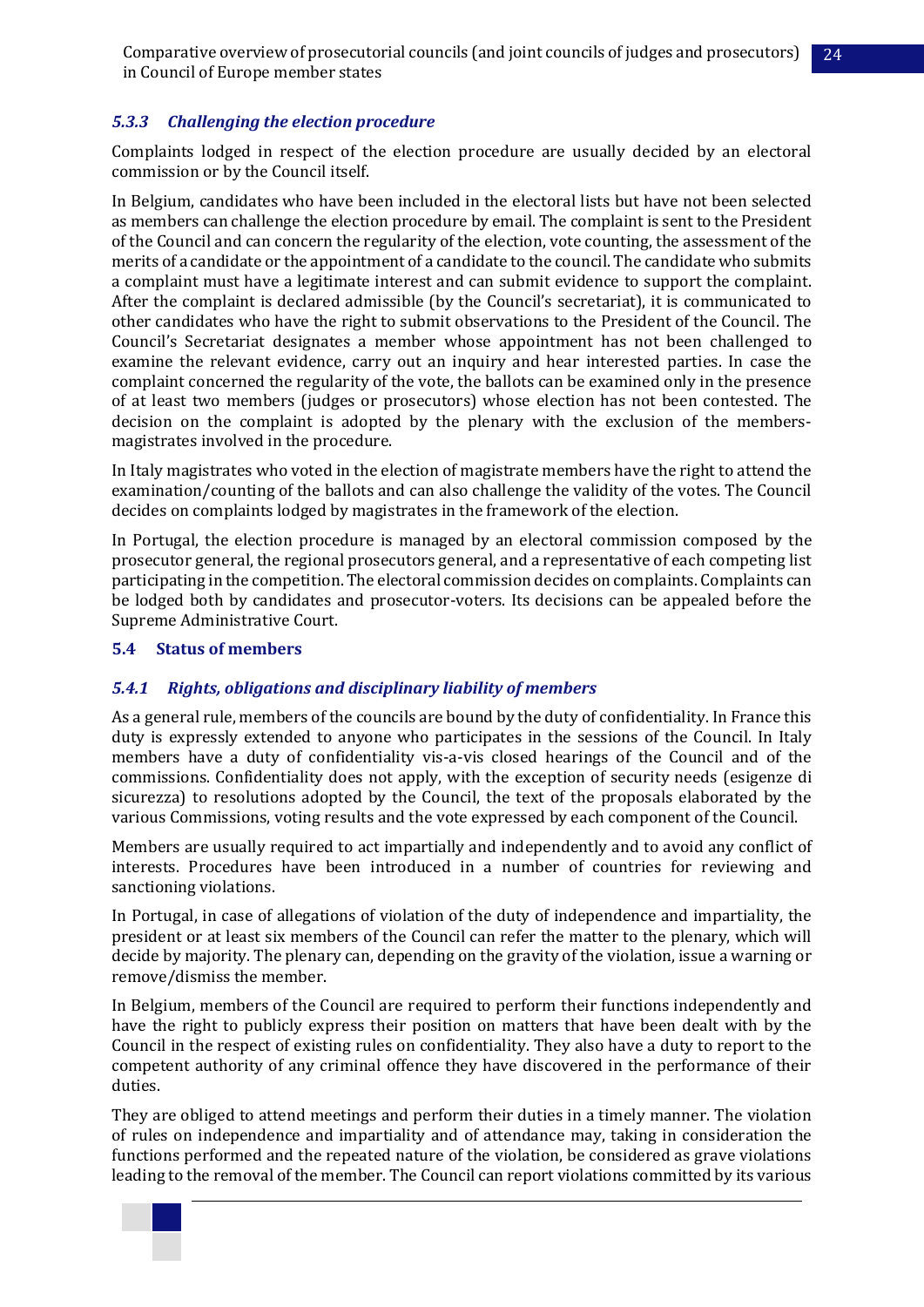## <span id="page-23-0"></span>*5.3.3 Challenging the election procedure*

Complaints lodged in respect of the election procedure are usually decided by an electoral commission or by the Council itself.

In Belgium, candidates who have been included in the electoral lists but have not been selected as members can challenge the election procedure by email. The complaint is sent to the President of the Council and can concern the regularity of the election, vote counting, the assessment of the merits of a candidate or the appointment of a candidate to the council. The candidate who submits a complaint must have a legitimate interest and can submit evidence to support the complaint. After the complaint is declared admissible (by the Council's secretariat), it is communicated to other candidates who have the right to submit observations to the President of the Council. The Council's Secretariat designates a member whose appointment has not been challenged to examine the relevant evidence, carry out an inquiry and hear interested parties. In case the complaint concerned the regularity of the vote, the ballots can be examined only in the presence of at least two members (judges or prosecutors) whose election has not been contested. The decision on the complaint is adopted by the plenary with the exclusion of the membersmagistrates involved in the procedure.

In Italy magistrates who voted in the election of magistrate members have the right to attend the examination/counting of the ballots and can also challenge the validity of the votes. The Council decides on complaints lodged by magistrates in the framework of the election.

In Portugal, the election procedure is managed by an electoral commission composed by the prosecutor general, the regional prosecutors general, and a representative of each competing list participating in the competition. The electoral commission decides on complaints. Complaints can be lodged both by candidates and prosecutor-voters. Its decisions can be appealed before the Supreme Administrative Court.

### <span id="page-23-1"></span>**5.4 Status of members**

## <span id="page-23-2"></span>*5.4.1 Rights, obligations and disciplinary liability of members*

As a general rule, members of the councils are bound by the duty of confidentiality. In France this duty is expressly extended to anyone who participates in the sessions of the Council. In Italy members have a duty of confidentiality vis-a-vis closed hearings of the Council and of the commissions. Confidentiality does not apply, with the exception of security needs (esigenze di sicurezza) to resolutions adopted by the Council, the text of the proposals elaborated by the various Commissions, voting results and the vote expressed by each component of the Council.

Members are usually required to act impartially and independently and to avoid any conflict of interests. Procedures have been introduced in a number of countries for reviewing and sanctioning violations.

In Portugal, in case of allegations of violation of the duty of independence and impartiality, the president or at least six members of the Council can refer the matter to the plenary, which will decide by majority. The plenary can, depending on the gravity of the violation, issue a warning or remove/dismiss the member.

In Belgium, members of the Council are required to perform their functions independently and have the right to publicly express their position on matters that have been dealt with by the Council in the respect of existing rules on confidentiality. They also have a duty to report to the competent authority of any criminal offence they have discovered in the performance of their duties.

They are obliged to attend meetings and perform their duties in a timely manner. The violation of rules on independence and impartiality and of attendance may, taking in consideration the functions performed and the repeated nature of the violation, be considered as grave violations leading to the removal of the member. The Council can report violations committed by its various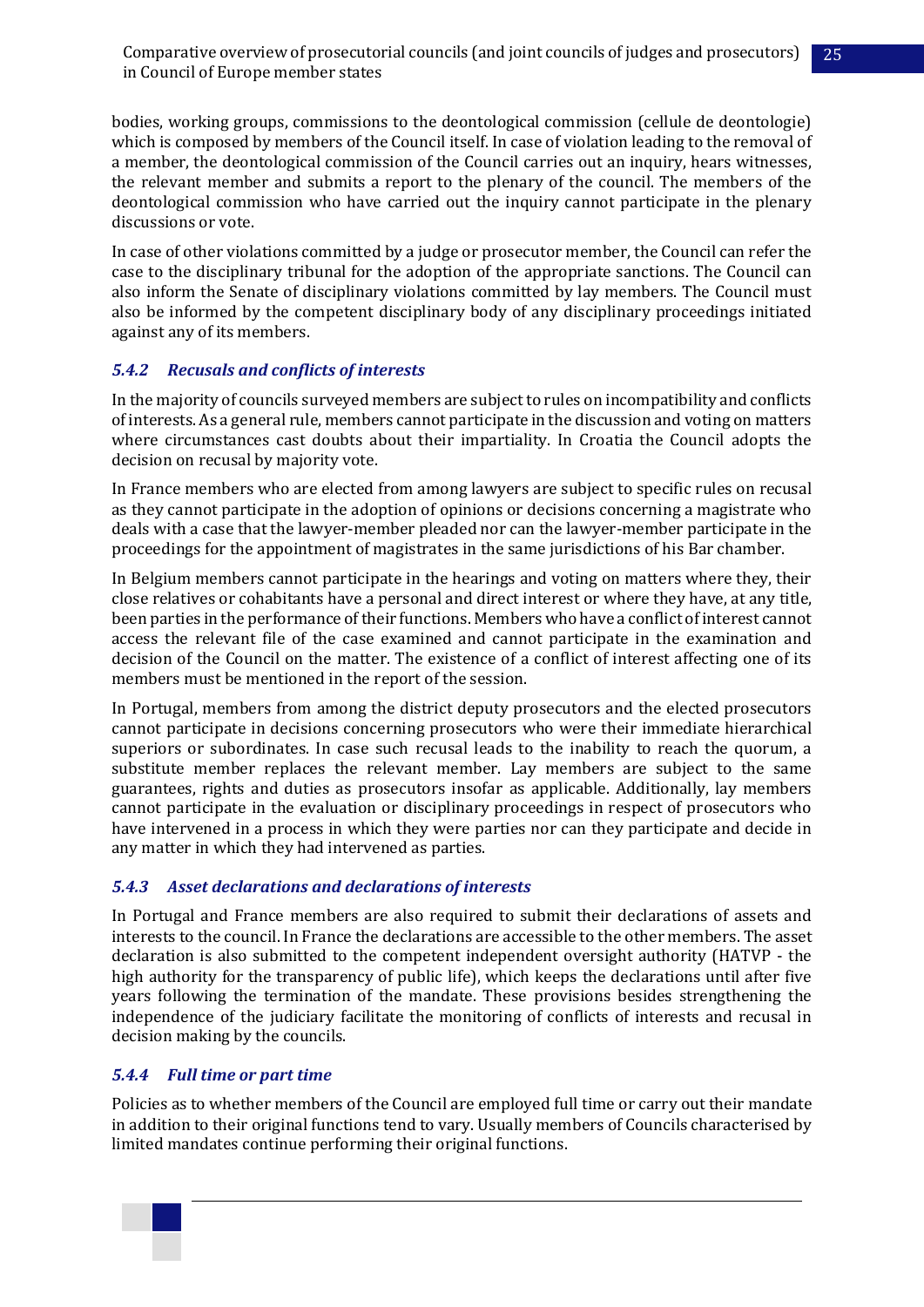bodies, working groups, commissions to the deontological commission (cellule de deontologie) which is composed by members of the Council itself. In case of violation leading to the removal of a member, the deontological commission of the Council carries out an inquiry, hears witnesses, the relevant member and submits a report to the plenary of the council. The members of the deontological commission who have carried out the inquiry cannot participate in the plenary discussions or vote.

In case of other violations committed by a judge or prosecutor member, the Council can refer the case to the disciplinary tribunal for the adoption of the appropriate sanctions. The Council can also inform the Senate of disciplinary violations committed by lay members. The Council must also be informed by the competent disciplinary body of any disciplinary proceedings initiated against any of its members.

## <span id="page-24-0"></span>*5.4.2 Recusals and conflicts of interests*

In the majority of councils surveyed members are subject to rules on incompatibility and conflicts of interests. As a general rule, members cannot participate in the discussion and voting on matters where circumstances cast doubts about their impartiality. In Croatia the Council adopts the decision on recusal by majority vote.

In France members who are elected from among lawyers are subject to specific rules on recusal as they cannot participate in the adoption of opinions or decisions concerning a magistrate who deals with a case that the lawyer-member pleaded nor can the lawyer-member participate in the proceedings for the appointment of magistrates in the same jurisdictions of his Bar chamber.

In Belgium members cannot participate in the hearings and voting on matters where they, their close relatives or cohabitants have a personal and direct interest or where they have, at any title, been parties in the performance of their functions. Members who have a conflict of interest cannot access the relevant file of the case examined and cannot participate in the examination and decision of the Council on the matter. The existence of a conflict of interest affecting one of its members must be mentioned in the report of the session.

In Portugal, members from among the district deputy prosecutors and the elected prosecutors cannot participate in decisions concerning prosecutors who were their immediate hierarchical superiors or subordinates. In case such recusal leads to the inability to reach the quorum, a substitute member replaces the relevant member. Lay members are subject to the same guarantees, rights and duties as prosecutors insofar as applicable. Additionally, lay members cannot participate in the evaluation or disciplinary proceedings in respect of prosecutors who have intervened in a process in which they were parties nor can they participate and decide in any matter in which they had intervened as parties.

# <span id="page-24-1"></span>*5.4.3 Asset declarations and declarations of interests*

In Portugal and France members are also required to submit their declarations of assets and interests to the council. In France the declarations are accessible to the other members. The asset declaration is also submitted to the competent independent oversight authority (HATVP - the high authority for the transparency of public life), which keeps the declarations until after five years following the termination of the mandate. These provisions besides strengthening the independence of the judiciary facilitate the monitoring of conflicts of interests and recusal in decision making by the councils.

# <span id="page-24-2"></span>*5.4.4 Full time or part time*

Policies as to whether members of the Council are employed full time or carry out their mandate in addition to their original functions tend to vary. Usually members of Councils characterised by limited mandates continue performing their original functions.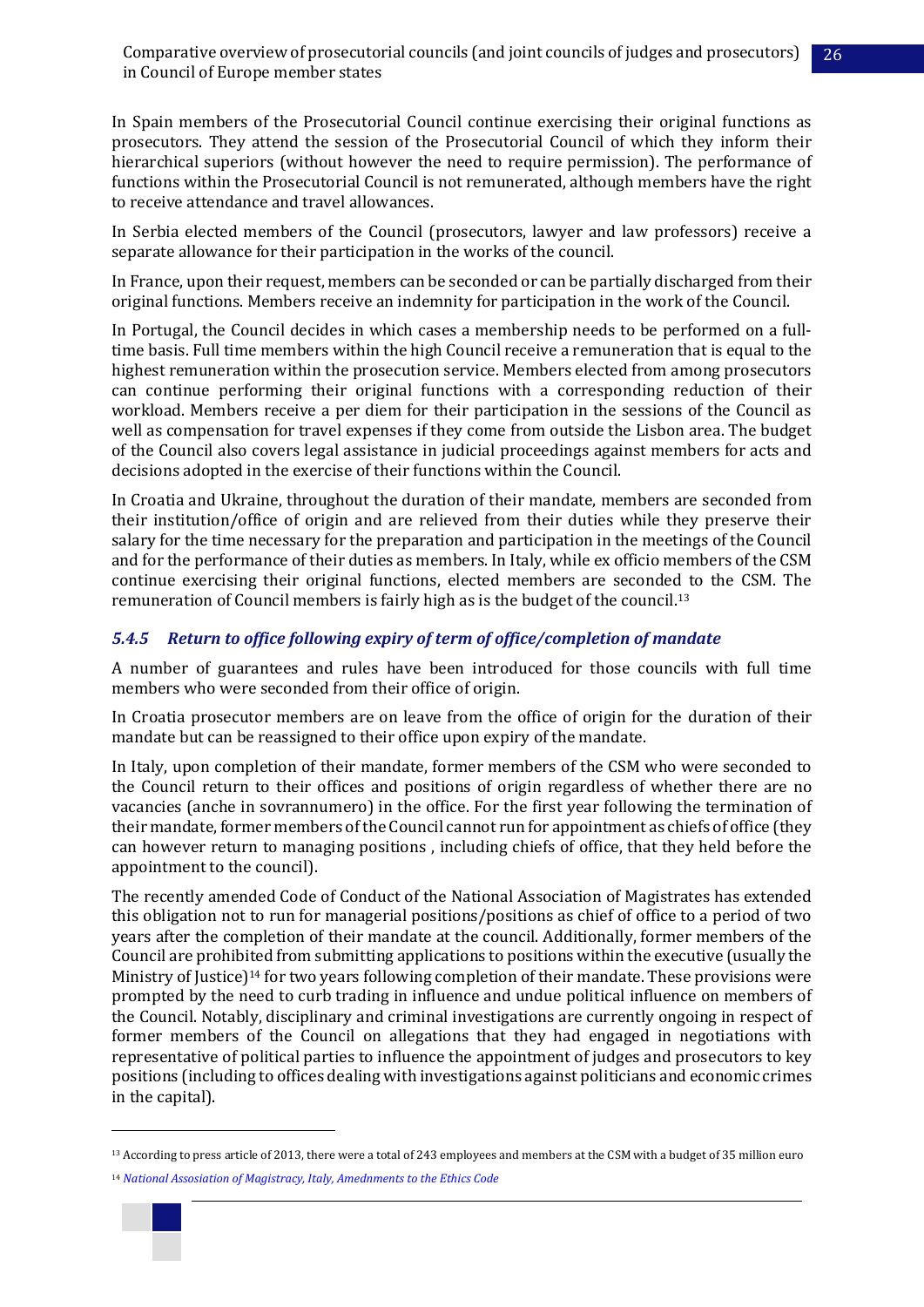In Spain members of the Prosecutorial Council continue exercising their original functions as prosecutors. They attend the session of the Prosecutorial Council of which they inform their hierarchical superiors (without however the need to require permission). The performance of functions within the Prosecutorial Council is not remunerated, although members have the right to receive attendance and travel allowances.

In Serbia elected members of the Council (prosecutors, lawyer and law professors) receive a separate allowance for their participation in the works of the council.

In France, upon their request, members can be seconded or can be partially discharged from their original functions. Members receive an indemnity for participation in the work of the Council.

In Portugal, the Council decides in which cases a membership needs to be performed on a fulltime basis. Full time members within the high Council receive a remuneration that is equal to the highest remuneration within the prosecution service. Members elected from among prosecutors can continue performing their original functions with a corresponding reduction of their workload. Members receive a per diem for their participation in the sessions of the Council as well as compensation for travel expenses if they come from outside the Lisbon area. The budget of the Council also covers legal assistance in judicial proceedings against members for acts and decisions adopted in the exercise of their functions within the Council.

In Croatia and Ukraine, throughout the duration of their mandate, members are seconded from their institution/office of origin and are relieved from their duties while they preserve their salary for the time necessary for the preparation and participation in the meetings of the Council and for the performance of their duties as members. In Italy, while ex officio members of the CSM continue exercising their original functions, elected members are seconded to the CSM. The remuneration of Council members is fairly high as is the budget of the council.<sup>13</sup>

# <span id="page-25-0"></span>*5.4.5 Return to office following expiry of term of office/completion of mandate*

A number of guarantees and rules have been introduced for those councils with full time members who were seconded from their office of origin.

In Croatia prosecutor members are on leave from the office of origin for the duration of their mandate but can be reassigned to their office upon expiry of the mandate.

In Italy, upon completion of their mandate, former members of the CSM who were seconded to the Council return to their offices and positions of origin regardless of whether there are no vacancies (anche in sovrannumero) in the office. For the first year following the termination of their mandate, former members of the Council cannot run for appointment as chiefs of office (they can however return to managing positions , including chiefs of office, that they held before the appointment to the council).

The recently amended Code of Conduct of the National Association of Magistrates has extended this obligation not to run for managerial positions/positions as chief of office to a period of two years after the completion of their mandate at the council. Additionally, former members of the Council are prohibited from submitting applications to positions within the executive (usually the Ministry of Justice)<sup>14</sup> for two years following completion of their mandate. These provisions were prompted by the need to curb trading in influence and undue political influence on members of the Council. Notably, disciplinary and criminal investigations are currently ongoing in respect of former members of the Council on allegations that they had engaged in negotiations with representative of political parties to influence the appointment of judges and prosecutors to key positions (including to offices dealing with investigations against politicians and economic crimes in the capital).

<sup>14</sup> *National Assosiation of Magistracy, Italy, [Amednments](https://www.associazionemagistrati.it/doc/3272/sulla-modifica-del-codice-etico.htm) to the Ethics Code*



<sup>13</sup> According to press article of 2013, there were a total of 243 employees and members at the CSM with a budget of 35 million euro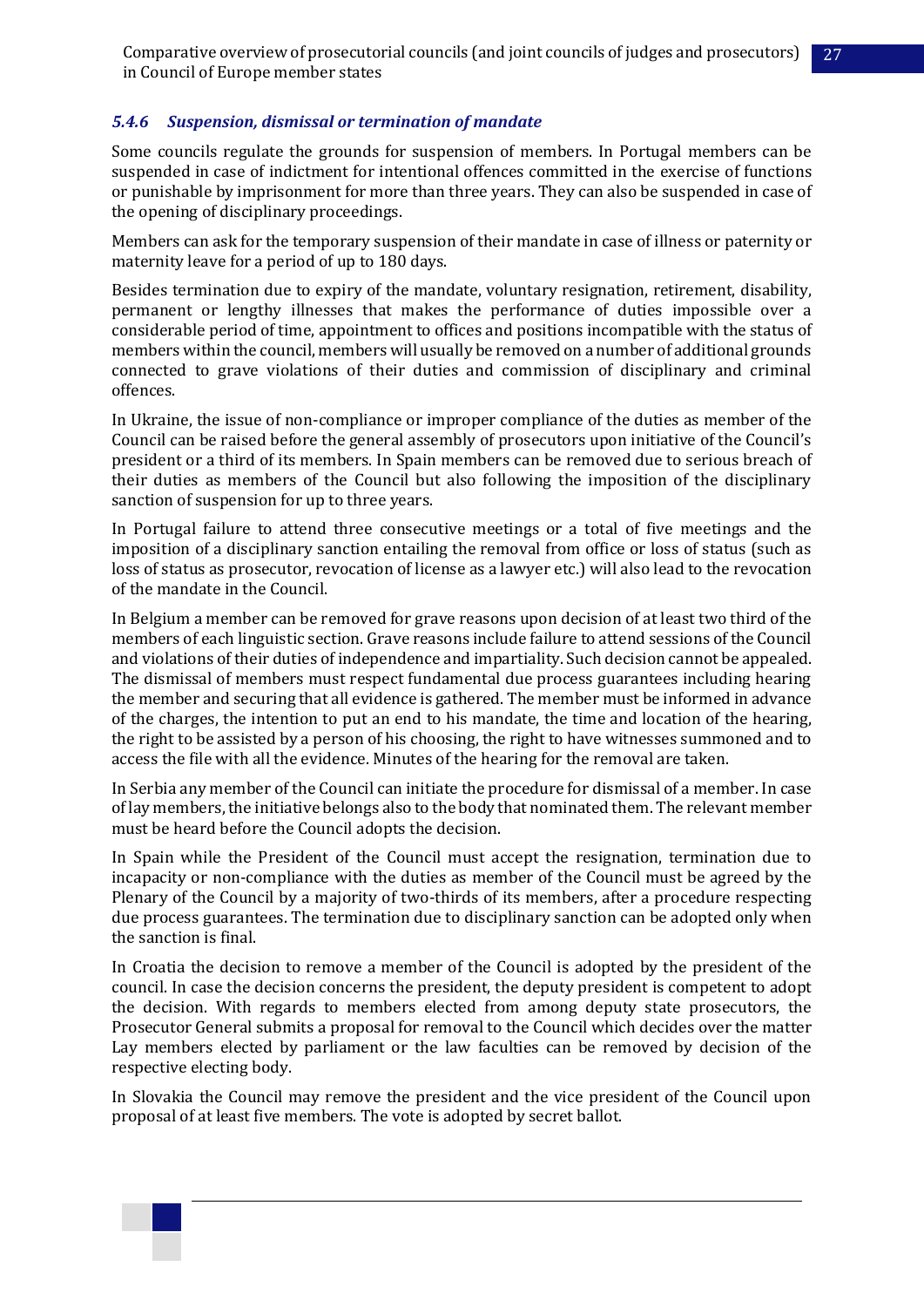### <span id="page-26-0"></span>*5.4.6 Suspension, dismissal or termination of mandate*

Some councils regulate the grounds for suspension of members. In Portugal members can be suspended in case of indictment for intentional offences committed in the exercise of functions or punishable by imprisonment for more than three years. They can also be suspended in case of the opening of disciplinary proceedings.

Members can ask for the temporary suspension of their mandate in case of illness or paternity or maternity leave for a period of up to 180 days.

Besides termination due to expiry of the mandate, voluntary resignation, retirement, disability, permanent or lengthy illnesses that makes the performance of duties impossible over a considerable period of time, appointment to offices and positions incompatible with the status of members within the council, members will usually be removed on a number of additional grounds connected to grave violations of their duties and commission of disciplinary and criminal offences.

In Ukraine, the issue of non-compliance or improper compliance of the duties as member of the Council can be raised before the general assembly of prosecutors upon initiative of the Council's president or a third of its members. In Spain members can be removed due to serious breach of their duties as members of the Council but also following the imposition of the disciplinary sanction of suspension for up to three years.

In Portugal failure to attend three consecutive meetings or a total of five meetings and the imposition of a disciplinary sanction entailing the removal from office or loss of status (such as loss of status as prosecutor, revocation of license as a lawyer etc.) will also lead to the revocation of the mandate in the Council.

In Belgium a member can be removed for grave reasons upon decision of at least two third of the members of each linguistic section. Grave reasons include failure to attend sessions of the Council and violations of their duties of independence and impartiality. Such decision cannot be appealed. The dismissal of members must respect fundamental due process guarantees including hearing the member and securing that all evidence is gathered. The member must be informed in advance of the charges, the intention to put an end to his mandate, the time and location of the hearing, the right to be assisted by a person of his choosing, the right to have witnesses summoned and to access the file with all the evidence. Minutes of the hearing for the removal are taken.

In Serbia any member of the Council can initiate the procedure for dismissal of a member. In case of lay members, the initiative belongs also to the body that nominated them. The relevant member must be heard before the Council adopts the decision.

In Spain while the President of the Council must accept the resignation, termination due to incapacity or non-compliance with the duties as member of the Council must be agreed by the Plenary of the Council by a majority of two-thirds of its members, after a procedure respecting due process guarantees. The termination due to disciplinary sanction can be adopted only when the sanction is final.

In Croatia the decision to remove a member of the Council is adopted by the president of the council. In case the decision concerns the president, the deputy president is competent to adopt the decision. With regards to members elected from among deputy state prosecutors, the Prosecutor General submits a proposal for removal to the Council which decides over the matter Lay members elected by parliament or the law faculties can be removed by decision of the respective electing body.

In Slovakia the Council may remove the president and the vice president of the Council upon proposal of at least five members. The vote is adopted by secret ballot.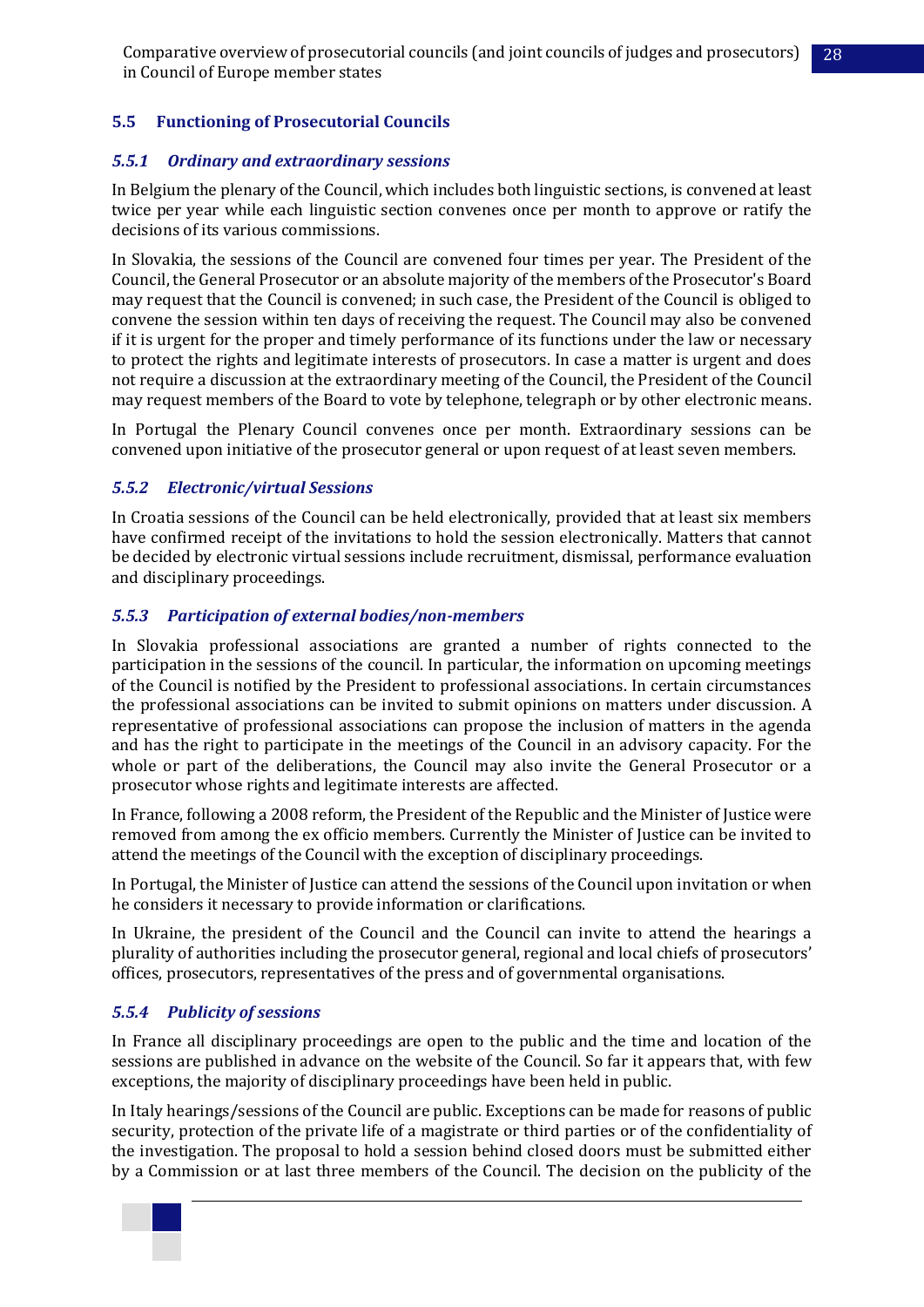Comparative overview of prosecutorial councils (and joint councils of judges and prosecutors) 28 in Council of Europe member states

## <span id="page-27-0"></span>**5.5 Functioning of Prosecutorial Councils**

### <span id="page-27-1"></span>*5.5.1 Ordinary and extraordinary sessions*

In Belgium the plenary of the Council, which includes both linguistic sections, is convened at least twice per year while each linguistic section convenes once per month to approve or ratify the decisions of its various commissions.

In Slovakia, the sessions of the Council are convened four times per year. The President of the Council, the General Prosecutor or an absolute majority of the members of the Prosecutor's Board may request that the Council is convened; in such case, the President of the Council is obliged to convene the session within ten days of receiving the request. The Council may also be convened if it is urgent for the proper and timely performance of its functions under the law or necessary to protect the rights and legitimate interests of prosecutors. In case a matter is urgent and does not require a discussion at the extraordinary meeting of the Council, the President of the Council may request members of the Board to vote by telephone, telegraph or by other electronic means.

In Portugal the Plenary Council convenes once per month. Extraordinary sessions can be convened upon initiative of the prosecutor general or upon request of at least seven members.

#### <span id="page-27-2"></span>*5.5.2 Electronic/virtual Sessions*

In Croatia sessions of the Council can be held electronically, provided that at least six members have confirmed receipt of the invitations to hold the session electronically. Matters that cannot be decided by electronic virtual sessions include recruitment, dismissal, performance evaluation and disciplinary proceedings.

#### <span id="page-27-3"></span>*5.5.3 Participation of external bodies/non-members*

In Slovakia professional associations are granted a number of rights connected to the participation in the sessions of the council. In particular, the information on upcoming meetings of the Council is notified by the President to professional associations. In certain circumstances the professional associations can be invited to submit opinions on matters under discussion. A representative of professional associations can propose the inclusion of matters in the agenda and has the right to participate in the meetings of the Council in an advisory capacity. For the whole or part of the deliberations, the Council may also invite the General Prosecutor or a prosecutor whose rights and legitimate interests are affected.

In France, following a 2008 reform, the President of the Republic and the Minister of Justice were removed from among the ex officio members. Currently the Minister of Justice can be invited to attend the meetings of the Council with the exception of disciplinary proceedings.

In Portugal, the Minister of Justice can attend the sessions of the Council upon invitation or when he considers it necessary to provide information or clarifications.

In Ukraine, the president of the Council and the Council can invite to attend the hearings a plurality of authorities including the prosecutor general, regional and local chiefs of prosecutors' offices, prosecutors, representatives of the press and of governmental organisations.

## <span id="page-27-4"></span>*5.5.4 Publicity of sessions*

In France all disciplinary proceedings are open to the public and the time and location of the sessions are published in advance on the website of the Council. So far it appears that, with few exceptions, the majority of disciplinary proceedings have been held in public.

In Italy hearings/sessions of the Council are public. Exceptions can be made for reasons of public security, protection of the private life of a magistrate or third parties or of the confidentiality of the investigation. The proposal to hold a session behind closed doors must be submitted either by a Commission or at last three members of the Council. The decision on the publicity of the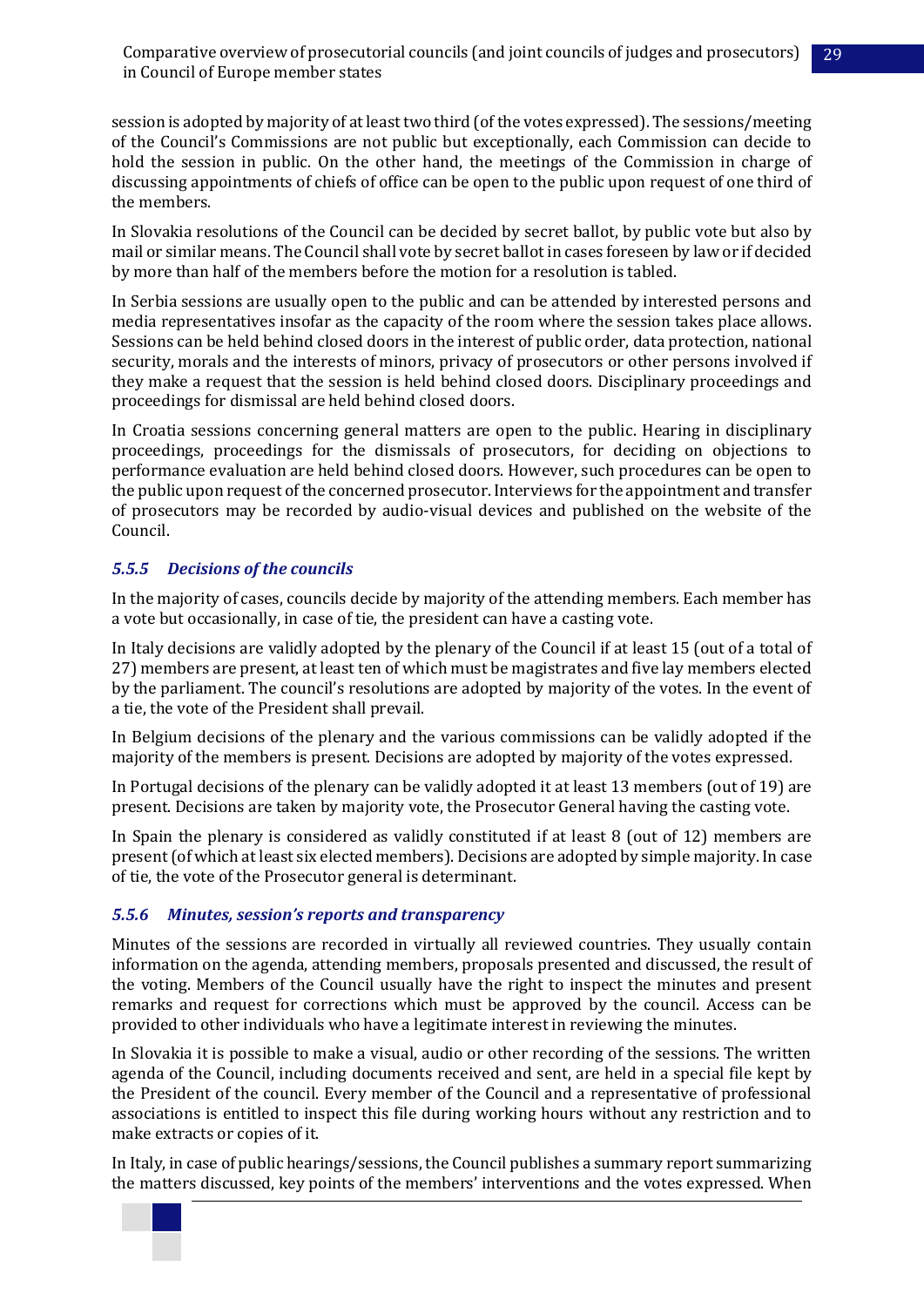session is adopted by majority of at least two third (of the votes expressed). The sessions/meeting of the Council's Commissions are not public but exceptionally, each Commission can decide to hold the session in public. On the other hand, the meetings of the Commission in charge of discussing appointments of chiefs of office can be open to the public upon request of one third of the members.

In Slovakia resolutions of the Council can be decided by secret ballot, by public vote but also by mail or similar means. The Council shall vote by secret ballot in cases foreseen by law or if decided by more than half of the members before the motion for a resolution is tabled.

In Serbia sessions are usually open to the public and can be attended by interested persons and media representatives insofar as the capacity of the room where the session takes place allows. Sessions can be held behind closed doors in the interest of public order, data protection, national security, morals and the interests of minors, privacy of prosecutors or other persons involved if they make a request that the session is held behind closed doors. Disciplinary proceedings and proceedings for dismissal are held behind closed doors.

In Croatia sessions concerning general matters are open to the public. Hearing in disciplinary proceedings, proceedings for the dismissals of prosecutors, for deciding on objections to performance evaluation are held behind closed doors. However, such procedures can be open to the public upon request of the concerned prosecutor. Interviews for the appointment and transfer of prosecutors may be recorded by audio-visual devices and published on the website of the Council.

## <span id="page-28-0"></span>*5.5.5 Decisions of the councils*

In the majority of cases, councils decide by majority of the attending members. Each member has a vote but occasionally, in case of tie, the president can have a casting vote.

In Italy decisions are validly adopted by the plenary of the Council if at least 15 (out of a total of 27) members are present, at least ten of which must be magistrates and five lay members elected by the parliament. The council's resolutions are adopted by majority of the votes. In the event of a tie, the vote of the President shall prevail.

In Belgium decisions of the plenary and the various commissions can be validly adopted if the majority of the members is present. Decisions are adopted by majority of the votes expressed.

In Portugal decisions of the plenary can be validly adopted it at least 13 members (out of 19) are present. Decisions are taken by majority vote, the Prosecutor General having the casting vote.

In Spain the plenary is considered as validly constituted if at least 8 (out of 12) members are present (of which at least six elected members). Decisions are adopted by simple majority. In case of tie, the vote of the Prosecutor general is determinant.

## <span id="page-28-1"></span>*5.5.6 Minutes, session's reports and transparency*

Minutes of the sessions are recorded in virtually all reviewed countries. They usually contain information on the agenda, attending members, proposals presented and discussed, the result of the voting. Members of the Council usually have the right to inspect the minutes and present remarks and request for corrections which must be approved by the council. Access can be provided to other individuals who have a legitimate interest in reviewing the minutes.

In Slovakia it is possible to make a visual, audio or other recording of the sessions. The written agenda of the Council, including documents received and sent, are held in a special file kept by the President of the council. Every member of the Council and a representative of professional associations is entitled to inspect this file during working hours without any restriction and to make extracts or copies of it.

In Italy, in case of public hearings/sessions, the Council publishes a summary report summarizing the matters discussed, key points of the members' interventions and the votes expressed. When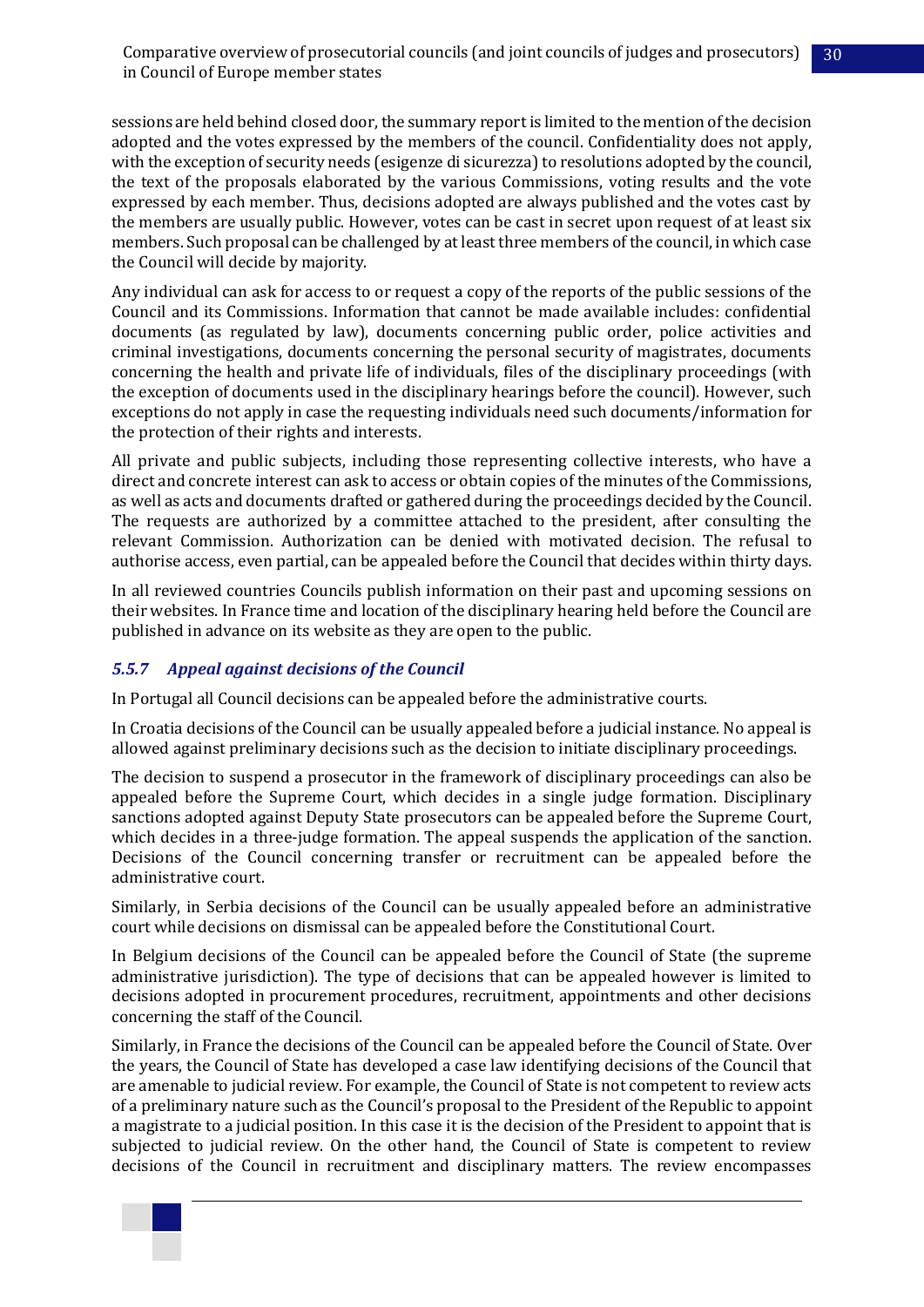sessions are held behind closed door, the summary report is limited to the mention of the decision adopted and the votes expressed by the members of the council. Confidentiality does not apply, with the exception of security needs (esigenze di sicurezza) to resolutions adopted by the council, the text of the proposals elaborated by the various Commissions, voting results and the vote expressed by each member. Thus, decisions adopted are always published and the votes cast by the members are usually public. However, votes can be cast in secret upon request of at least six members. Such proposal can be challenged by at least three members of the council, in which case the Council will decide by majority.

Any individual can ask for access to or request a copy of the reports of the public sessions of the Council and its Commissions. Information that cannot be made available includes: confidential documents (as regulated by law), documents concerning public order, police activities and criminal investigations, documents concerning the personal security of magistrates, documents concerning the health and private life of individuals, files of the disciplinary proceedings (with the exception of documents used in the disciplinary hearings before the council). However, such exceptions do not apply in case the requesting individuals need such documents/information for the protection of their rights and interests.

All private and public subjects, including those representing collective interests, who have a direct and concrete interest can ask to access or obtain copies of the minutes of the Commissions, as well as acts and documents drafted or gathered during the proceedings decided by the Council. The requests are authorized by a committee attached to the president, after consulting the relevant Commission. Authorization can be denied with motivated decision. The refusal to authorise access, even partial, can be appealed before the Council that decides within thirty days.

In all reviewed countries Councils publish information on their past and upcoming sessions on their websites. In France time and location of the disciplinary hearing held before the Council are published in advance on its website as they are open to the public.

# <span id="page-29-0"></span>*5.5.7 Appeal against decisions of the Council*

In Portugal all Council decisions can be appealed before the administrative courts.

In Croatia decisions of the Council can be usually appealed before a judicial instance. No appeal is allowed against preliminary decisions such as the decision to initiate disciplinary proceedings.

The decision to suspend a prosecutor in the framework of disciplinary proceedings can also be appealed before the Supreme Court, which decides in a single judge formation. Disciplinary sanctions adopted against Deputy State prosecutors can be appealed before the Supreme Court, which decides in a three-judge formation. The appeal suspends the application of the sanction. Decisions of the Council concerning transfer or recruitment can be appealed before the administrative court.

Similarly, in Serbia decisions of the Council can be usually appealed before an administrative court while decisions on dismissal can be appealed before the Constitutional Court.

In Belgium decisions of the Council can be appealed before the Council of State (the supreme administrative jurisdiction). The type of decisions that can be appealed however is limited to decisions adopted in procurement procedures, recruitment, appointments and other decisions concerning the staff of the Council.

Similarly, in France the decisions of the Council can be appealed before the Council of State. Over the years, the Council of State has developed a case law identifying decisions of the Council that are amenable to judicial review. For example, the Council of State is not competent to review acts of a preliminary nature such as the Council's proposal to the President of the Republic to appoint a magistrate to a judicial position. In this case it is the decision of the President to appoint that is subjected to judicial review. On the other hand, the Council of State is competent to review decisions of the Council in recruitment and disciplinary matters. The review encompasses

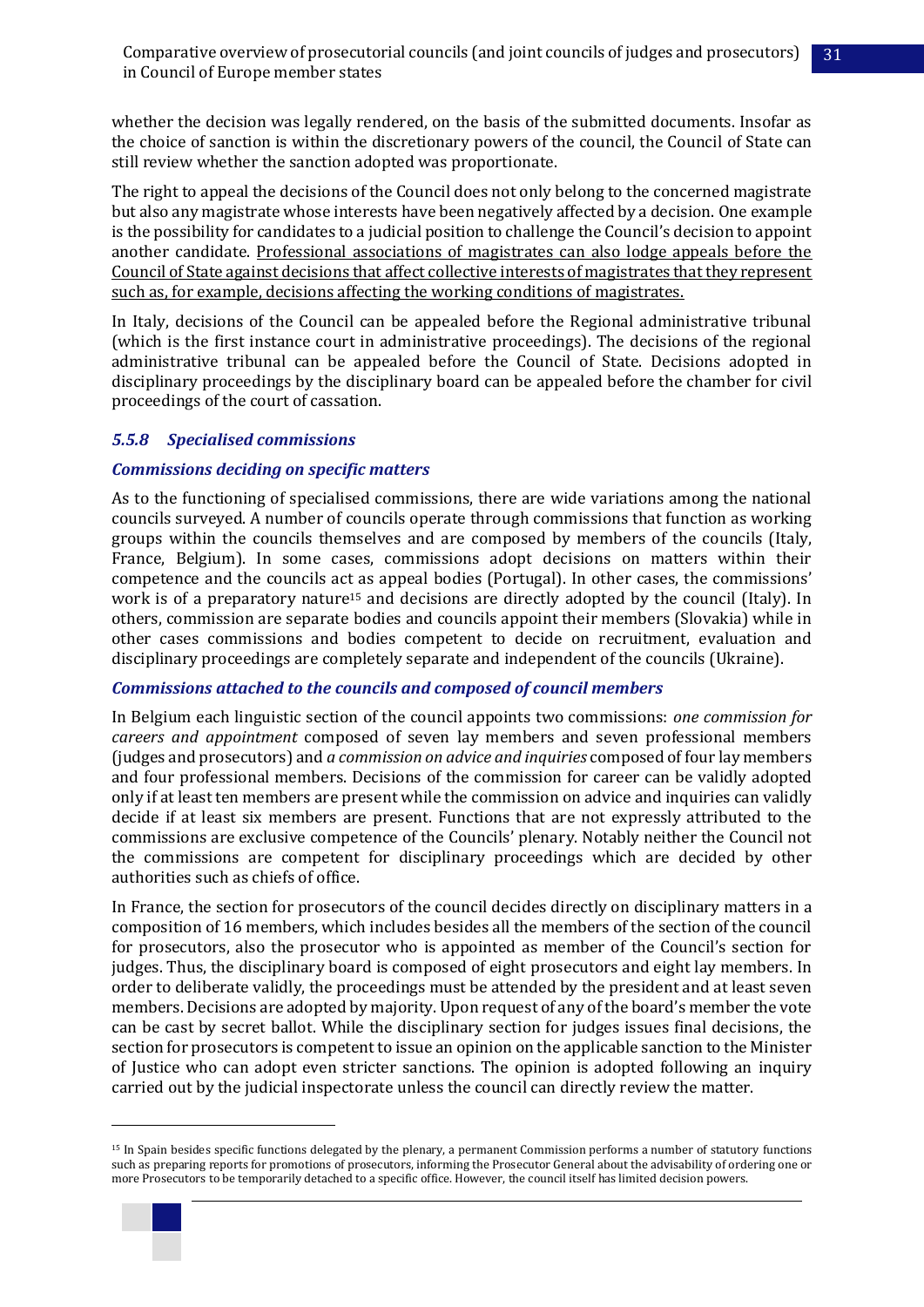whether the decision was legally rendered, on the basis of the submitted documents. Insofar as the choice of sanction is within the discretionary powers of the council, the Council of State can still review whether the sanction adopted was proportionate.

The right to appeal the decisions of the Council does not only belong to the concerned magistrate but also any magistrate whose interests have been negatively affected by a decision. One example is the possibility for candidates to a judicial position to challenge the Council's decision to appoint another candidate. Professional associations of magistrates can also lodge appeals before the Council of State against decisions that affect collective interests of magistrates that they represent such as, for example, decisions affecting the working conditions of magistrates.

In Italy, decisions of the Council can be appealed before the Regional administrative tribunal (which is the first instance court in administrative proceedings). The decisions of the regional administrative tribunal can be appealed before the Council of State. Decisions adopted in disciplinary proceedings by the disciplinary board can be appealed before the chamber for civil proceedings of the court of cassation.

## <span id="page-30-0"></span>*5.5.8 Specialised commissions*

## *Commissions deciding on specific matters*

As to the functioning of specialised commissions, there are wide variations among the national councils surveyed. A number of councils operate through commissions that function as working groups within the councils themselves and are composed by members of the councils (Italy, France, Belgium). In some cases, commissions adopt decisions on matters within their competence and the councils act as appeal bodies (Portugal). In other cases, the commissions' work is of a preparatory nature<sup>15</sup> and decisions are directly adopted by the council (Italy). In others, commission are separate bodies and councils appoint their members (Slovakia) while in other cases commissions and bodies competent to decide on recruitment, evaluation and disciplinary proceedings are completely separate and independent of the councils (Ukraine).

## *Commissions attached to the councils and composed of council members*

In Belgium each linguistic section of the council appoints two commissions: *one commission for careers and appointment* composed of seven lay members and seven professional members (judges and prosecutors) and *a commission on advice and inquiries* composed of four lay members and four professional members. Decisions of the commission for career can be validly adopted only if at least ten members are present while the commission on advice and inquiries can validly decide if at least six members are present. Functions that are not expressly attributed to the commissions are exclusive competence of the Councils' plenary. Notably neither the Council not the commissions are competent for disciplinary proceedings which are decided by other authorities such as chiefs of office.

In France, the section for prosecutors of the council decides directly on disciplinary matters in a composition of 16 members, which includes besides all the members of the section of the council for prosecutors, also the prosecutor who is appointed as member of the Council's section for judges. Thus, the disciplinary board is composed of eight prosecutors and eight lay members. In order to deliberate validly, the proceedings must be attended by the president and at least seven members. Decisions are adopted by majority. Upon request of any of the board's member the vote can be cast by secret ballot. While the disciplinary section for judges issues final decisions, the section for prosecutors is competent to issue an opinion on the applicable sanction to the Minister of Justice who can adopt even stricter sanctions. The opinion is adopted following an inquiry carried out by the judicial inspectorate unless the council can directly review the matter.

<sup>15</sup> In Spain besides specific functions delegated by the plenary, a permanent Commission performs a number of statutory functions such as preparing reports for promotions of prosecutors, informing the Prosecutor General about the advisability of ordering one or more Prosecutors to be temporarily detached to a specific office. However, the council itself has limited decision powers.

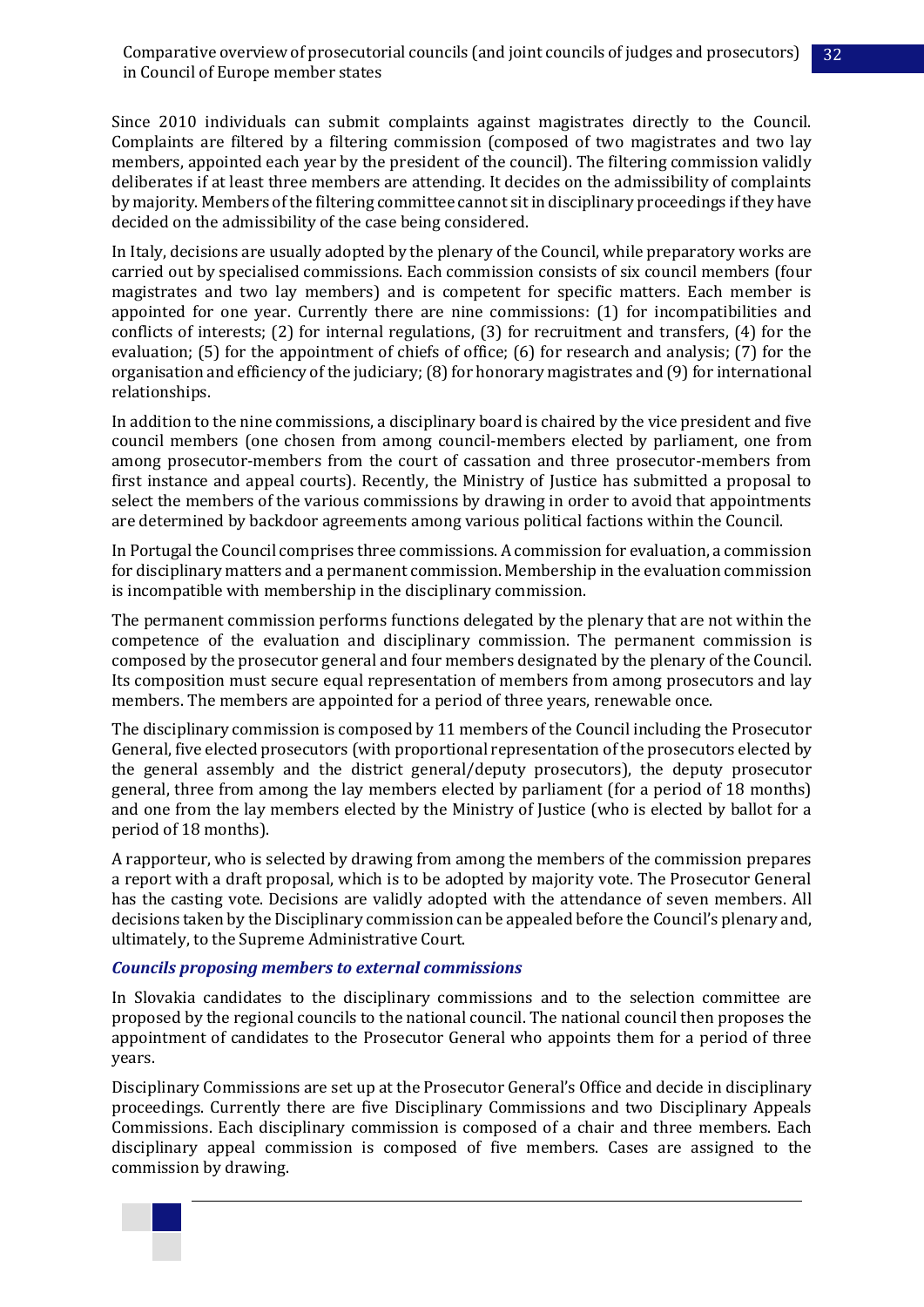Since 2010 individuals can submit complaints against magistrates directly to the Council. Complaints are filtered by a filtering commission (composed of two magistrates and two lay members, appointed each year by the president of the council). The filtering commission validly deliberates if at least three members are attending. It decides on the admissibility of complaints by majority. Members of the filtering committee cannot sit in disciplinary proceedings if they have decided on the admissibility of the case being considered.

In Italy, decisions are usually adopted by the plenary of the Council, while preparatory works are carried out by specialised commissions. Each commission consists of six council members (four magistrates and two lay members) and is competent for specific matters. Each member is appointed for one year. Currently there are nine commissions: (1) for incompatibilities and conflicts of interests; (2) for internal regulations, (3) for recruitment and transfers, (4) for the evaluation; (5) for the appointment of chiefs of office; (6) for research and analysis; (7) for the organisation and efficiency of the judiciary; (8) for honorary magistrates and (9) for international relationships.

In addition to the nine commissions, a disciplinary board is chaired by the vice president and five council members (one chosen from among council-members elected by parliament, one from among prosecutor-members from the court of cassation and three prosecutor-members from first instance and appeal courts). Recently, the Ministry of Justice has submitted a proposal to select the members of the various commissions by drawing in order to avoid that appointments are determined by backdoor agreements among various political factions within the Council.

In Portugal the Council comprises three commissions. A commission for evaluation, a commission for disciplinary matters and a permanent commission. Membership in the evaluation commission is incompatible with membership in the disciplinary commission.

The permanent commission performs functions delegated by the plenary that are not within the competence of the evaluation and disciplinary commission. The permanent commission is composed by the prosecutor general and four members designated by the plenary of the Council. Its composition must secure equal representation of members from among prosecutors and lay members. The members are appointed for a period of three years, renewable once.

The disciplinary commission is composed by 11 members of the Council including the Prosecutor General, five elected prosecutors (with proportional representation of the prosecutors elected by the general assembly and the district general/deputy prosecutors), the deputy prosecutor general, three from among the lay members elected by parliament (for a period of 18 months) and one from the lay members elected by the Ministry of Justice (who is elected by ballot for a period of 18 months).

A rapporteur, who is selected by drawing from among the members of the commission prepares a report with a draft proposal, which is to be adopted by majority vote. The Prosecutor General has the casting vote. Decisions are validly adopted with the attendance of seven members. All decisions taken by the Disciplinary commission can be appealed before the Council's plenary and, ultimately, to the Supreme Administrative Court.

## *Councils proposing members to external commissions*

In Slovakia candidates to the disciplinary commissions and to the selection committee are proposed by the regional councils to the national council. The national council then proposes the appointment of candidates to the Prosecutor General who appoints them for a period of three years.

Disciplinary Commissions are set up at the Prosecutor General's Office and decide in disciplinary proceedings. Currently there are five Disciplinary Commissions and two Disciplinary Appeals Commissions. Each disciplinary commission is composed of a chair and three members. Each disciplinary appeal commission is composed of five members. Cases are assigned to the commission by drawing.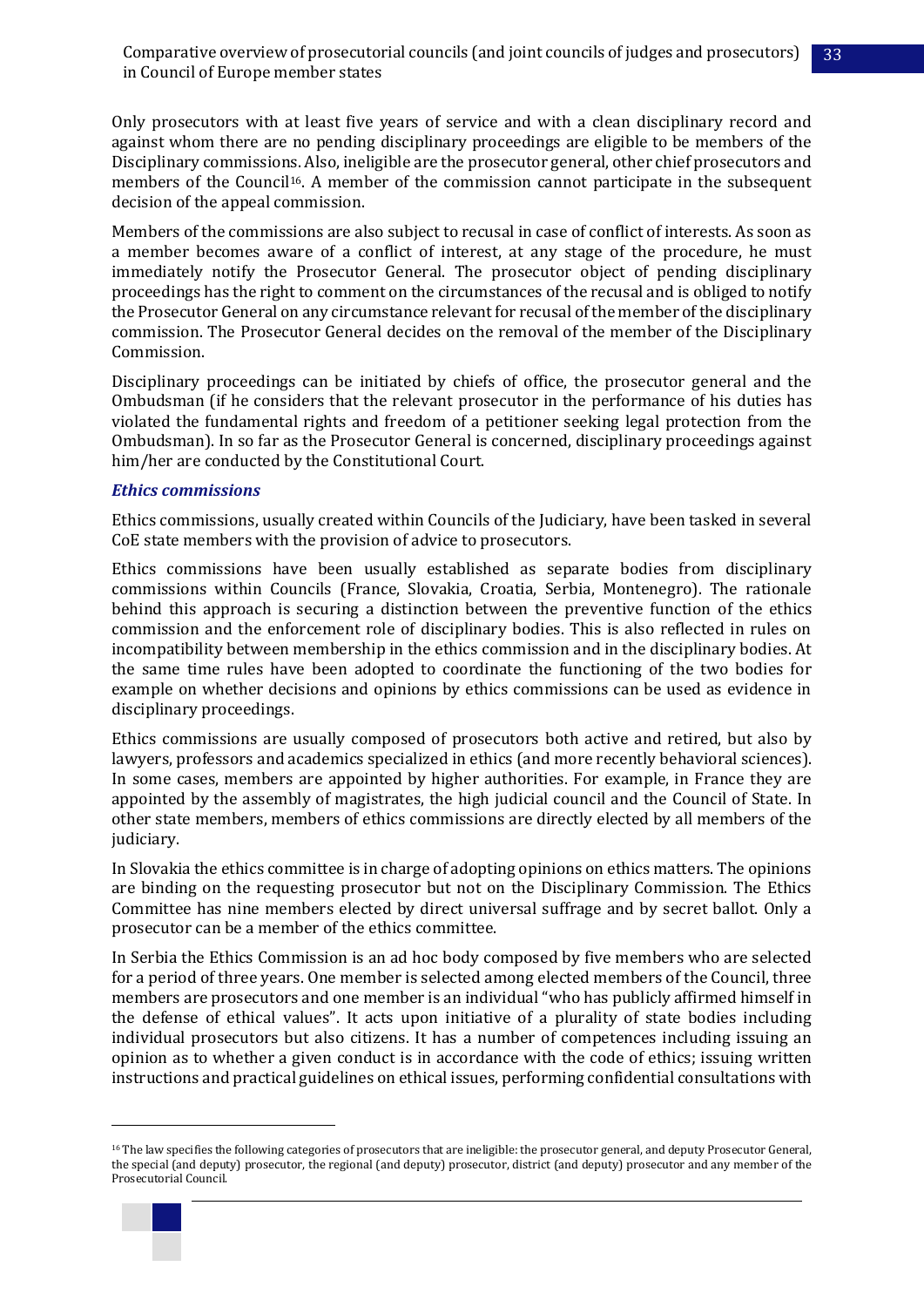Only prosecutors with at least five years of service and with a clean disciplinary record and against whom there are no pending disciplinary proceedings are eligible to be members of the Disciplinary commissions. Also, ineligible are the prosecutor general, other chief prosecutors and members of the Council<sup>16</sup>. A member of the commission cannot participate in the subsequent decision of the appeal commission.

Members of the commissions are also subject to recusal in case of conflict of interests. As soon as a member becomes aware of a conflict of interest, at any stage of the procedure, he must immediately notify the Prosecutor General. The prosecutor object of pending disciplinary proceedings has the right to comment on the circumstances of the recusal and is obliged to notify the Prosecutor General on any circumstance relevant for recusal of the member of the disciplinary commission. The Prosecutor General decides on the removal of the member of the Disciplinary Commission.

Disciplinary proceedings can be initiated by chiefs of office, the prosecutor general and the Ombudsman (if he considers that the relevant prosecutor in the performance of his duties has violated the fundamental rights and freedom of a petitioner seeking legal protection from the Ombudsman). In so far as the Prosecutor General is concerned, disciplinary proceedings against him/her are conducted by the Constitutional Court.

#### *Ethics commissions*

Ethics commissions, usually created within Councils of the Judiciary, have been tasked in several CoE state members with the provision of advice to prosecutors.

Ethics commissions have been usually established as separate bodies from disciplinary commissions within Councils (France, Slovakia, Croatia, Serbia, Montenegro). The rationale behind this approach is securing a distinction between the preventive function of the ethics commission and the enforcement role of disciplinary bodies. This is also reflected in rules on incompatibility between membership in the ethics commission and in the disciplinary bodies. At the same time rules have been adopted to coordinate the functioning of the two bodies for example on whether decisions and opinions by ethics commissions can be used as evidence in disciplinary proceedings.

Ethics commissions are usually composed of prosecutors both active and retired, but also by lawyers, professors and academics specialized in ethics (and more recently behavioral sciences). In some cases, members are appointed by higher authorities. For example, in France they are appointed by the assembly of magistrates, the high judicial council and the Council of State. In other state members, members of ethics commissions are directly elected by all members of the judiciary.

In Slovakia the ethics committee is in charge of adopting opinions on ethics matters. The opinions are binding on the requesting prosecutor but not on the Disciplinary Commission. The Ethics Committee has nine members elected by direct universal suffrage and by secret ballot. Only a prosecutor can be a member of the ethics committee.

In Serbia the Ethics Commission is an ad hoc body composed by five members who are selected for a period of three years. One member is selected among elected members of the Council, three members are prosecutors and one member is an individual "who has publicly affirmed himself in the defense of ethical values". It acts upon initiative of a plurality of state bodies including individual prosecutors but also citizens. It has a number of competences including issuing an opinion as to whether a given conduct is in accordance with the code of ethics; issuing written instructions and practical guidelines on ethical issues, performing confidential consultations with

<sup>&</sup>lt;sup>16</sup> The law specifies the following categories of prosecutors that are ineligible: the prosecutor general, and deputy Prosecutor General, the special (and deputy) prosecutor, the regional (and deputy) prosecutor, district (and deputy) prosecutor and any member of the Prosecutorial Council.

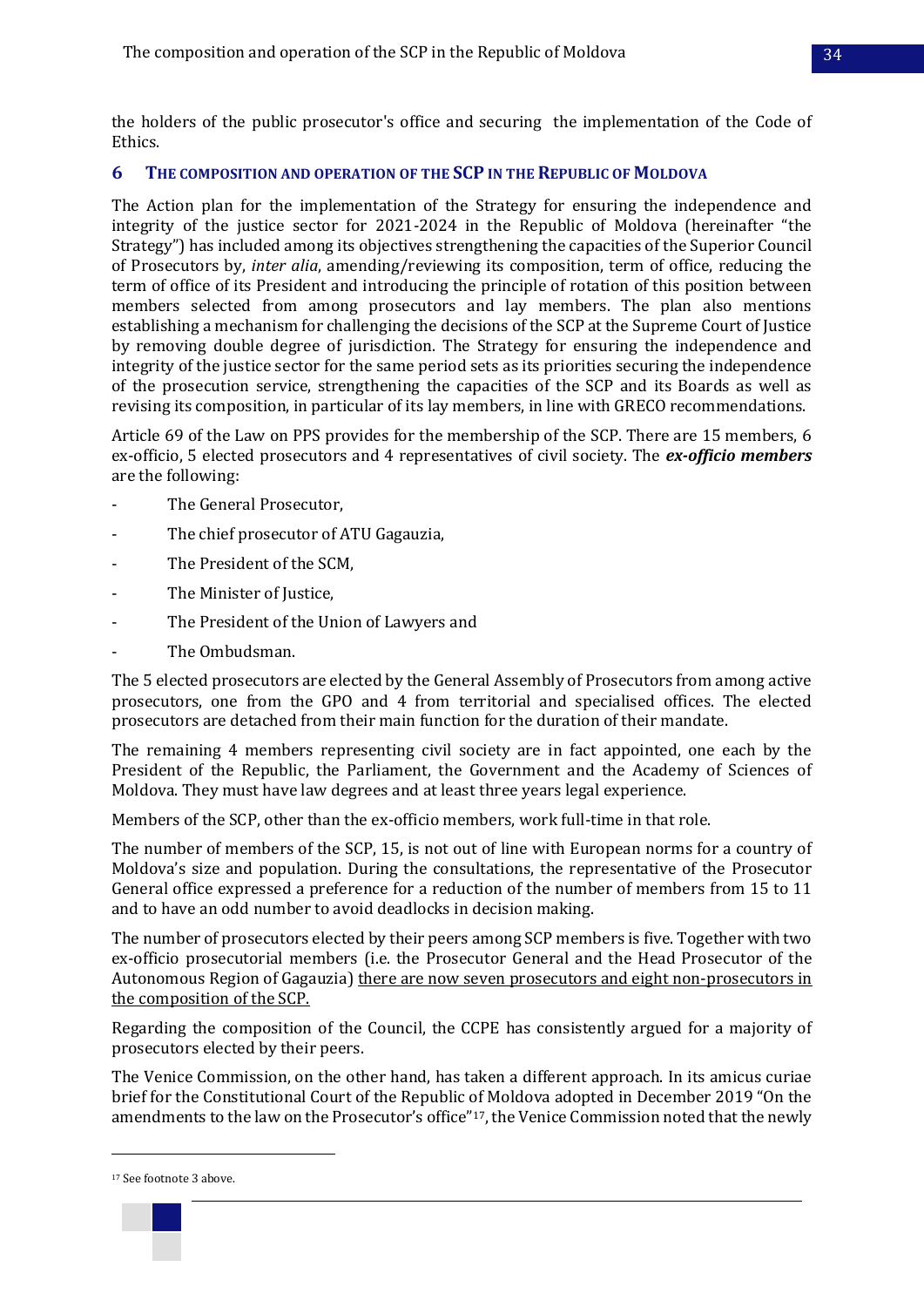the holders of the public prosecutor's office and securing the implementation of the Code of Ethics.

#### <span id="page-33-0"></span>**6 THE COMPOSITION AND OPERATION OF THE SCP IN THE REPUBLIC OF MOLDOVA**

The Action plan for the implementation of the Strategy for ensuring the independence and integrity of the justice sector for 2021-2024 in the Republic of Moldova (hereinafter "the Strategy") has included among its objectives strengthening the capacities of the Superior Council of Prosecutors by, *inter alia*, amending/reviewing its composition, term of office, reducing the term of office of its President and introducing the principle of rotation of this position between members selected from among prosecutors and lay members. The plan also mentions establishing a mechanism for challenging the decisions of the SCP at the Supreme Court of Justice by removing double degree of jurisdiction. The Strategy for ensuring the independence and integrity of the justice sector for the same period sets as its priorities securing the independence of the prosecution service, strengthening the capacities of the SCP and its Boards as well as revising its composition, in particular of its lay members, in line with GRECO recommendations.

Article 69 of the Law on PPS provides for the membership of the SCP. There are 15 members, 6 ex-officio, 5 elected prosecutors and 4 representatives of civil society. The *ex-officio members* are the following:

- The General Prosecutor,
- The chief prosecutor of ATU Gagauzia,
- The President of the SCM,
- The Minister of Justice.
- The President of the Union of Lawyers and
- The Ombudsman.

The 5 elected prosecutors are elected by the General Assembly of Prosecutors from among active prosecutors, one from the GPO and 4 from territorial and specialised offices. The elected prosecutors are detached from their main function for the duration of their mandate.

The remaining 4 members representing civil society are in fact appointed, one each by the President of the Republic, the Parliament, the Government and the Academy of Sciences of Moldova. They must have law degrees and at least three years legal experience.

Members of the SCP, other than the ex-officio members, work full-time in that role.

The number of members of the SCP, 15, is not out of line with European norms for a country of Moldova's size and population. During the consultations, the representative of the Prosecutor General office expressed a preference for a reduction of the number of members from 15 to 11 and to have an odd number to avoid deadlocks in decision making.

The number of prosecutors elected by their peers among SCP members is five. Together with two ex-officio prosecutorial members (i.e. the Prosecutor General and the Head Prosecutor of the Autonomous Region of Gagauzia) there are now seven prosecutors and eight non-prosecutors in the composition of the SCP.

Regarding the composition of the Council, the CCPE has consistently argued for a majority of prosecutors elected by their peers.

The Venice Commission, on the other hand, has taken a different approach. In its amicus curiae brief for the Constitutional Court of the Republic of Moldova adopted in December 2019 "On the amendments to the law on the Prosecutor's office"17, the Venice Commission noted that the newly

<sup>17</sup> See footnote 3 above.

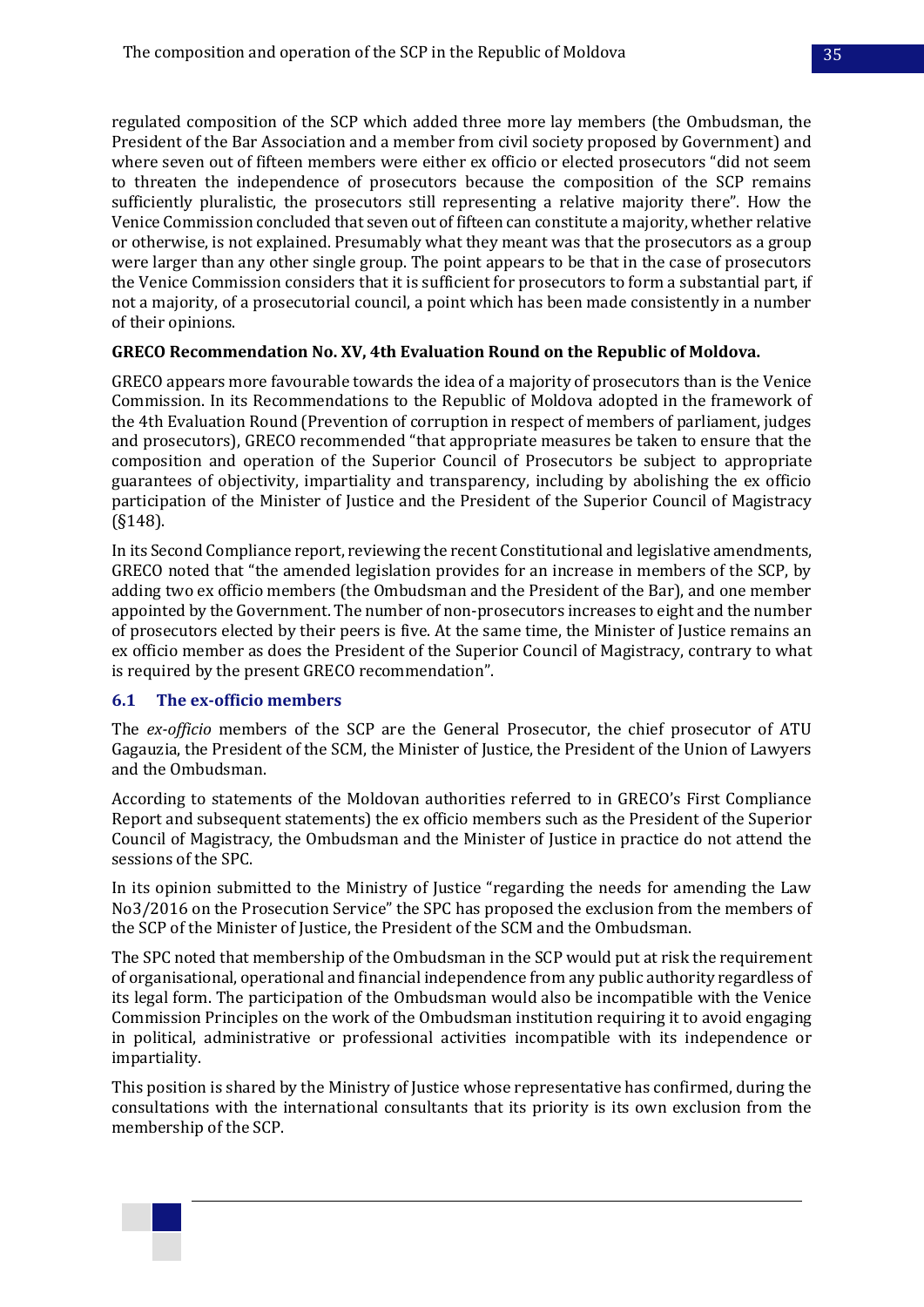regulated composition of the SCP which added three more lay members (the Ombudsman, the President of the Bar Association and a member from civil society proposed by Government) and where seven out of fifteen members were either ex officio or elected prosecutors "did not seem to threaten the independence of prosecutors because the composition of the SCP remains sufficiently pluralistic, the prosecutors still representing a relative majority there". How the Venice Commission concluded that seven out of fifteen can constitute a majority, whether relative or otherwise, is not explained. Presumably what they meant was that the prosecutors as a group were larger than any other single group. The point appears to be that in the case of prosecutors the Venice Commission considers that it is sufficient for prosecutors to form a substantial part, if not a majority, of a prosecutorial council, a point which has been made consistently in a number of their opinions.

### **GRECO Recommendation No. XV, 4th Evaluation Round on the Republic of Moldova.**

GRECO appears more favourable towards the idea of a majority of prosecutors than is the Venice Commission. In its Recommendations to the Republic of Moldova adopted in the framework of the 4th Evaluation Round (Prevention of corruption in respect of members of parliament, judges and prosecutors), GRECO recommended "that appropriate measures be taken to ensure that the composition and operation of the Superior Council of Prosecutors be subject to appropriate guarantees of objectivity, impartiality and transparency, including by abolishing the ex officio participation of the Minister of Justice and the President of the Superior Council of Magistracy (§148).

In its Second Compliance report, reviewing the recent Constitutional and legislative amendments, GRECO noted that "the amended legislation provides for an increase in members of the SCP, by adding two ex officio members (the Ombudsman and the President of the Bar), and one member appointed by the Government. The number of non-prosecutors increases to eight and the number of prosecutors elected by their peers is five. At the same time, the Minister of Justice remains an ex officio member as does the President of the Superior Council of Magistracy, contrary to what is required by the present GRECO recommendation".

#### <span id="page-34-0"></span>**6.1 The ex-officio members**

The *ex-officio* members of the SCP are the General Prosecutor, the chief prosecutor of ATU Gagauzia, the President of the SCM, the Minister of Justice, the President of the Union of Lawyers and the Ombudsman.

According to statements of the Moldovan authorities referred to in GRECO's First Compliance Report and subsequent statements) the ex officio members such as the President of the Superior Council of Magistracy, the Ombudsman and the Minister of Justice in practice do not attend the sessions of the SPC.

In its opinion submitted to the Ministry of Justice "regarding the needs for amending the Law No3/2016 on the Prosecution Service" the SPC has proposed the exclusion from the members of the SCP of the Minister of Justice, the President of the SCM and the Ombudsman.

The SPC noted that membership of the Ombudsman in the SCP would put at risk the requirement of organisational, operational and financial independence from any public authority regardless of its legal form. The participation of the Ombudsman would also be incompatible with the Venice Commission Principles on the work of the Ombudsman institution requiring it to avoid engaging in political, administrative or professional activities incompatible with its independence or impartiality.

This position is shared by the Ministry of Justice whose representative has confirmed, during the consultations with the international consultants that its priority is its own exclusion from the membership of the SCP.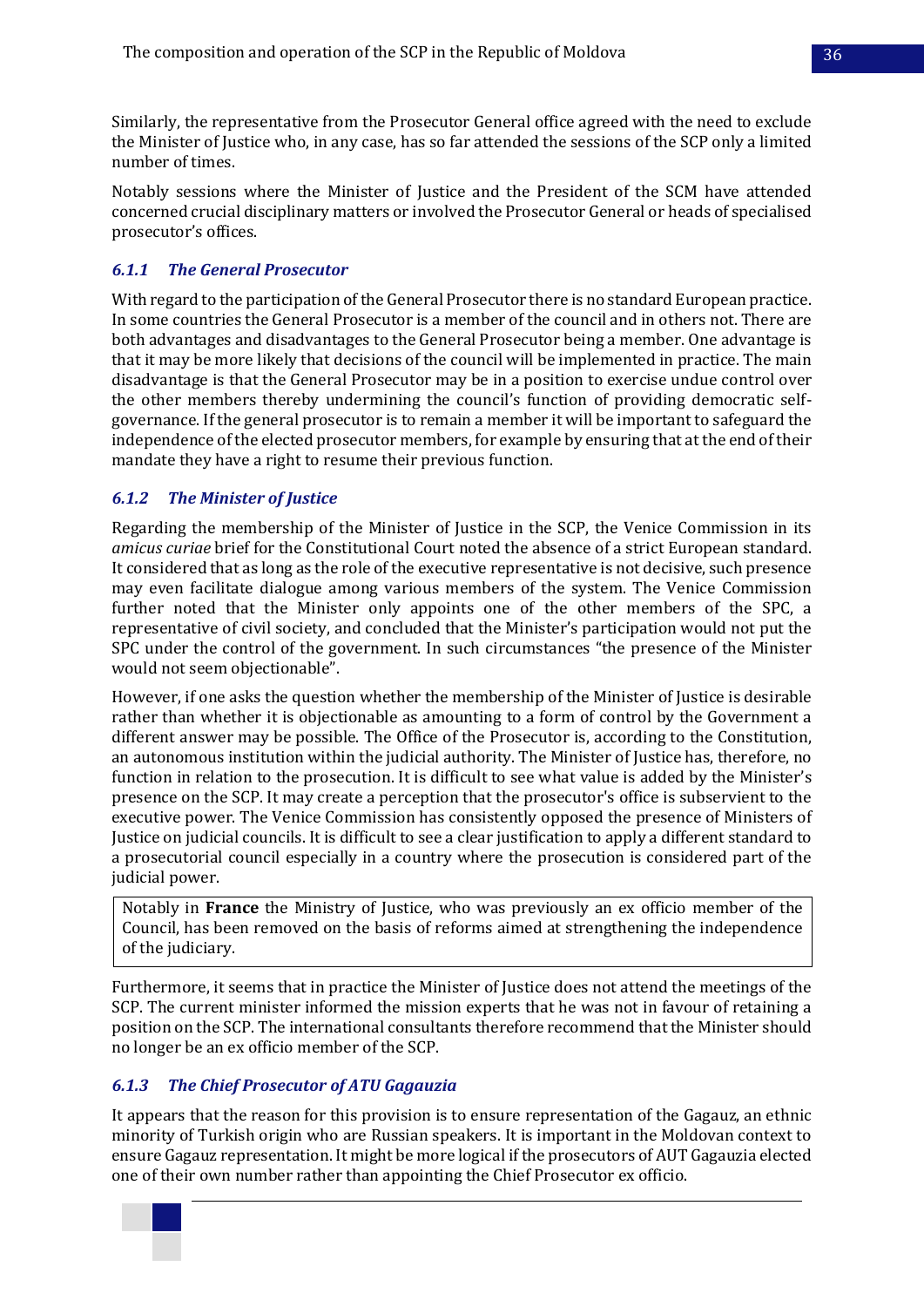Similarly, the representative from the Prosecutor General office agreed with the need to exclude the Minister of Justice who, in any case, has so far attended the sessions of the SCP only a limited number of times.

Notably sessions where the Minister of Justice and the President of the SCM have attended concerned crucial disciplinary matters or involved the Prosecutor General or heads of specialised prosecutor's offices.

## <span id="page-35-0"></span>*6.1.1 The General Prosecutor*

With regard to the participation of the General Prosecutor there is no standard European practice. In some countries the General Prosecutor is a member of the council and in others not. There are both advantages and disadvantages to the General Prosecutor being a member. One advantage is that it may be more likely that decisions of the council will be implemented in practice. The main disadvantage is that the General Prosecutor may be in a position to exercise undue control over the other members thereby undermining the council's function of providing democratic selfgovernance. If the general prosecutor is to remain a member it will be important to safeguard the independence of the elected prosecutor members, for example by ensuring that at the end of their mandate they have a right to resume their previous function.

## <span id="page-35-1"></span>*6.1.2 The Minister of Justice*

Regarding the membership of the Minister of Justice in the SCP, the Venice Commission in its *amicus curiae* brief for the Constitutional Court noted the absence of a strict European standard. It considered that as long as the role of the executive representative is not decisive, such presence may even facilitate dialogue among various members of the system. The Venice Commission further noted that the Minister only appoints one of the other members of the SPC, a representative of civil society, and concluded that the Minister's participation would not put the SPC under the control of the government. In such circumstances "the presence of the Minister would not seem objectionable".

However, if one asks the question whether the membership of the Minister of Justice is desirable rather than whether it is objectionable as amounting to a form of control by the Government a different answer may be possible. The Office of the Prosecutor is, according to the Constitution, an autonomous institution within the judicial authority. The Minister of Justice has, therefore, no function in relation to the prosecution. It is difficult to see what value is added by the Minister's presence on the SCP. It may create a perception that the prosecutor's office is subservient to the executive power. The Venice Commission has consistently opposed the presence of Ministers of Justice on judicial councils. It is difficult to see a clear justification to apply a different standard to a prosecutorial council especially in a country where the prosecution is considered part of the judicial power.

Notably in **France** the Ministry of Justice, who was previously an ex officio member of the Council, has been removed on the basis of reforms aimed at strengthening the independence of the judiciary.

Furthermore, it seems that in practice the Minister of Justice does not attend the meetings of the SCP. The current minister informed the mission experts that he was not in favour of retaining a position on the SCP. The international consultants therefore recommend that the Minister should no longer be an ex officio member of the SCP.

# <span id="page-35-2"></span>*6.1.3 The Chief Prosecutor of ATU Gagauzia*

It appears that the reason for this provision is to ensure representation of the Gagauz, an ethnic minority of Turkish origin who are Russian speakers. It is important in the Moldovan context to ensure Gagauz representation. It might be more logical if the prosecutors of AUT Gagauzia elected one of their own number rather than appointing the Chief Prosecutor ex officio.

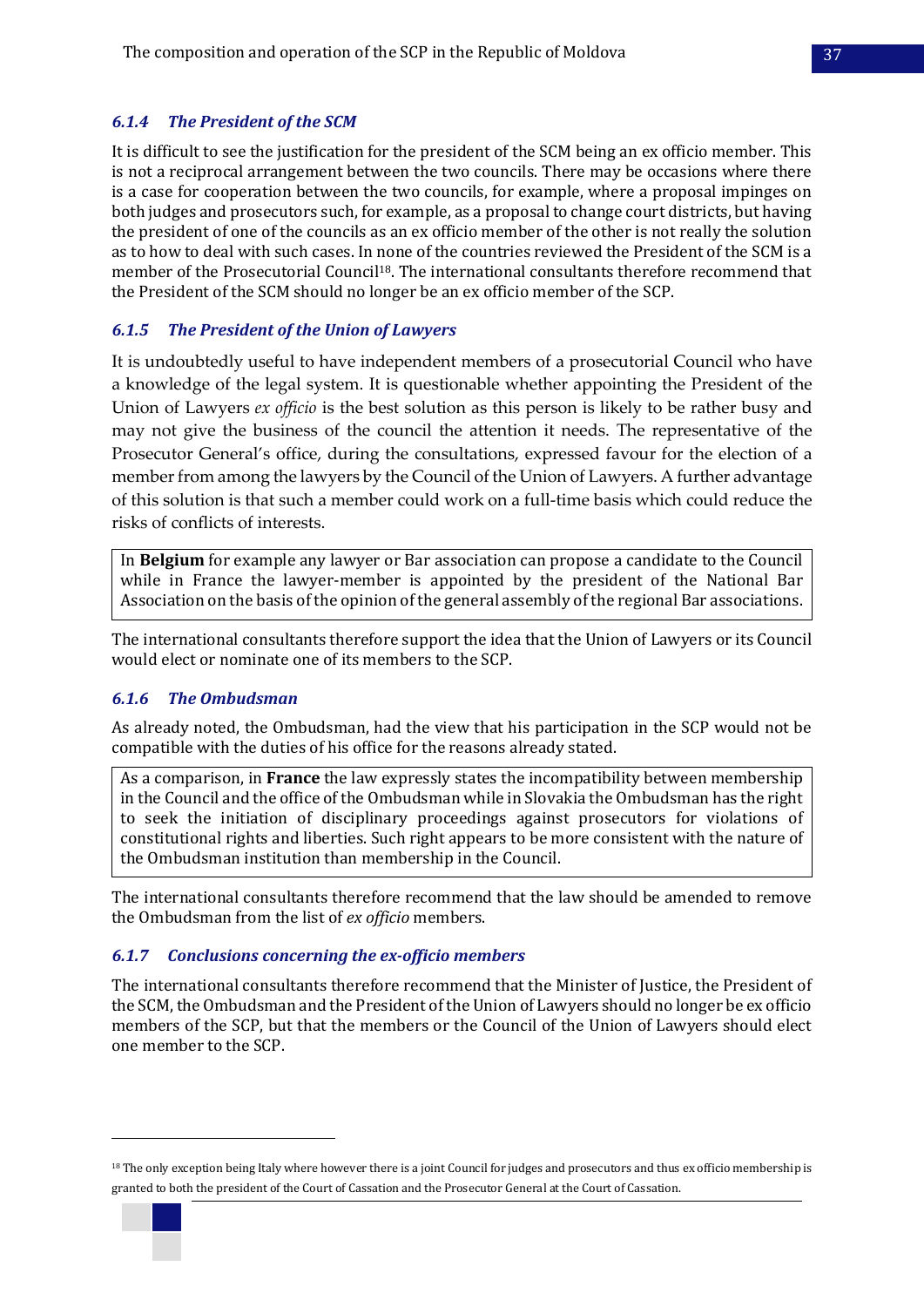### <span id="page-36-0"></span>*6.1.4 The President of the SCM*

It is difficult to see the justification for the president of the SCM being an ex officio member. This is not a reciprocal arrangement between the two councils. There may be occasions where there is a case for cooperation between the two councils, for example, where a proposal impinges on both judges and prosecutors such, for example, as a proposal to change court districts, but having the president of one of the councils as an ex officio member of the other is not really the solution as to how to deal with such cases. In none of the countries reviewed the President of the SCM is a member of the Prosecutorial Council<sup>18</sup>. The international consultants therefore recommend that the President of the SCM should no longer be an ex officio member of the SCP.

## <span id="page-36-1"></span>*6.1.5 The President of the Union of Lawyers*

It is undoubtedly useful to have independent members of a prosecutorial Council who have a knowledge of the legal system. It is questionable whether appointing the President of the Union of Lawyers *ex officio* is the best solution as this person is likely to be rather busy and may not give the business of the council the attention it needs. The representative of the Prosecutor General's office, during the consultations, expressed favour for the election of a member from among the lawyers by the Council of the Union of Lawyers. A further advantage of this solution is that such a member could work on a full-time basis which could reduce the risks of conflicts of interests.

In **Belgium** for example any lawyer or Bar association can propose a candidate to the Council while in France the lawyer-member is appointed by the president of the National Bar Association on the basis of the opinion of the general assembly of the regional Bar associations.

The international consultants therefore support the idea that the Union of Lawyers or its Council would elect or nominate one of its members to the SCP.

### <span id="page-36-2"></span>*6.1.6 The Ombudsman*

As already noted, the Ombudsman, had the view that his participation in the SCP would not be compatible with the duties of his office for the reasons already stated.

As a comparison, in **France** the law expressly states the incompatibility between membership in the Council and the office of the Ombudsman while in Slovakia the Ombudsman has the right to seek the initiation of disciplinary proceedings against prosecutors for violations of constitutional rights and liberties. Such right appears to be more consistent with the nature of the Ombudsman institution than membership in the Council.

The international consultants therefore recommend that the law should be amended to remove the Ombudsman from the list of *ex officio* members.

#### <span id="page-36-3"></span>*6.1.7 Conclusions concerning the ex-officio members*

The international consultants therefore recommend that the Minister of Justice, the President of the SCM, the Ombudsman and the President of the Union of Lawyers should no longer be ex officio members of the SCP, but that the members or the Council of the Union of Lawyers should elect one member to the SCP.

<sup>&</sup>lt;sup>18</sup> The only exception being Italy where however there is a joint Council for judges and prosecutors and thus ex officio membership is granted to both the president of the Court of Cassation and the Prosecutor General at the Court of Cassation.

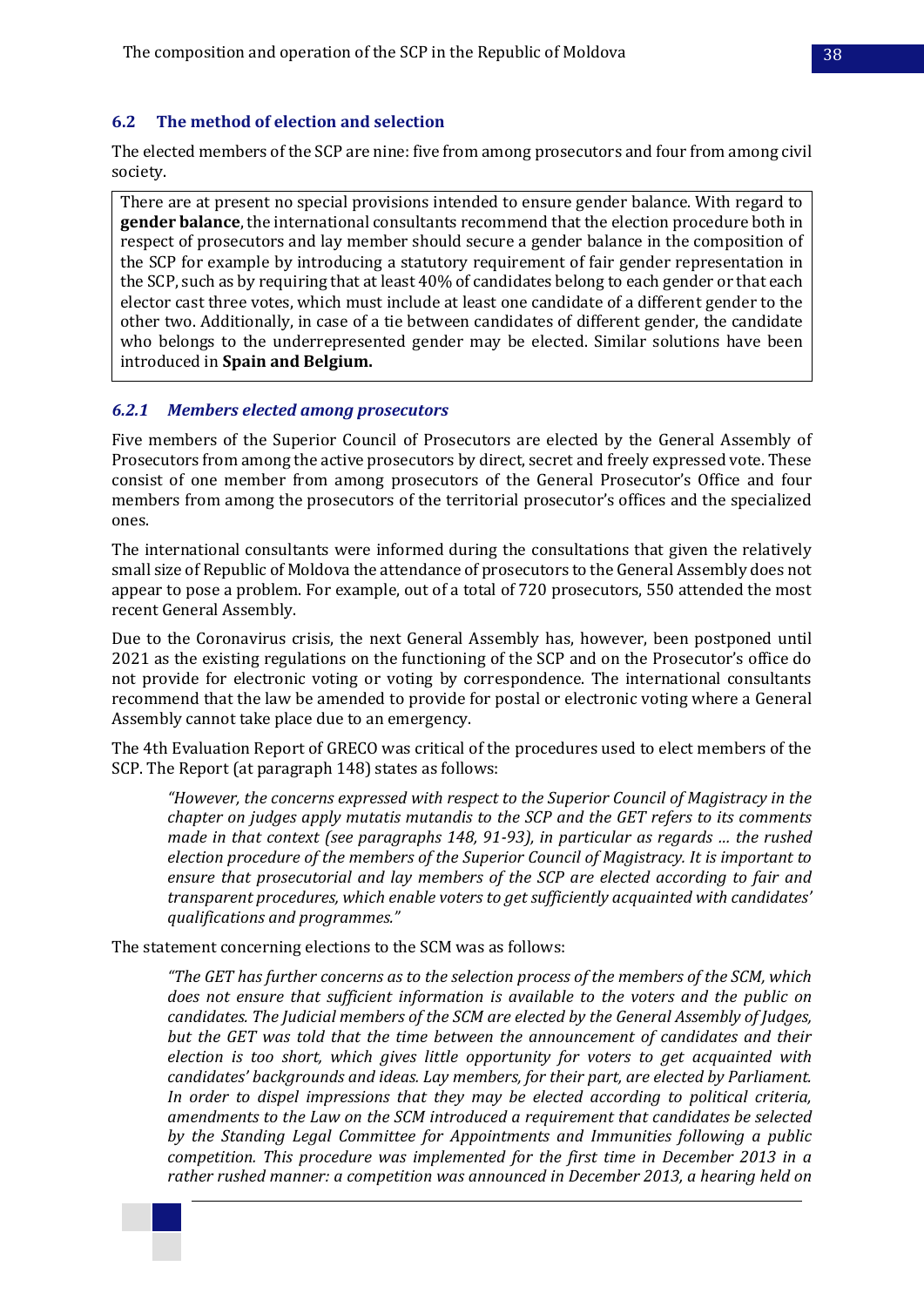### <span id="page-37-0"></span>**6.2 The method of election and selection**

The elected members of the SCP are nine: five from among prosecutors and four from among civil society.

There are at present no special provisions intended to ensure gender balance. With regard to **gender balance**, the international consultants recommend that the election procedure both in respect of prosecutors and lay member should secure a gender balance in the composition of the SCP for example by introducing a statutory requirement of fair gender representation in the SCP, such as by requiring that at least 40% of candidates belong to each gender or that each elector cast three votes, which must include at least one candidate of a different gender to the other two. Additionally, in case of a tie between candidates of different gender, the candidate who belongs to the underrepresented gender may be elected. Similar solutions have been introduced in **Spain and Belgium.**

#### <span id="page-37-1"></span>*6.2.1 Members elected among prosecutors*

Five members of the Superior Council of Prosecutors are elected by the General Assembly of Prosecutors from among the active prosecutors by direct, secret and freely expressed vote. These consist of one member from among prosecutors of the General Prosecutor's Office and four members from among the prosecutors of the territorial prosecutor's offices and the specialized ones.

The international consultants were informed during the consultations that given the relatively small size of Republic of Moldova the attendance of prosecutors to the General Assembly does not appear to pose a problem. For example, out of a total of 720 prosecutors, 550 attended the most recent General Assembly.

Due to the Coronavirus crisis, the next General Assembly has, however, been postponed until 2021 as the existing regulations on the functioning of the SCP and on the Prosecutor's office do not provide for electronic voting or voting by correspondence. The international consultants recommend that the law be amended to provide for postal or electronic voting where a General Assembly cannot take place due to an emergency.

The 4th Evaluation Report of GRECO was critical of the procedures used to elect members of the SCP. The Report (at paragraph 148) states as follows:

*"However, the concerns expressed with respect to the Superior Council of Magistracy in the chapter on judges apply mutatis mutandis to the SCP and the GET refers to its comments made in that context (see paragraphs 148, 91-93), in particular as regards … the rushed election procedure of the members of the Superior Council of Magistracy. It is important to ensure that prosecutorial and lay members of the SCP are elected according to fair and transparent procedures, which enable voters to get sufficiently acquainted with candidates' qualifications and programmes."*

The statement concerning elections to the SCM was as follows:

*"The GET has further concerns as to the selection process of the members of the SCM, which does not ensure that sufficient information is available to the voters and the public on candidates. The Judicial members of the SCM are elected by the General Assembly of Judges, but the GET was told that the time between the announcement of candidates and their election is too short, which gives little opportunity for voters to get acquainted with candidates' backgrounds and ideas. Lay members, for their part, are elected by Parliament. In order to dispel impressions that they may be elected according to political criteria, amendments to the Law on the SCM introduced a requirement that candidates be selected by the Standing Legal Committee for Appointments and Immunities following a public competition. This procedure was implemented for the first time in December 2013 in a rather rushed manner: a competition was announced in December 2013, a hearing held on* 

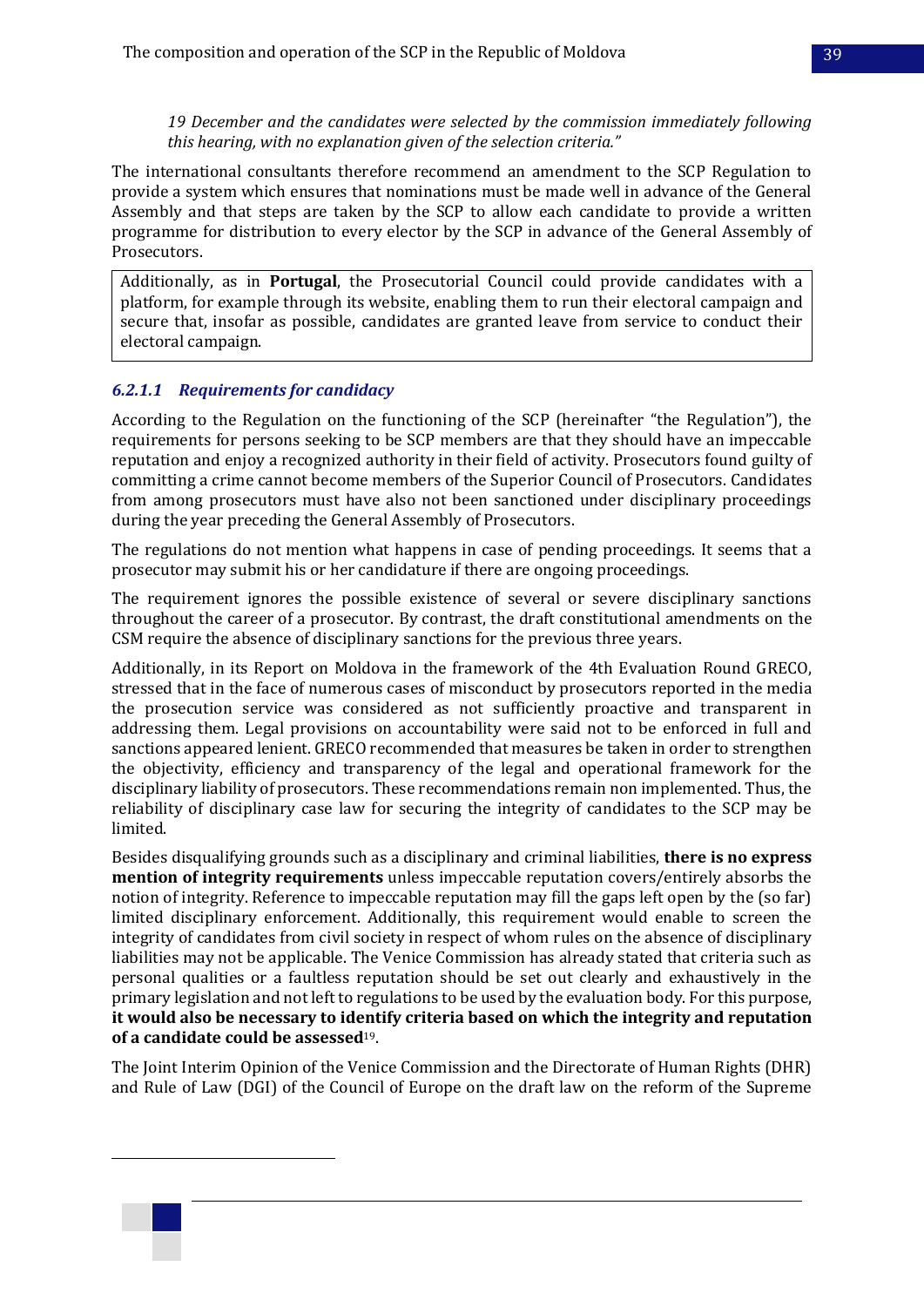*19 December and the candidates were selected by the commission immediately following this hearing, with no explanation given of the selection criteria."*

The international consultants therefore recommend an amendment to the SCP Regulation to provide a system which ensures that nominations must be made well in advance of the General Assembly and that steps are taken by the SCP to allow each candidate to provide a written programme for distribution to every elector by the SCP in advance of the General Assembly of Prosecutors.

Additionally, as in **Portugal**, the Prosecutorial Council could provide candidates with a platform, for example through its website, enabling them to run their electoral campaign and secure that, insofar as possible, candidates are granted leave from service to conduct their electoral campaign.

## <span id="page-38-0"></span>*6.2.1.1 Requirements for candidacy*

According to the Regulation on the functioning of the SCP (hereinafter "the Regulation"), the requirements for persons seeking to be SCP members are that they should have an impeccable reputation and enjoy a recognized authority in their field of activity. Prosecutors found guilty of committing a crime cannot become members of the Superior Council of Prosecutors. Candidates from among prosecutors must have also not been sanctioned under disciplinary proceedings during the year preceding the General Assembly of Prosecutors.

The regulations do not mention what happens in case of pending proceedings. It seems that a prosecutor may submit his or her candidature if there are ongoing proceedings.

The requirement ignores the possible existence of several or severe disciplinary sanctions throughout the career of a prosecutor. By contrast, the draft constitutional amendments on the CSM require the absence of disciplinary sanctions for the previous three years.

Additionally, in its Report on Moldova in the framework of the 4th Evaluation Round GRECO, stressed that in the face of numerous cases of misconduct by prosecutors reported in the media the prosecution service was considered as not sufficiently proactive and transparent in addressing them. Legal provisions on accountability were said not to be enforced in full and sanctions appeared lenient. GRECO recommended that measures be taken in order to strengthen the objectivity, efficiency and transparency of the legal and operational framework for the disciplinary liability of prosecutors. These recommendations remain non implemented. Thus, the reliability of disciplinary case law for securing the integrity of candidates to the SCP may be limited.

Besides disqualifying grounds such as a disciplinary and criminal liabilities, **there is no express mention of integrity requirements** unless impeccable reputation covers/entirely absorbs the notion of integrity. Reference to impeccable reputation may fill the gaps left open by the (so far) limited disciplinary enforcement. Additionally, this requirement would enable to screen the integrity of candidates from civil society in respect of whom rules on the absence of disciplinary liabilities may not be applicable. The Venice Commission has already stated that criteria such as personal qualities or a faultless reputation should be set out clearly and exhaustively in the primary legislation and not left to regulations to be used by the evaluation body. For this purpose, **it would also be necessary to identify criteria based on which the integrity and reputation of a candidate could be assessed**19.

The Joint Interim Opinion of the Venice Commission and the Directorate of Human Rights (DHR) and Rule of Law (DGI) of the Council of Europe on the draft law on the reform of the Supreme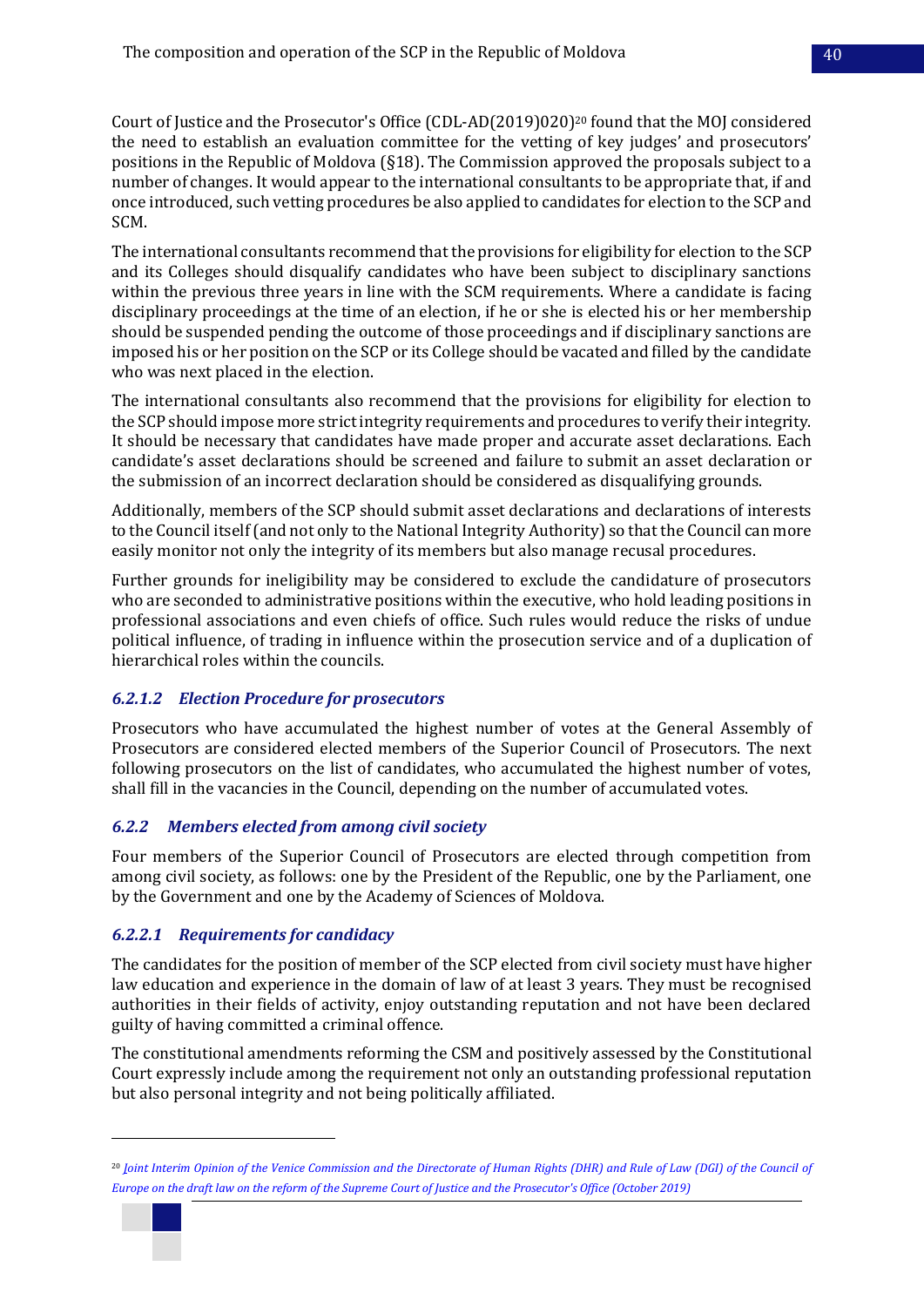Court of Justice and the Prosecutor's Office (CDL-AD(2019)020)<sup>20</sup> found that the MOJ considered the need to establish an evaluation committee for the vetting of key judges' and prosecutors' positions in the Republic of Moldova (§18). The Commission approved the proposals subject to a number of changes. It would appear to the international consultants to be appropriate that, if and once introduced, such vetting procedures be also applied to candidates for election to the SCP and SCM.

The international consultants recommend that the provisions for eligibility for election to the SCP and its Colleges should disqualify candidates who have been subject to disciplinary sanctions within the previous three years in line with the SCM requirements. Where a candidate is facing disciplinary proceedings at the time of an election, if he or she is elected his or her membership should be suspended pending the outcome of those proceedings and if disciplinary sanctions are imposed his or her position on the SCP or its College should be vacated and filled by the candidate who was next placed in the election.

The international consultants also recommend that the provisions for eligibility for election to the SCP should impose more strict integrity requirements and procedures to verify their integrity. It should be necessary that candidates have made proper and accurate asset declarations. Each candidate's asset declarations should be screened and failure to submit an asset declaration or the submission of an incorrect declaration should be considered as disqualifying grounds.

Additionally, members of the SCP should submit asset declarations and declarations of interests to the Council itself (and not only to the National Integrity Authority) so that the Council can more easily monitor not only the integrity of its members but also manage recusal procedures.

Further grounds for ineligibility may be considered to exclude the candidature of prosecutors who are seconded to administrative positions within the executive, who hold leading positions in professional associations and even chiefs of office. Such rules would reduce the risks of undue political influence, of trading in influence within the prosecution service and of a duplication of hierarchical roles within the councils.

## <span id="page-39-0"></span>*6.2.1.2 Election Procedure for prosecutors*

Prosecutors who have accumulated the highest number of votes at the General Assembly of Prosecutors are considered elected members of the Superior Council of Prosecutors. The next following prosecutors on the list of candidates, who accumulated the highest number of votes, shall fill in the vacancies in the Council, depending on the number of accumulated votes.

## <span id="page-39-1"></span>*6.2.2 Members elected from among civil society*

Four members of the Superior Council of Prosecutors are elected through competition from among civil society, as follows: one by the President of the Republic, one by the Parliament, one by the Government and one by the Academy of Sciences of Moldova.

## <span id="page-39-2"></span>*6.2.2.1 Requirements for candidacy*

The candidates for the position of member of the SCP elected from civil society must have higher law education and experience in the domain of law of at least 3 years. They must be recognised authorities in their fields of activity, enjoy outstanding reputation and not have been declared guilty of having committed a criminal offence.

The constitutional amendments reforming the CSM and positively assessed by the Constitutional Court expressly include among the requirement not only an outstanding professional reputation but also personal integrity and not being politically affiliated.



<sup>&</sup>lt;sup>20</sup> *Joint Interim Opinion of the Venice Commission and the Directorate of Human Rights (DHR) and Rule of Law (DGI) of the Council of [Europe on the draft law on the reform of the Supreme Court of Justice and the Prosecutor's Office \(October 2019\)](https://www.venice.coe.int/webforms/documents/?opinion=966&year=all)*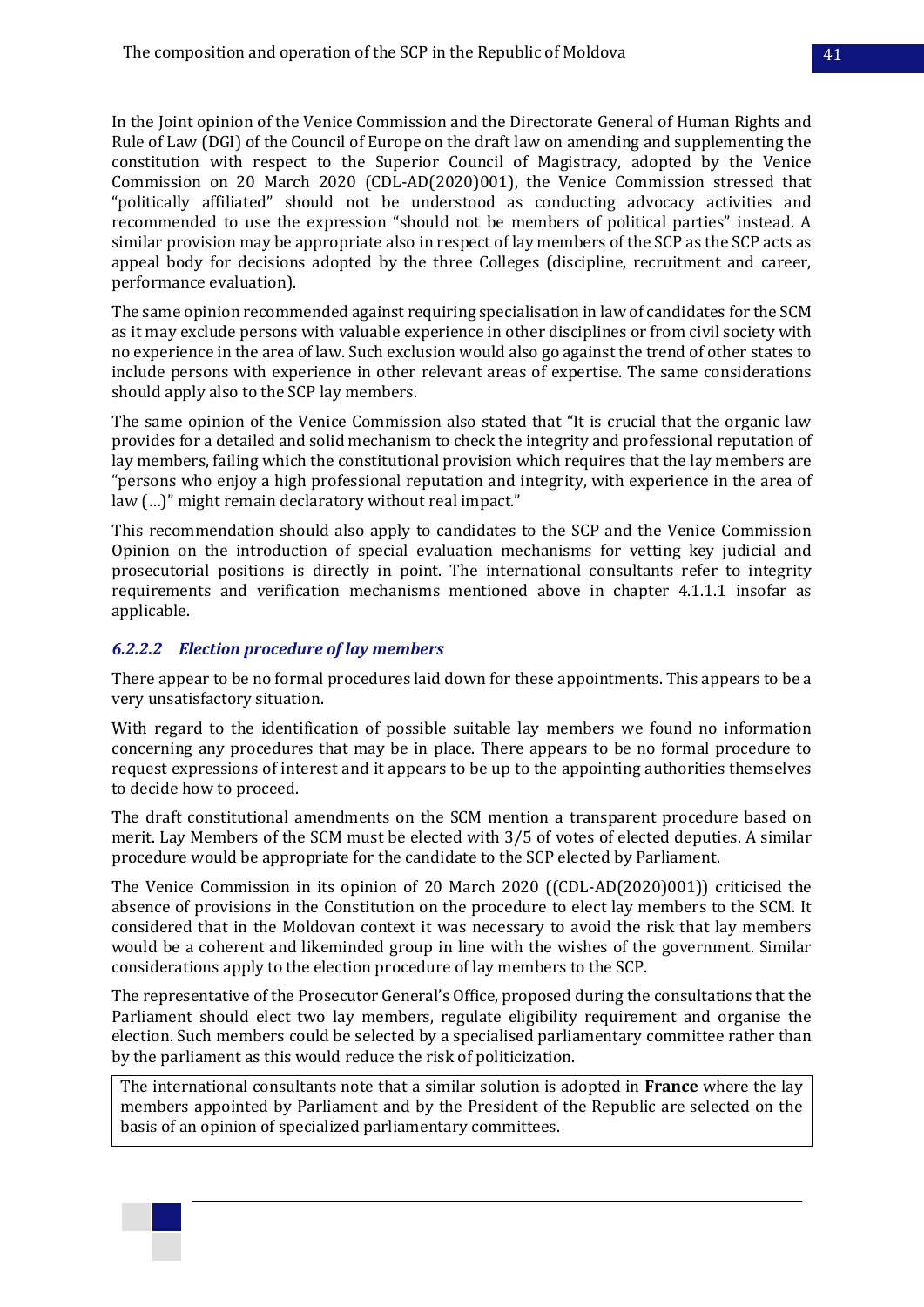In the Joint opinion of the Venice Commission and the Directorate General of Human Rights and Rule of Law (DGI) of the Council of Europe on the draft law on amending and supplementing the constitution with respect to the Superior Council of Magistracy, adopted by the Venice Commission on 20 March 2020 (CDL-AD(2020)001), the Venice Commission stressed that "politically affiliated" should not be understood as conducting advocacy activities and recommended to use the expression "should not be members of political parties" instead. A similar provision may be appropriate also in respect of lay members of the SCP as the SCP acts as appeal body for decisions adopted by the three Colleges (discipline, recruitment and career, performance evaluation).

The same opinion recommended against requiring specialisation in law of candidates for the SCM as it may exclude persons with valuable experience in other disciplines or from civil society with no experience in the area of law. Such exclusion would also go against the trend of other states to include persons with experience in other relevant areas of expertise. The same considerations should apply also to the SCP lay members.

The same opinion of the Venice Commission also stated that "It is crucial that the organic law provides for a detailed and solid mechanism to check the integrity and professional reputation of lay members, failing which the constitutional provision which requires that the lay members are "persons who enjoy a high professional reputation and integrity, with experience in the area of law (…)" might remain declaratory without real impact."

This recommendation should also apply to candidates to the SCP and the Venice Commission Opinion on the introduction of special evaluation mechanisms for vetting key judicial and prosecutorial positions is directly in point. The international consultants refer to integrity requirements and verification mechanisms mentioned above in chapter 4.1.1.1 insofar as applicable.

### <span id="page-40-0"></span>*6.2.2.2 Election procedure of lay members*

There appear to be no formal procedures laid down for these appointments. This appears to be a very unsatisfactory situation.

With regard to the identification of possible suitable lay members we found no information concerning any procedures that may be in place. There appears to be no formal procedure to request expressions of interest and it appears to be up to the appointing authorities themselves to decide how to proceed.

The draft constitutional amendments on the SCM mention a transparent procedure based on merit. Lay Members of the SCM must be elected with 3/5 of votes of elected deputies. A similar procedure would be appropriate for the candidate to the SCP elected by Parliament.

The Venice Commission in its opinion of 20 March 2020 ((CDL-AD(2020)001)) criticised the absence of provisions in the Constitution on the procedure to elect lay members to the SCM. It considered that in the Moldovan context it was necessary to avoid the risk that lay members would be a coherent and likeminded group in line with the wishes of the government. Similar considerations apply to the election procedure of lay members to the SCP.

The representative of the Prosecutor General's Office, proposed during the consultations that the Parliament should elect two lay members, regulate eligibility requirement and organise the election. Such members could be selected by a specialised parliamentary committee rather than by the parliament as this would reduce the risk of politicization.

The international consultants note that a similar solution is adopted in **France** where the lay members appointed by Parliament and by the President of the Republic are selected on the basis of an opinion of specialized parliamentary committees.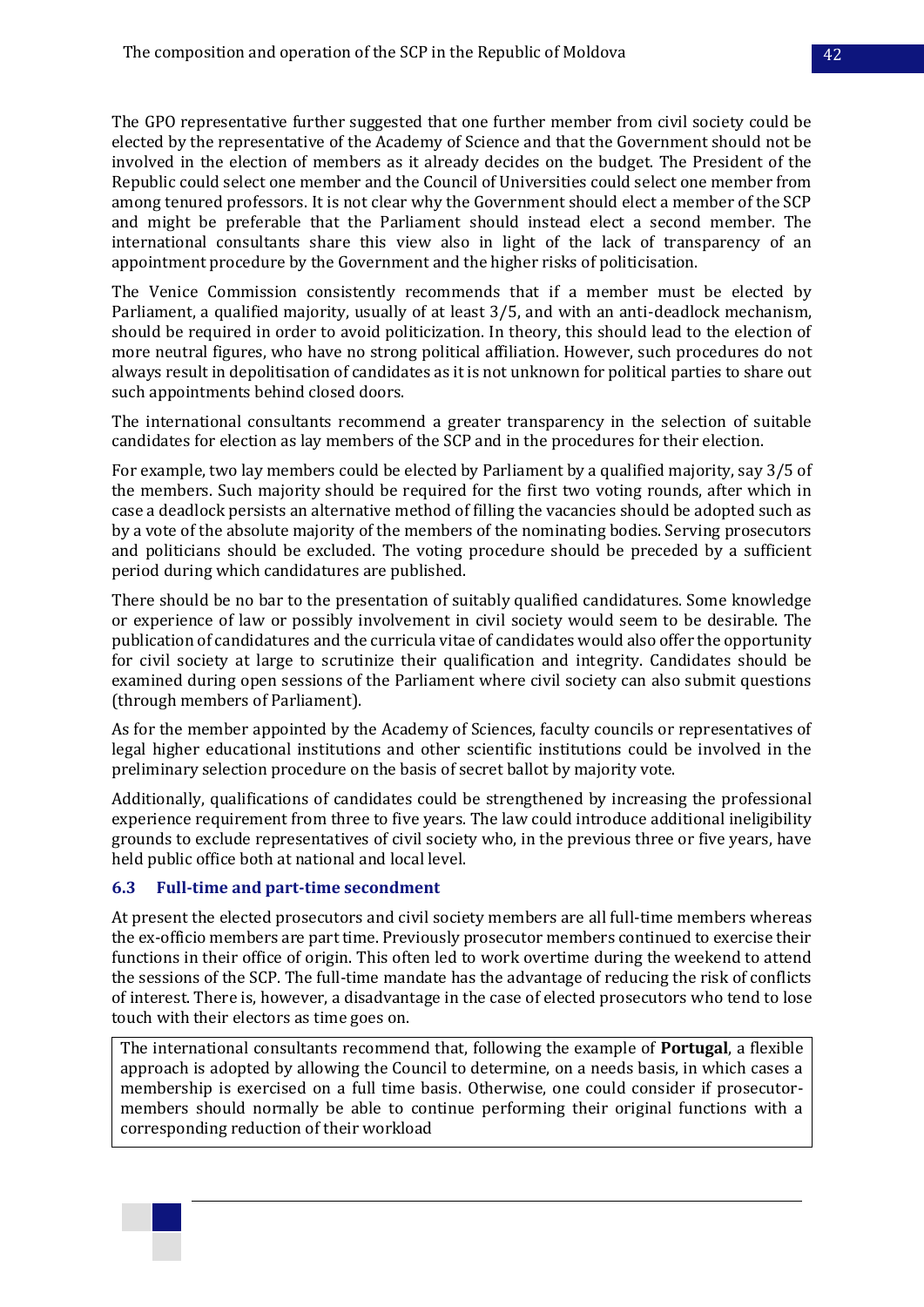The GPO representative further suggested that one further member from civil society could be elected by the representative of the Academy of Science and that the Government should not be involved in the election of members as it already decides on the budget. The President of the Republic could select one member and the Council of Universities could select one member from among tenured professors. It is not clear why the Government should elect a member of the SCP and might be preferable that the Parliament should instead elect a second member. The international consultants share this view also in light of the lack of transparency of an appointment procedure by the Government and the higher risks of politicisation.

The Venice Commission consistently recommends that if a member must be elected by Parliament, a qualified majority, usually of at least 3/5, and with an anti-deadlock mechanism, should be required in order to avoid politicization. In theory, this should lead to the election of more neutral figures, who have no strong political affiliation. However, such procedures do not always result in depolitisation of candidates as it is not unknown for political parties to share out such appointments behind closed doors.

The international consultants recommend a greater transparency in the selection of suitable candidates for election as lay members of the SCP and in the procedures for their election.

For example, two lay members could be elected by Parliament by a qualified majority, say 3/5 of the members. Such majority should be required for the first two voting rounds, after which in case a deadlock persists an alternative method of filling the vacancies should be adopted such as by a vote of the absolute majority of the members of the nominating bodies. Serving prosecutors and politicians should be excluded. The voting procedure should be preceded by a sufficient period during which candidatures are published.

There should be no bar to the presentation of suitably qualified candidatures. Some knowledge or experience of law or possibly involvement in civil society would seem to be desirable. The publication of candidatures and the curricula vitae of candidates would also offer the opportunity for civil society at large to scrutinize their qualification and integrity. Candidates should be examined during open sessions of the Parliament where civil society can also submit questions (through members of Parliament).

As for the member appointed by the Academy of Sciences, faculty councils or representatives of legal higher educational institutions and other scientific institutions could be involved in the preliminary selection procedure on the basis of secret ballot by majority vote.

Additionally, qualifications of candidates could be strengthened by increasing the professional experience requirement from three to five years. The law could introduce additional ineligibility grounds to exclude representatives of civil society who, in the previous three or five years, have held public office both at national and local level.

#### <span id="page-41-0"></span>**6.3 Full-time and part-time secondment**

At present the elected prosecutors and civil society members are all full-time members whereas the ex-officio members are part time. Previously prosecutor members continued to exercise their functions in their office of origin. This often led to work overtime during the weekend to attend the sessions of the SCP. The full-time mandate has the advantage of reducing the risk of conflicts of interest. There is, however, a disadvantage in the case of elected prosecutors who tend to lose touch with their electors as time goes on.

The international consultants recommend that, following the example of **Portugal**, a flexible approach is adopted by allowing the Council to determine, on a needs basis, in which cases a membership is exercised on a full time basis. Otherwise, one could consider if prosecutormembers should normally be able to continue performing their original functions with a corresponding reduction of their workload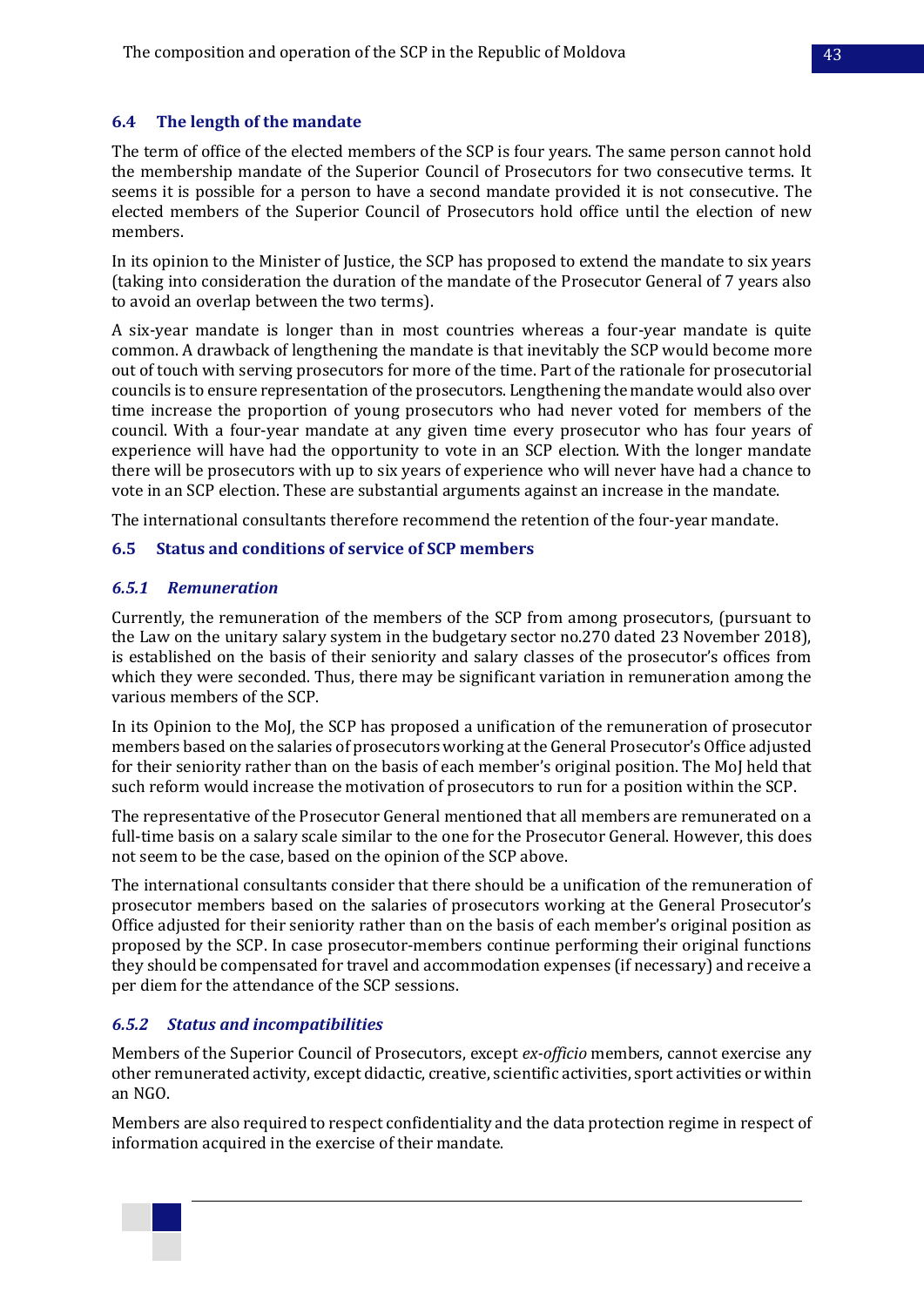### <span id="page-42-0"></span>**6.4 The length of the mandate**

The term of office of the elected members of the SCP is four years. The same person cannot hold the membership mandate of the Superior Council of Prosecutors for two consecutive terms. It seems it is possible for a person to have a second mandate provided it is not consecutive. The elected members of the Superior Council of Prosecutors hold office until the election of new members.

In its opinion to the Minister of Justice, the SCP has proposed to extend the mandate to six years (taking into consideration the duration of the mandate of the Prosecutor General of 7 years also to avoid an overlap between the two terms).

A six-year mandate is longer than in most countries whereas a four-year mandate is quite common. A drawback of lengthening the mandate is that inevitably the SCP would become more out of touch with serving prosecutors for more of the time. Part of the rationale for prosecutorial councils is to ensure representation of the prosecutors. Lengthening the mandate would also over time increase the proportion of young prosecutors who had never voted for members of the council. With a four-year mandate at any given time every prosecutor who has four years of experience will have had the opportunity to vote in an SCP election. With the longer mandate there will be prosecutors with up to six years of experience who will never have had a chance to vote in an SCP election. These are substantial arguments against an increase in the mandate.

The international consultants therefore recommend the retention of the four-year mandate.

### <span id="page-42-1"></span>**6.5 Status and conditions of service of SCP members**

### <span id="page-42-2"></span>*6.5.1 Remuneration*

Currently, the remuneration of the members of the SCP from among prosecutors, (pursuant to the Law on the unitary salary system in the budgetary sector no.270 dated 23 November 2018), is established on the basis of their seniority and salary classes of the prosecutor's offices from which they were seconded. Thus, there may be significant variation in remuneration among the various members of the SCP.

In its Opinion to the MoJ, the SCP has proposed a unification of the remuneration of prosecutor members based on the salaries of prosecutors working at the General Prosecutor's Office adjusted for their seniority rather than on the basis of each member's original position. The MoJ held that such reform would increase the motivation of prosecutors to run for a position within the SCP.

The representative of the Prosecutor General mentioned that all members are remunerated on a full-time basis on a salary scale similar to the one for the Prosecutor General. However, this does not seem to be the case, based on the opinion of the SCP above.

The international consultants consider that there should be a unification of the remuneration of prosecutor members based on the salaries of prosecutors working at the General Prosecutor's Office adjusted for their seniority rather than on the basis of each member's original position as proposed by the SCP. In case prosecutor-members continue performing their original functions they should be compensated for travel and accommodation expenses (if necessary) and receive a per diem for the attendance of the SCP sessions.

## <span id="page-42-3"></span>*6.5.2 Status and incompatibilities*

Members of the Superior Council of Prosecutors, except *ex-officio* members, cannot exercise any other remunerated activity, except didactic, creative, scientific activities, sport activities or within an NGO.

Members are also required to respect confidentiality and the data protection regime in respect of information acquired in the exercise of their mandate.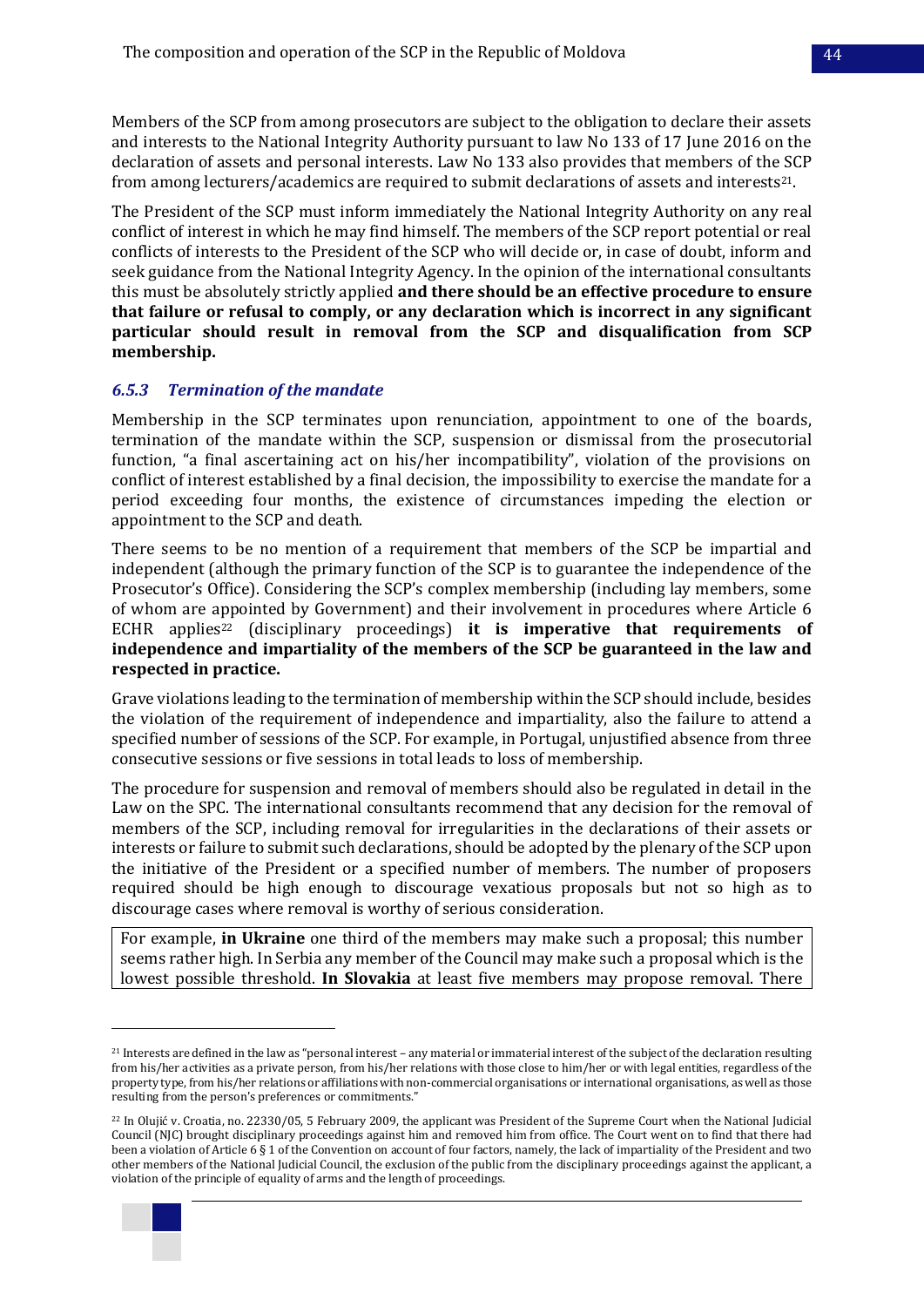Members of the SCP from among prosecutors are subject to the obligation to declare their assets and interests to the National Integrity Authority pursuant to law No 133 of 17 June 2016 on the declaration of assets and personal interests. Law No 133 also provides that members of the SCP from among lecturers/academics are required to submit declarations of assets and interests21.

The President of the SCP must inform immediately the National Integrity Authority on any real conflict of interest in which he may find himself. The members of the SCP report potential or real conflicts of interests to the President of the SCP who will decide or, in case of doubt, inform and seek guidance from the National Integrity Agency. In the opinion of the international consultants this must be absolutely strictly applied **and there should be an effective procedure to ensure that failure or refusal to comply, or any declaration which is incorrect in any significant particular should result in removal from the SCP and disqualification from SCP membership.**

#### <span id="page-43-0"></span>*6.5.3 Termination of the mandate*

Membership in the SCP terminates upon renunciation, appointment to one of the boards, termination of the mandate within the SCP, suspension or dismissal from the prosecutorial function, "a final ascertaining act on his/her incompatibility", violation of the provisions on conflict of interest established by a final decision, the impossibility to exercise the mandate for a period exceeding four months, the existence of circumstances impeding the election or appointment to the SCP and death.

There seems to be no mention of a requirement that members of the SCP be impartial and independent (although the primary function of the SCP is to guarantee the independence of the Prosecutor's Office). Considering the SCP's complex membership (including lay members, some of whom are appointed by Government) and their involvement in procedures where Article 6 ECHR applies<sup>22</sup> (disciplinary proceedings) **it is imperative that requirements of independence and impartiality of the members of the SCP be guaranteed in the law and respected in practice.**

Grave violations leading to the termination of membership within the SCP should include, besides the violation of the requirement of independence and impartiality, also the failure to attend a specified number of sessions of the SCP. For example, in Portugal, unjustified absence from three consecutive sessions or five sessions in total leads to loss of membership.

The procedure for suspension and removal of members should also be regulated in detail in the Law on the SPC. The international consultants recommend that any decision for the removal of members of the SCP, including removal for irregularities in the declarations of their assets or interests or failure to submit such declarations, should be adopted by the plenary of the SCP upon the initiative of the President or a specified number of members. The number of proposers required should be high enough to discourage vexatious proposals but not so high as to discourage cases where removal is worthy of serious consideration.

For example, **in Ukraine** one third of the members may make such a proposal; this number seems rather high. In Serbia any member of the Council may make such a proposal which is the lowest possible threshold. **In Slovakia** at least five members may propose removal. There

<sup>22</sup> In Olujić v. Croatia, no. 22330/05, 5 February 2009, the applicant was President of the Supreme Court when the National Judicial Council (NJC) brought disciplinary proceedings against him and removed him from office. The Court went on to find that there had been a violation of Article 6 § 1 of the Convention on account of four factors, namely, the lack of impartiality of the President and two other members of the National Judicial Council, the exclusion of the public from the disciplinary proceedings against the applicant, a violation of the principle of equality of arms and the length of proceedings.



<sup>21</sup> Interests are defined in the law as "personal interest – any material or immaterial interest of the subject of the declaration resulting from his/her activities as a private person, from his/her relations with those close to him/her or with legal entities, regardless of the property type, from his/her relations or affiliations with non-commercial organisations or international organisations, as well as those resulting from the person's preferences or commitments."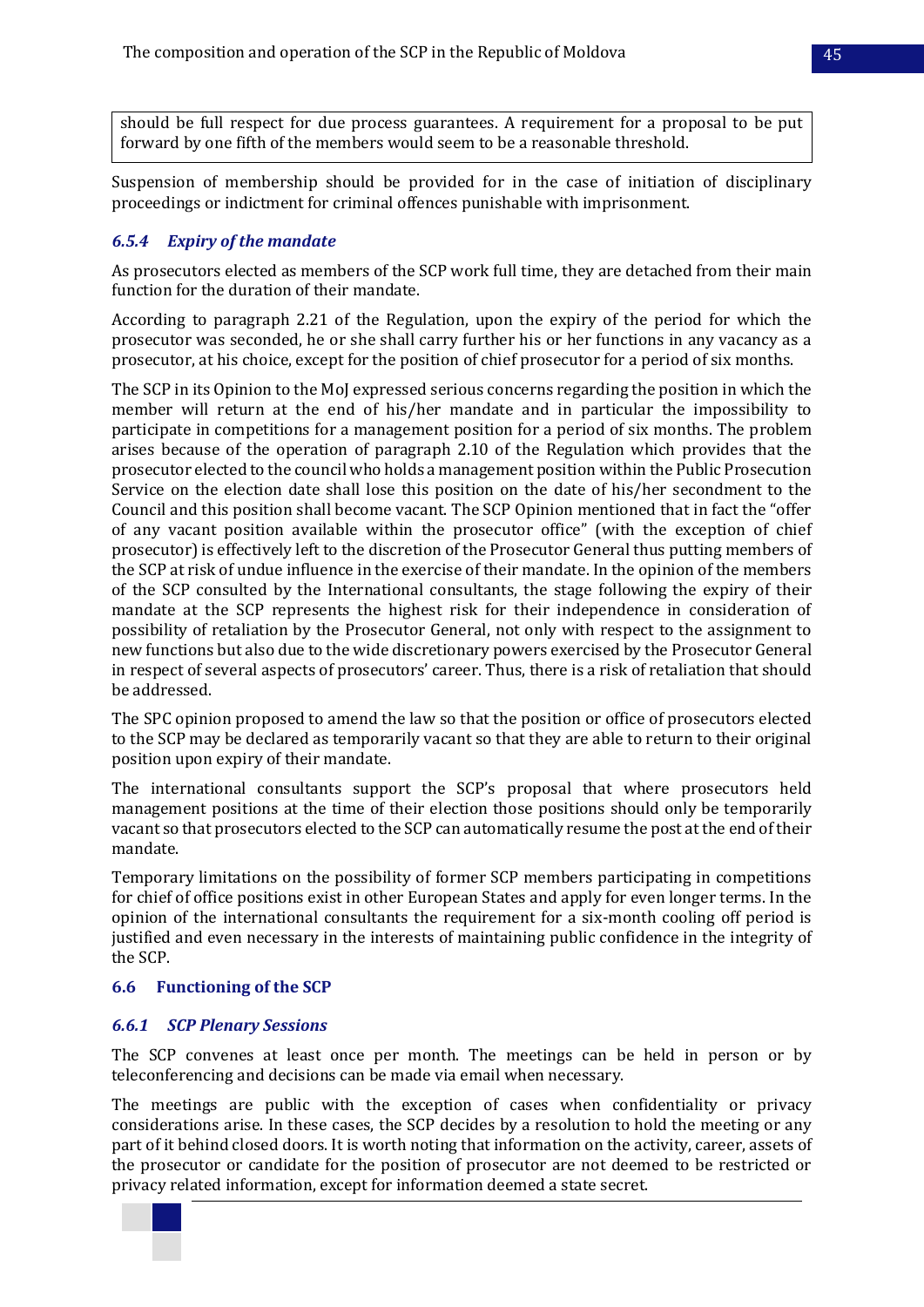should be full respect for due process guarantees. A requirement for a proposal to be put forward by one fifth of the members would seem to be a reasonable threshold.

Suspension of membership should be provided for in the case of initiation of disciplinary proceedings or indictment for criminal offences punishable with imprisonment.

### <span id="page-44-0"></span>*6.5.4 Expiry of the mandate*

As prosecutors elected as members of the SCP work full time, they are detached from their main function for the duration of their mandate.

According to paragraph 2.21 of the Regulation, upon the expiry of the period for which the prosecutor was seconded, he or she shall carry further his or her functions in any vacancy as a prosecutor, at his choice, except for the position of chief prosecutor for a period of six months.

The SCP in its Opinion to the MoJ expressed serious concerns regarding the position in which the member will return at the end of his/her mandate and in particular the impossibility to participate in competitions for a management position for a period of six months. The problem arises because of the operation of paragraph 2.10 of the Regulation which provides that the prosecutor elected to the council who holds a management position within the Public Prosecution Service on the election date shall lose this position on the date of his/her secondment to the Council and this position shall become vacant. The SCP Opinion mentioned that in fact the "offer of any vacant position available within the prosecutor office" (with the exception of chief prosecutor) is effectively left to the discretion of the Prosecutor General thus putting members of the SCP at risk of undue influence in the exercise of their mandate. In the opinion of the members of the SCP consulted by the International consultants, the stage following the expiry of their mandate at the SCP represents the highest risk for their independence in consideration of possibility of retaliation by the Prosecutor General, not only with respect to the assignment to new functions but also due to the wide discretionary powers exercised by the Prosecutor General in respect of several aspects of prosecutors' career. Thus, there is a risk of retaliation that should be addressed.

The SPC opinion proposed to amend the law so that the position or office of prosecutors elected to the SCP may be declared as temporarily vacant so that they are able to return to their original position upon expiry of their mandate.

The international consultants support the SCP's proposal that where prosecutors held management positions at the time of their election those positions should only be temporarily vacant so that prosecutors elected to the SCP can automatically resume the post at the end of their mandate.

Temporary limitations on the possibility of former SCP members participating in competitions for chief of office positions exist in other European States and apply for even longer terms. In the opinion of the international consultants the requirement for a six-month cooling off period is justified and even necessary in the interests of maintaining public confidence in the integrity of the SCP.

#### <span id="page-44-1"></span>**6.6 Functioning of the SCP**

#### <span id="page-44-2"></span>*6.6.1 SCP Plenary Sessions*

The SCP convenes at least once per month. The meetings can be held in person or by teleconferencing and decisions can be made via email when necessary.

The meetings are public with the exception of cases when confidentiality or privacy considerations arise. In these cases, the SCP decides by a resolution to hold the meeting or any part of it behind closed doors. It is worth noting that information on the activity, career, assets of the prosecutor or candidate for the position of prosecutor are not deemed to be restricted or privacy related information, except for information deemed a state secret.

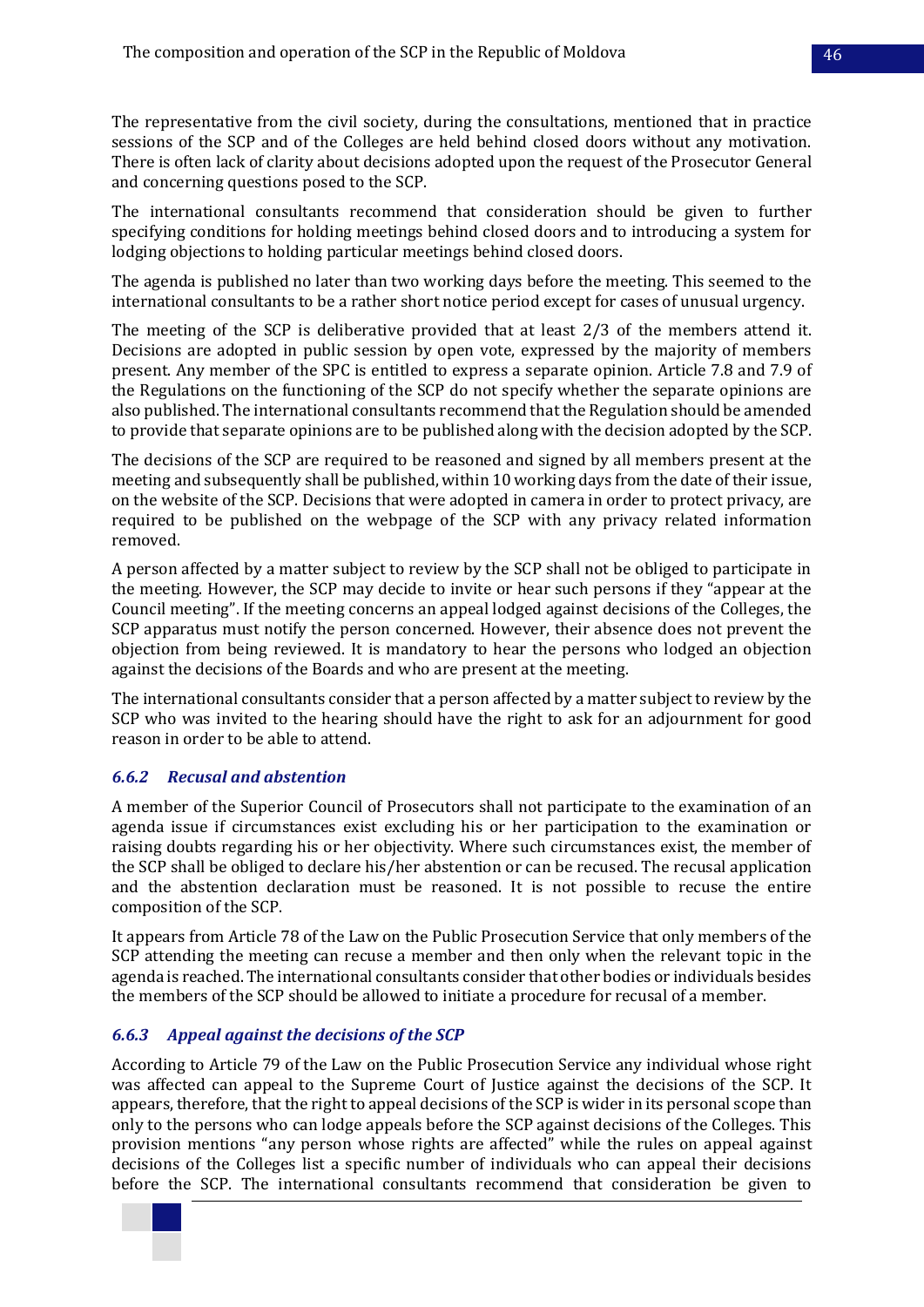The representative from the civil society, during the consultations, mentioned that in practice sessions of the SCP and of the Colleges are held behind closed doors without any motivation. There is often lack of clarity about decisions adopted upon the request of the Prosecutor General and concerning questions posed to the SCP.

The international consultants recommend that consideration should be given to further specifying conditions for holding meetings behind closed doors and to introducing a system for lodging objections to holding particular meetings behind closed doors.

The agenda is published no later than two working days before the meeting. This seemed to the international consultants to be a rather short notice period except for cases of unusual urgency.

The meeting of the SCP is deliberative provided that at least 2/3 of the members attend it. Decisions are adopted in public session by open vote, expressed by the majority of members present. Any member of the SPC is entitled to express a separate opinion. Article 7.8 and 7.9 of the Regulations on the functioning of the SCP do not specify whether the separate opinions are also published. The international consultants recommend that the Regulation should be amended to provide that separate opinions are to be published along with the decision adopted by the SCP.

The decisions of the SCP are required to be reasoned and signed by all members present at the meeting and subsequently shall be published, within 10 working days from the date of their issue, on the website of the SCP. Decisions that were adopted in camera in order to protect privacy, are required to be published on the webpage of the SCP with any privacy related information removed.

A person affected by a matter subject to review by the SCP shall not be obliged to participate in the meeting. However, the SCP may decide to invite or hear such persons if they "appear at the Council meeting". If the meeting concerns an appeal lodged against decisions of the Colleges, the SCP apparatus must notify the person concerned. However, their absence does not prevent the objection from being reviewed. It is mandatory to hear the persons who lodged an objection against the decisions of the Boards and who are present at the meeting.

The international consultants consider that a person affected by a matter subject to review by the SCP who was invited to the hearing should have the right to ask for an adjournment for good reason in order to be able to attend.

#### <span id="page-45-0"></span>*6.6.2 Recusal and abstention*

A member of the Superior Council of Prosecutors shall not participate to the examination of an agenda issue if circumstances exist excluding his or her participation to the examination or raising doubts regarding his or her objectivity. Where such circumstances exist, the member of the SCP shall be obliged to declare his/her abstention or can be recused. The recusal application and the abstention declaration must be reasoned. It is not possible to recuse the entire composition of the SCP.

It appears from Article 78 of the Law on the Public Prosecution Service that only members of the SCP attending the meeting can recuse a member and then only when the relevant topic in the agenda is reached. The international consultants consider that other bodies or individuals besides the members of the SCP should be allowed to initiate a procedure for recusal of a member.

#### <span id="page-45-1"></span>*6.6.3 Appeal against the decisions of the SCP*

According to Article 79 of the Law on the Public Prosecution Service any individual whose right was affected can appeal to the Supreme Court of Justice against the decisions of the SCP. It appears, therefore, that the right to appeal decisions of the SCP is wider in its personal scope than only to the persons who can lodge appeals before the SCP against decisions of the Colleges. This provision mentions "any person whose rights are affected" while the rules on appeal against decisions of the Colleges list a specific number of individuals who can appeal their decisions before the SCP. The international consultants recommend that consideration be given to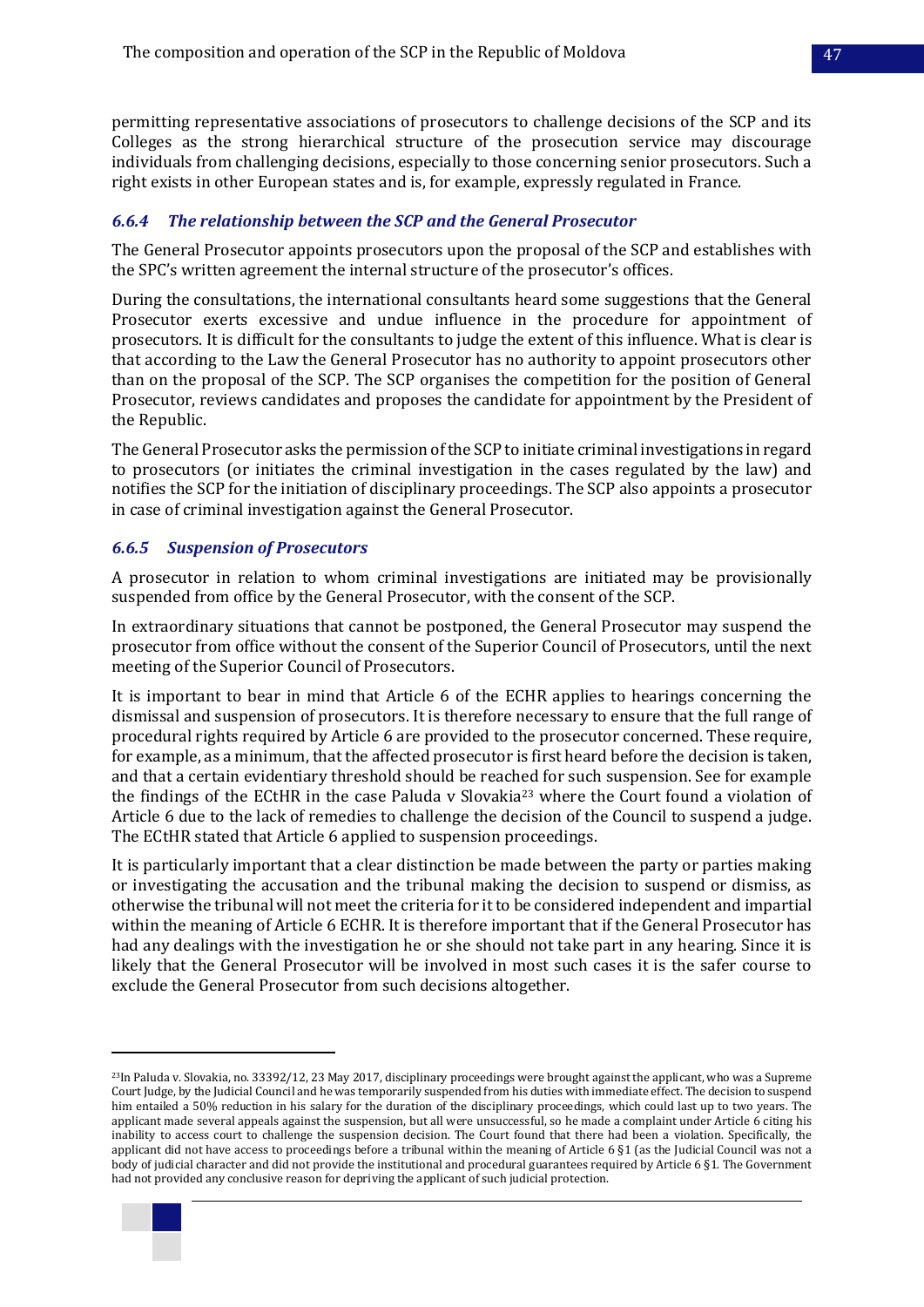permitting representative associations of prosecutors to challenge decisions of the SCP and its Colleges as the strong hierarchical structure of the prosecution service may discourage individuals from challenging decisions, especially to those concerning senior prosecutors. Such a right exists in other European states and is, for example, expressly regulated in France.

### <span id="page-46-0"></span>*6.6.4 The relationship between the SCP and the General Prosecutor*

The General Prosecutor appoints prosecutors upon the proposal of the SCP and establishes with the SPC's written agreement the internal structure of the prosecutor's offices.

During the consultations, the international consultants heard some suggestions that the General Prosecutor exerts excessive and undue influence in the procedure for appointment of prosecutors. It is difficult for the consultants to judge the extent of this influence. What is clear is that according to the Law the General Prosecutor has no authority to appoint prosecutors other than on the proposal of the SCP. The SCP organises the competition for the position of General Prosecutor, reviews candidates and proposes the candidate for appointment by the President of the Republic.

The General Prosecutor asks the permission of the SCP to initiate criminal investigations in regard to prosecutors (or initiates the criminal investigation in the cases regulated by the law) and notifies the SCP for the initiation of disciplinary proceedings. The SCP also appoints a prosecutor in case of criminal investigation against the General Prosecutor.

#### <span id="page-46-1"></span>*6.6.5 Suspension of Prosecutors*

A prosecutor in relation to whom criminal investigations are initiated may be provisionally suspended from office by the General Prosecutor, with the consent of the SCP.

In extraordinary situations that cannot be postponed, the General Prosecutor may suspend the prosecutor from office without the consent of the Superior Council of Prosecutors, until the next meeting of the Superior Council of Prosecutors.

It is important to bear in mind that Article 6 of the ECHR applies to hearings concerning the dismissal and suspension of prosecutors. It is therefore necessary to ensure that the full range of procedural rights required by Article 6 are provided to the prosecutor concerned. These require, for example, as a minimum, that the affected prosecutor is first heard before the decision is taken, and that a certain evidentiary threshold should be reached for such suspension. See for example the findings of the ECtHR in the case Paluda v Slovakia<sup>23</sup> where the Court found a violation of Article 6 due to the lack of remedies to challenge the decision of the Council to suspend a judge. The ECtHR stated that Article 6 applied to suspension proceedings.

It is particularly important that a clear distinction be made between the party or parties making or investigating the accusation and the tribunal making the decision to suspend or dismiss, as otherwise the tribunal will not meet the criteria for it to be considered independent and impartial within the meaning of Article 6 ECHR. It is therefore important that if the General Prosecutor has had any dealings with the investigation he or she should not take part in any hearing. Since it is likely that the General Prosecutor will be involved in most such cases it is the safer course to exclude the General Prosecutor from such decisions altogether.

<sup>23</sup>In Paluda v. Slovakia, no. 33392/12, 23 May 2017, disciplinary proceedings were brought against the applicant, who was a Supreme Court Judge, by the Judicial Council and he was temporarily suspended from his duties with immediate effect. The decision to suspend him entailed a 50% reduction in his salary for the duration of the disciplinary proceedings, which could last up to two years. The applicant made several appeals against the suspension, but all were unsuccessful, so he made a complaint under Article 6 citing his inability to access court to challenge the suspension decision. The Court found that there had been a violation. Specifically, the applicant did not have access to proceedings before a tribunal within the meaning of Article 6 §1 (as the Judicial Council was not a body of judicial character and did not provide the institutional and procedural guarantees required by Article 6 §1. The Government had not provided any conclusive reason for depriving the applicant of such judicial protection.

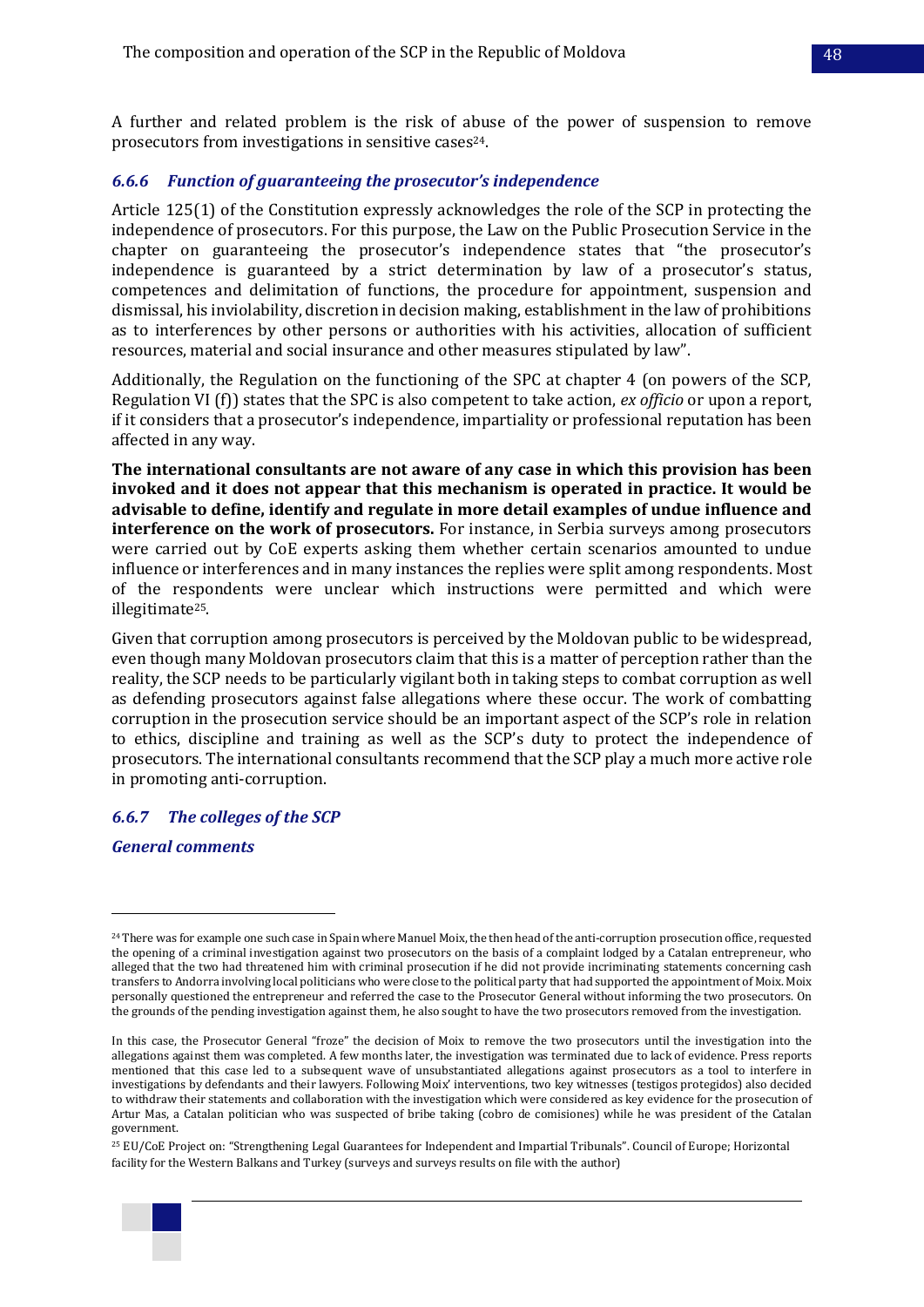A further and related problem is the risk of abuse of the power of suspension to remove prosecutors from investigations in sensitive cases<sup>24</sup>.

### <span id="page-47-0"></span>*6.6.6 Function of guaranteeing the prosecutor's independence*

Article 125(1) of the Constitution expressly acknowledges the role of the SCP in protecting the independence of prosecutors. For this purpose, the Law on the Public Prosecution Service in the chapter on guaranteeing the prosecutor's independence states that "the prosecutor's independence is guaranteed by a strict determination by law of a prosecutor's status, competences and delimitation of functions, the procedure for appointment, suspension and dismissal, his inviolability, discretion in decision making, establishment in the law of prohibitions as to interferences by other persons or authorities with his activities, allocation of sufficient resources, material and social insurance and other measures stipulated by law".

Additionally, the Regulation on the functioning of the SPC at chapter 4 (on powers of the SCP, Regulation VI (f)) states that the SPC is also competent to take action, *ex officio* or upon a report, if it considers that a prosecutor's independence, impartiality or professional reputation has been affected in any way.

**The international consultants are not aware of any case in which this provision has been invoked and it does not appear that this mechanism is operated in practice. It would be advisable to define, identify and regulate in more detail examples of undue influence and interference on the work of prosecutors.** For instance, in Serbia surveys among prosecutors were carried out by CoE experts asking them whether certain scenarios amounted to undue influence or interferences and in many instances the replies were split among respondents. Most of the respondents were unclear which instructions were permitted and which were illegitimate25.

Given that corruption among prosecutors is perceived by the Moldovan public to be widespread, even though many Moldovan prosecutors claim that this is a matter of perception rather than the reality, the SCP needs to be particularly vigilant both in taking steps to combat corruption as well as defending prosecutors against false allegations where these occur. The work of combatting corruption in the prosecution service should be an important aspect of the SCP's role in relation to ethics, discipline and training as well as the SCP's duty to protect the independence of prosecutors. The international consultants recommend that the SCP play a much more active role in promoting anti-corruption.

### <span id="page-47-1"></span>*6.6.7 The colleges of the SCP*

*General comments*



<sup>&</sup>lt;sup>24</sup> There was for example one such case in Spain where Manuel Moix, the then head of the anti-corruption prosecution office, requested the opening of a criminal investigation against two prosecutors on the basis of a complaint lodged by a Catalan entrepreneur, who alleged that the two had threatened him with criminal prosecution if he did not provide incriminating statements concerning cash transfers to Andorra involving local politicians who were close to the political party that had supported the appointment of Moix. Moix personally questioned the entrepreneur and referred the case to the Prosecutor General without informing the two prosecutors. On the grounds of the pending investigation against them, he also sought to have the two prosecutors removed from the investigation.

In this case, the Prosecutor General "froze" the decision of Moix to remove the two prosecutors until the investigation into the allegations against them was completed. A few months later, the investigation was terminated due to lack of evidence. Press reports mentioned that this case led to a subsequent wave of unsubstantiated allegations against prosecutors as a tool to interfere in investigations by defendants and their lawyers. Following Moix' interventions, two key witnesses (testigos protegidos) also decided to withdraw their statements and collaboration with the investigation which were considered as key evidence for the prosecution of Artur Mas, a Catalan politician who was suspected of bribe taking (cobro de comisiones) while he was president of the Catalan government.

<sup>25</sup> EU/CoE Project on: "Strengthening Legal Guarantees for Independent and Impartial Tribunals". Council of Europe; Horizontal facility for the Western Balkans and Turkey (surveys and surveys results on file with the author)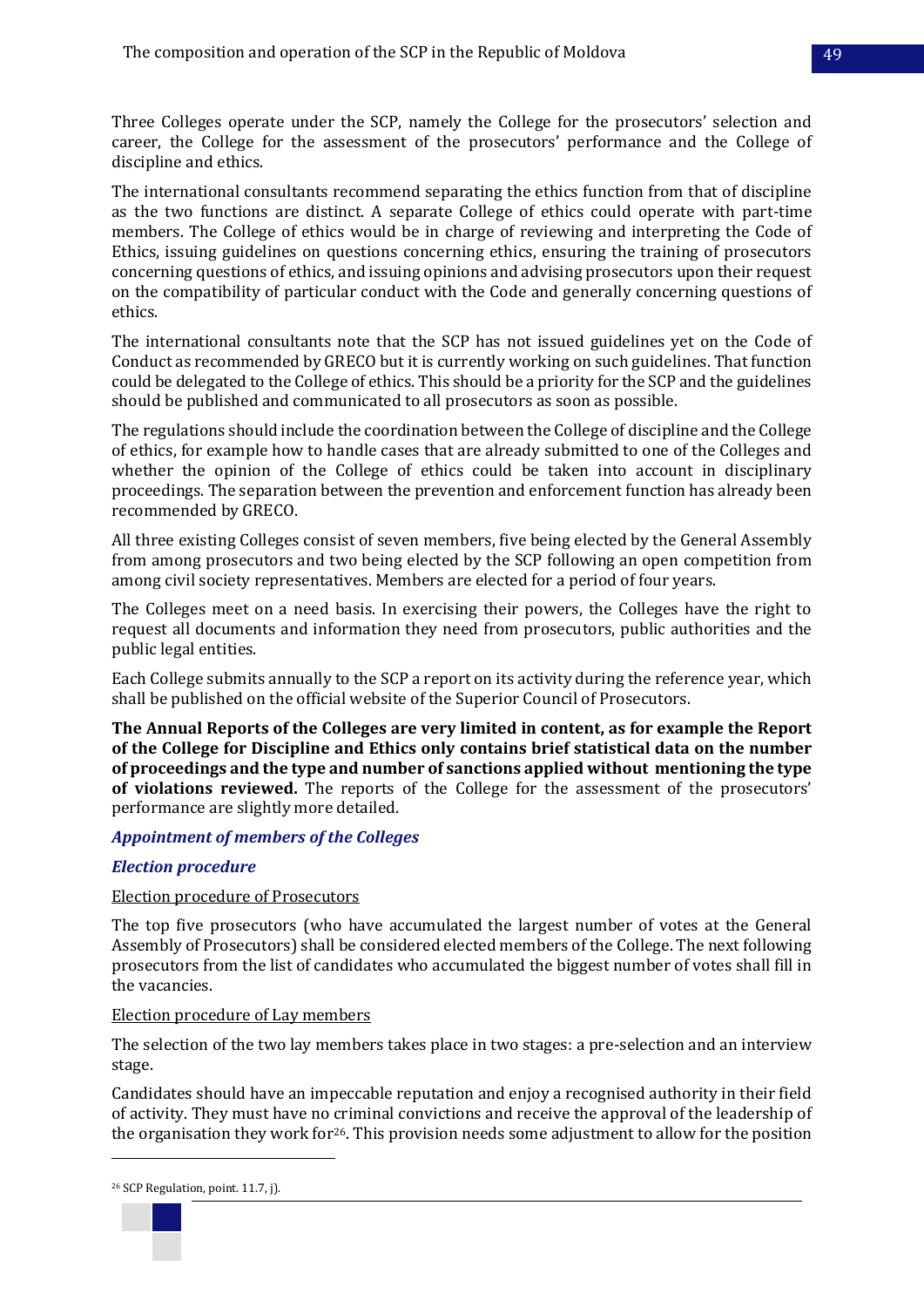Three Colleges operate under the SCP, namely the College for the prosecutors' selection and career, the College for the assessment of the prosecutors' performance and the College of discipline and ethics.

The international consultants recommend separating the ethics function from that of discipline as the two functions are distinct. A separate College of ethics could operate with part-time members. The College of ethics would be in charge of reviewing and interpreting the Code of Ethics, issuing guidelines on questions concerning ethics, ensuring the training of prosecutors concerning questions of ethics, and issuing opinions and advising prosecutors upon their request on the compatibility of particular conduct with the Code and generally concerning questions of ethics.

The international consultants note that the SCP has not issued guidelines yet on the Code of Conduct as recommended by GRECO but it is currently working on such guidelines. That function could be delegated to the College of ethics. This should be a priority for the SCP and the guidelines should be published and communicated to all prosecutors as soon as possible.

The regulations should include the coordination between the College of discipline and the College of ethics, for example how to handle cases that are already submitted to one of the Colleges and whether the opinion of the College of ethics could be taken into account in disciplinary proceedings. The separation between the prevention and enforcement function has already been recommended by GRECO.

All three existing Colleges consist of seven members, five being elected by the General Assembly from among prosecutors and two being elected by the SCP following an open competition from among civil society representatives. Members are elected for a period of four years.

The Colleges meet on a need basis. In exercising their powers, the Colleges have the right to request all documents and information they need from prosecutors, public authorities and the public legal entities.

Each College submits annually to the SCP a report on its activity during the reference year, which shall be published on the official website of the Superior Council of Prosecutors.

**The Annual Reports of the Colleges are very limited in content, as for example the Report of the College for Discipline and Ethics only contains brief statistical data on the number of proceedings and the type and number of sanctions applied without mentioning the type of violations reviewed.** The reports of the College for the assessment of the prosecutors' performance are slightly more detailed.

## *Appointment of members of the Colleges*

#### *Election procedure*

### Election procedure of Prosecutors

The top five prosecutors (who have accumulated the largest number of votes at the General Assembly of Prosecutors) shall be considered elected members of the College. The next following prosecutors from the list of candidates who accumulated the biggest number of votes shall fill in the vacancies.

#### Election procedure of Lay members

The selection of the two lay members takes place in two stages: a pre-selection and an interview stage.

Candidates should have an impeccable reputation and enjoy a recognised authority in their field of activity. They must have no criminal convictions and receive the approval of the leadership of the organisation they work for26. This provision needs some adjustment to allow for the position

<sup>26</sup> SCP Regulation, point. 11.7, j).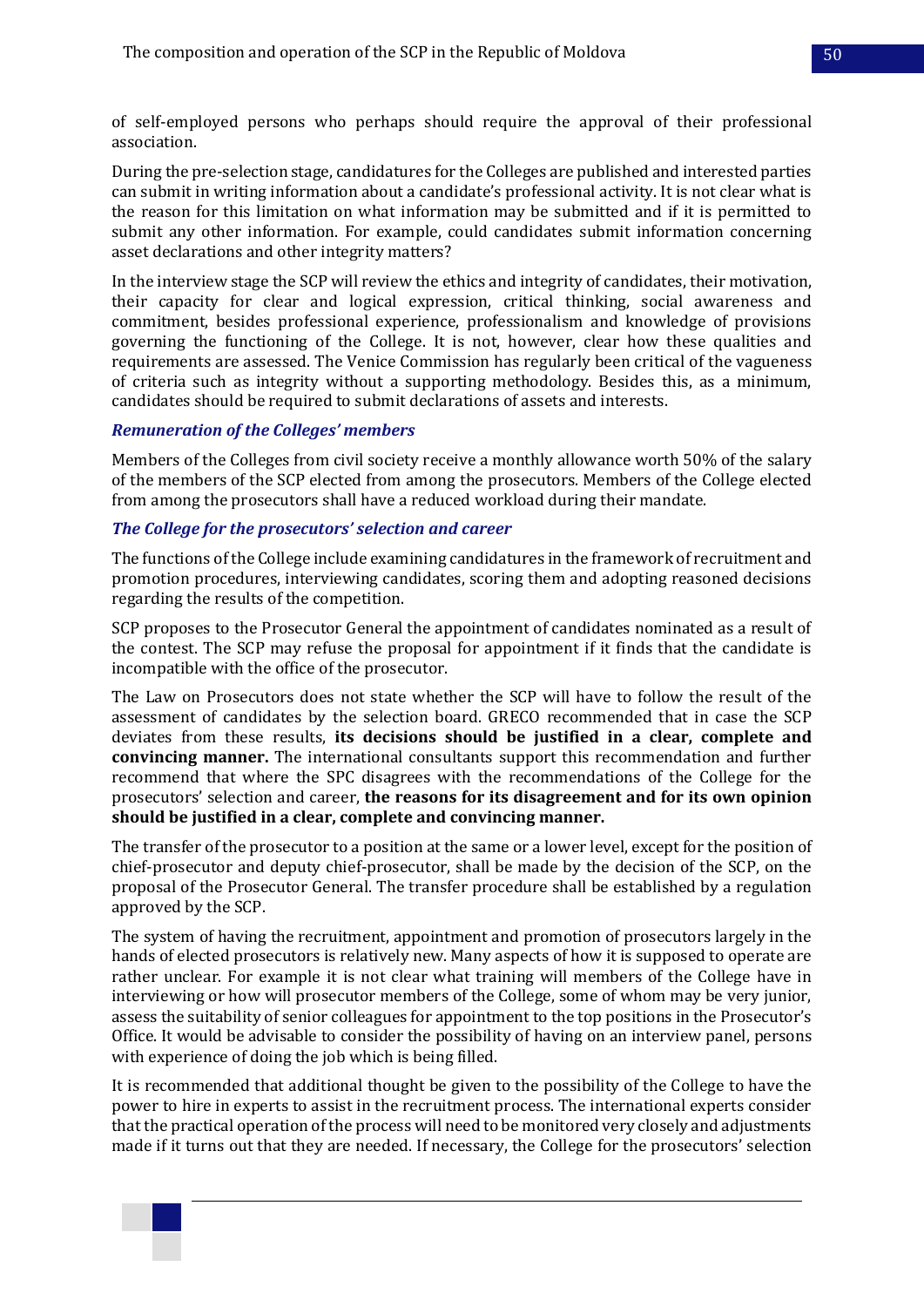of self-employed persons who perhaps should require the approval of their professional association.

During the pre-selection stage, candidatures for the Colleges are published and interested parties can submit in writing information about a candidate's professional activity. It is not clear what is the reason for this limitation on what information may be submitted and if it is permitted to submit any other information. For example, could candidates submit information concerning asset declarations and other integrity matters?

In the interview stage the SCP will review the ethics and integrity of candidates, their motivation, their capacity for clear and logical expression, critical thinking, social awareness and commitment, besides professional experience, professionalism and knowledge of provisions governing the functioning of the College. It is not, however, clear how these qualities and requirements are assessed. The Venice Commission has regularly been critical of the vagueness of criteria such as integrity without a supporting methodology. Besides this, as a minimum, candidates should be required to submit declarations of assets and interests.

#### *Remuneration of the Colleges' members*

Members of the Colleges from civil society receive a monthly allowance worth 50% of the salary of the members of the SCP elected from among the prosecutors. Members of the College elected from among the prosecutors shall have a reduced workload during their mandate.

#### *The College for the prosecutors' selection and career*

The functions of the College include examining candidatures in the framework of recruitment and promotion procedures, interviewing candidates, scoring them and adopting reasoned decisions regarding the results of the competition.

SCP proposes to the Prosecutor General the appointment of candidates nominated as a result of the contest. The SCP may refuse the proposal for appointment if it finds that the candidate is incompatible with the office of the prosecutor.

The Law on Prosecutors does not state whether the SCP will have to follow the result of the assessment of candidates by the selection board. GRECO recommended that in case the SCP deviates from these results, **its decisions should be justified in a clear, complete and convincing manner.** The international consultants support this recommendation and further recommend that where the SPC disagrees with the recommendations of the College for the prosecutors' selection and career, **the reasons for its disagreement and for its own opinion should be justified in a clear, complete and convincing manner.**

The transfer of the prosecutor to a position at the same or a lower level, except for the position of chief-prosecutor and deputy chief-prosecutor, shall be made by the decision of the SCP, on the proposal of the Prosecutor General. The transfer procedure shall be established by a regulation approved by the SCP.

The system of having the recruitment, appointment and promotion of prosecutors largely in the hands of elected prosecutors is relatively new. Many aspects of how it is supposed to operate are rather unclear. For example it is not clear what training will members of the College have in interviewing or how will prosecutor members of the College, some of whom may be very junior, assess the suitability of senior colleagues for appointment to the top positions in the Prosecutor's Office. It would be advisable to consider the possibility of having on an interview panel, persons with experience of doing the job which is being filled.

It is recommended that additional thought be given to the possibility of the College to have the power to hire in experts to assist in the recruitment process. The international experts consider that the practical operation of the process will need to be monitored very closely and adjustments made if it turns out that they are needed. If necessary, the College for the prosecutors' selection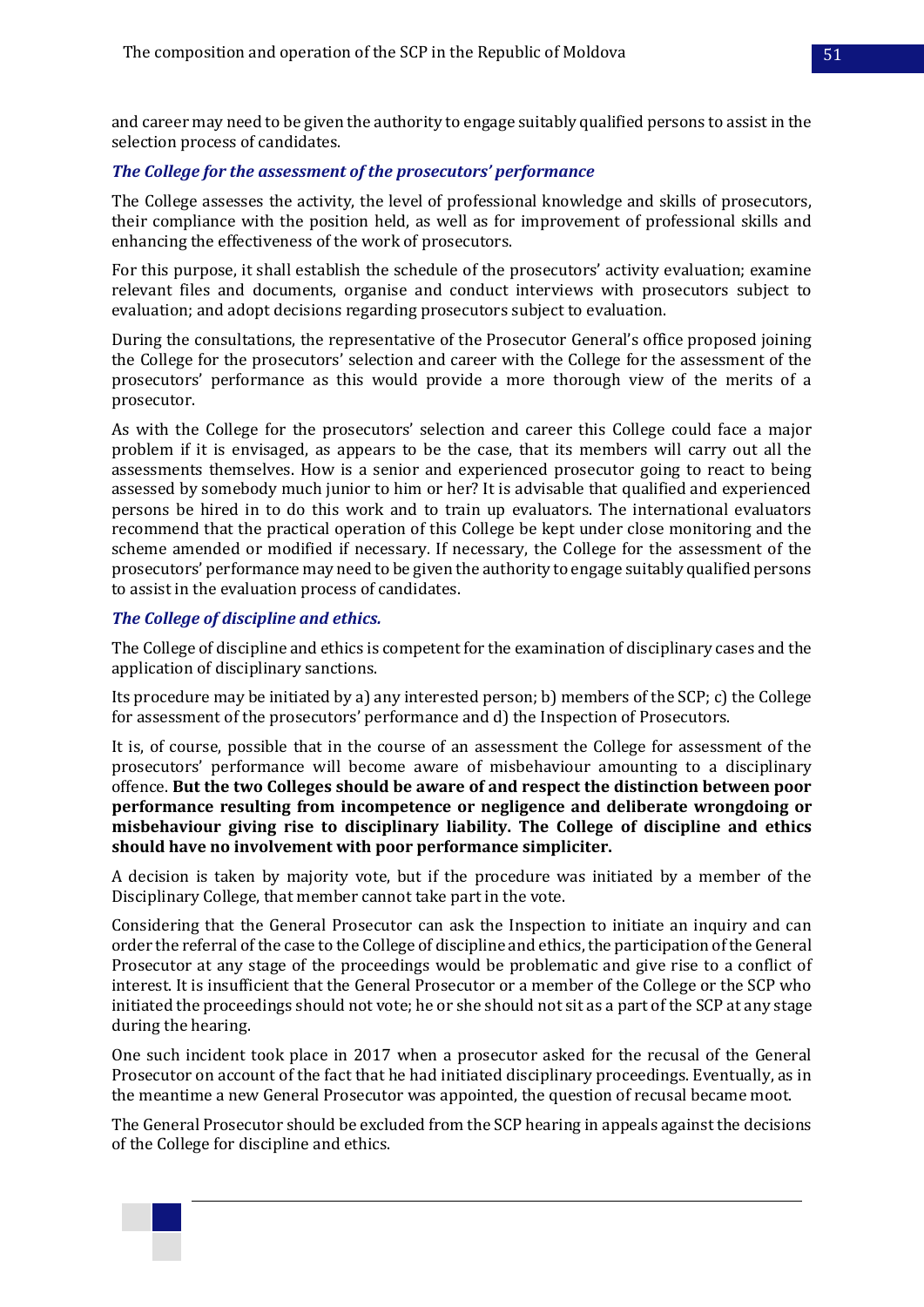and career may need to be given the authority to engage suitably qualified persons to assist in the selection process of candidates.

### *The College for the assessment of the prosecutors' performance*

The College assesses the activity, the level of professional knowledge and skills of prosecutors, their compliance with the position held, as well as for improvement of professional skills and enhancing the effectiveness of the work of prosecutors.

For this purpose, it shall establish the schedule of the prosecutors' activity evaluation; examine relevant files and documents, organise and conduct interviews with prosecutors subject to evaluation; and adopt decisions regarding prosecutors subject to evaluation.

During the consultations, the representative of the Prosecutor General's office proposed joining the College for the prosecutors' selection and career with the College for the assessment of the prosecutors' performance as this would provide a more thorough view of the merits of a prosecutor.

As with the College for the prosecutors' selection and career this College could face a major problem if it is envisaged, as appears to be the case, that its members will carry out all the assessments themselves. How is a senior and experienced prosecutor going to react to being assessed by somebody much junior to him or her? It is advisable that qualified and experienced persons be hired in to do this work and to train up evaluators. The international evaluators recommend that the practical operation of this College be kept under close monitoring and the scheme amended or modified if necessary. If necessary, the College for the assessment of the prosecutors' performance may need to be given the authority to engage suitably qualified persons to assist in the evaluation process of candidates.

#### *The College of discipline and ethics.*

The College of discipline and ethics is competent for the examination of disciplinary cases and the application of disciplinary sanctions.

Its procedure may be initiated by a) any interested person; b) members of the SCP; c) the College for assessment of the prosecutors' performance and d) the Inspection of Prosecutors.

It is, of course, possible that in the course of an assessment the College for assessment of the prosecutors' performance will become aware of misbehaviour amounting to a disciplinary offence. **But the two Colleges should be aware of and respect the distinction between poor performance resulting from incompetence or negligence and deliberate wrongdoing or misbehaviour giving rise to disciplinary liability. The College of discipline and ethics should have no involvement with poor performance simpliciter.**

A decision is taken by majority vote, but if the procedure was initiated by a member of the Disciplinary College, that member cannot take part in the vote.

Considering that the General Prosecutor can ask the Inspection to initiate an inquiry and can order the referral of the case to the College of discipline and ethics, the participation of the General Prosecutor at any stage of the proceedings would be problematic and give rise to a conflict of interest. It is insufficient that the General Prosecutor or a member of the College or the SCP who initiated the proceedings should not vote; he or she should not sit as a part of the SCP at any stage during the hearing.

One such incident took place in 2017 when a prosecutor asked for the recusal of the General Prosecutor on account of the fact that he had initiated disciplinary proceedings. Eventually, as in the meantime a new General Prosecutor was appointed, the question of recusal became moot.

The General Prosecutor should be excluded from the SCP hearing in appeals against the decisions of the College for discipline and ethics.

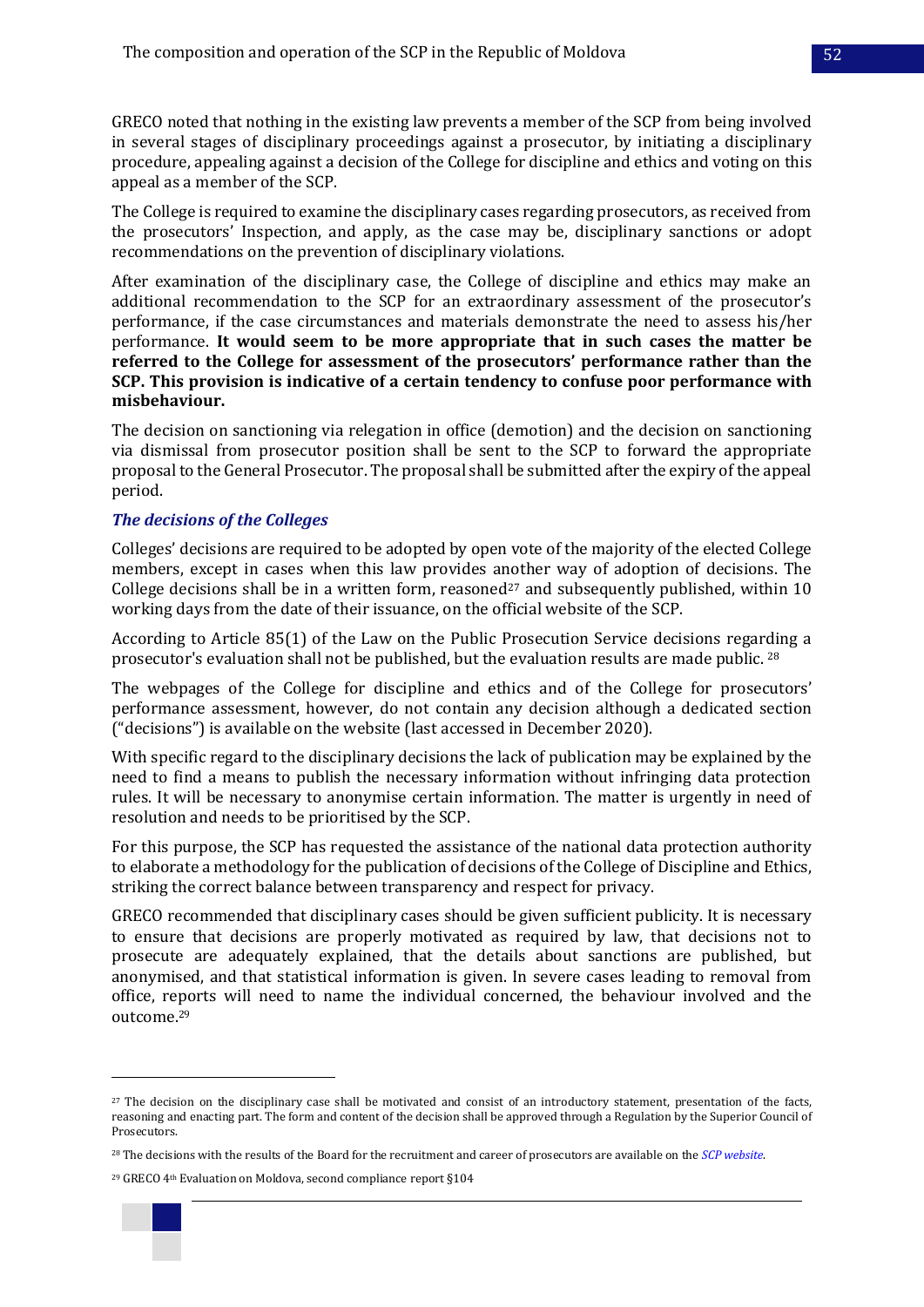GRECO noted that nothing in the existing law prevents a member of the SCP from being involved in several stages of disciplinary proceedings against a prosecutor, by initiating a disciplinary procedure, appealing against a decision of the College for discipline and ethics and voting on this appeal as a member of the SCP.

The College is required to examine the disciplinary cases regarding prosecutors, as received from the prosecutors' Inspection, and apply, as the case may be, disciplinary sanctions or adopt recommendations on the prevention of disciplinary violations.

After examination of the disciplinary case, the College of discipline and ethics may make an additional recommendation to the SCP for an extraordinary assessment of the prosecutor's performance, if the case circumstances and materials demonstrate the need to assess his/her performance. **It would seem to be more appropriate that in such cases the matter be referred to the College for assessment of the prosecutors' performance rather than the SCP. This provision is indicative of a certain tendency to confuse poor performance with misbehaviour.**

The decision on sanctioning via relegation in office (demotion) and the decision on sanctioning via dismissal from prosecutor position shall be sent to the SCP to forward the appropriate proposal to the General Prosecutor. The proposal shall be submitted after the expiry of the appeal period.

#### *The decisions of the Colleges*

Colleges' decisions are required to be adopted by open vote of the majority of the elected College members, except in cases when this law provides another way of adoption of decisions. The College decisions shall be in a written form, reasoned<sup>27</sup> and subsequently published, within 10 working days from the date of their issuance, on the official website of the SCP.

According to Article 85(1) of the Law on the Public Prosecution Service decisions regarding a prosecutor's evaluation shall not be published, but the evaluation results are made public. <sup>28</sup>

The webpages of the College for discipline and ethics and of the College for prosecutors' performance assessment, however, do not contain any decision although a dedicated section ("decisions") is available on the website (last accessed in December 2020).

With specific regard to the disciplinary decisions the lack of publication may be explained by the need to find a means to publish the necessary information without infringing data protection rules. It will be necessary to anonymise certain information. The matter is urgently in need of resolution and needs to be prioritised by the SCP.

For this purpose, the SCP has requested the assistance of the national data protection authority to elaborate a methodology for the publication of decisions of the College of Discipline and Ethics, striking the correct balance between transparency and respect for privacy.

GRECO recommended that disciplinary cases should be given sufficient publicity. It is necessary to ensure that decisions are properly motivated as required by law, that decisions not to prosecute are adequately explained, that the details about sanctions are published, but anonymised, and that statistical information is given. In severe cases leading to removal from office, reports will need to name the individual concerned, the behaviour involved and the outcome.<sup>29</sup>

<sup>29</sup> GRECO 4th Evaluation on Moldova, second compliance report §104



<sup>&</sup>lt;sup>27</sup> The decision on the disciplinary case shall be motivated and consist of an introductory statement, presentation of the facts, reasoning and enacting part. The form and content of the decision shall be approved through a Regulation by the Superior Council of Prosecutors.

<sup>28</sup> The decisions with the results of the Board for the recruitment and career of prosecutors are available on the *SCP [website](http://csp.md/colegiu/colegiul-pentru-selectia-si-cariera-procurorilor/hotarari)*.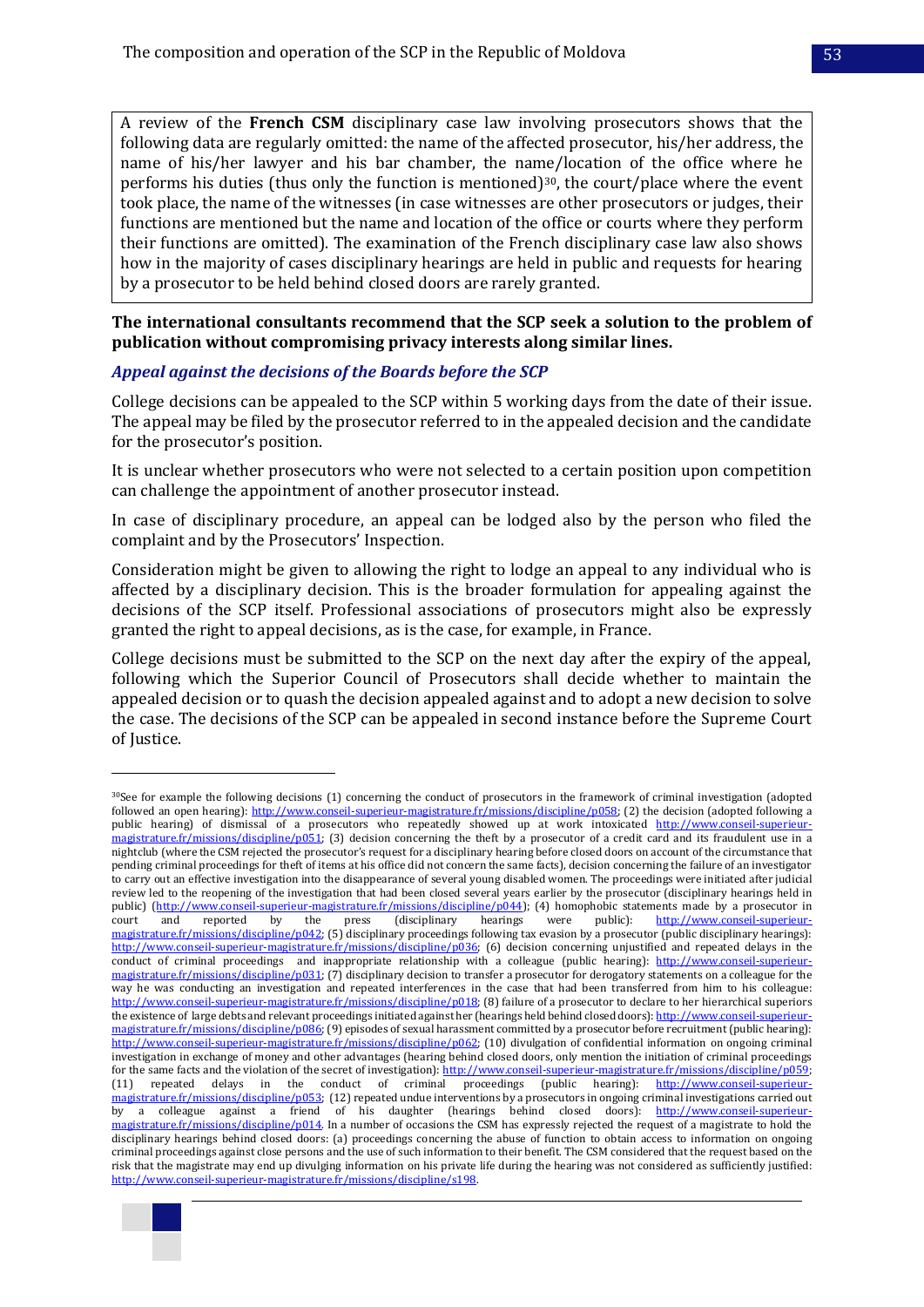A review of the **French CSM** disciplinary case law involving prosecutors shows that the following data are regularly omitted: the name of the affected prosecutor, his/her address, the name of his/her lawyer and his bar chamber, the name/location of the office where he performs his duties (thus only the function is mentioned)<sup>30</sup>, the court/place where the event took place, the name of the witnesses (in case witnesses are other prosecutors or judges, their functions are mentioned but the name and location of the office or courts where they perform their functions are omitted). The examination of the French disciplinary case law also shows how in the majority of cases disciplinary hearings are held in public and requests for hearing by a prosecutor to be held behind closed doors are rarely granted.

### **The international consultants recommend that the SCP seek a solution to the problem of publication without compromising privacy interests along similar lines.**

### *Appeal against the decisions of the Boards before the SCP*

College decisions can be appealed to the SCP within 5 working days from the date of their issue. The appeal may be filed by the prosecutor referred to in the appealed decision and the candidate for the prosecutor's position.

It is unclear whether prosecutors who were not selected to a certain position upon competition can challenge the appointment of another prosecutor instead.

In case of disciplinary procedure, an appeal can be lodged also by the person who filed the complaint and by the Prosecutors' Inspection.

Consideration might be given to allowing the right to lodge an appeal to any individual who is affected by a disciplinary decision. This is the broader formulation for appealing against the decisions of the SCP itself. Professional associations of prosecutors might also be expressly granted the right to appeal decisions, as is the case, for example, in France.

College decisions must be submitted to the SCP on the next day after the expiry of the appeal, following which the Superior Council of Prosecutors shall decide whether to maintain the appealed decision or to quash the decision appealed against and to adopt a new decision to solve the case. The decisions of the SCP can be appealed in second instance before the Supreme Court of Justice.

 $30$ See for example the following decisions (1) concerning the conduct of prosecutors in the framework of criminal investigation (adopted followed an open hearing): [http://www.conseil-superieur-magistrature.fr/missions/discipline/p058;](http://www.conseil-superieur-magistrature.fr/missions/discipline/p058) (2) the decision (adopted following a public hearing) of dismissal of a prosecutors who repeatedly showed up at work intoxicated [http://www.conseil-superieur](http://www.conseil-superieur-magistrature.fr/missions/discipline/p051)[magistrature.fr/missions/discipline/p051;](http://www.conseil-superieur-magistrature.fr/missions/discipline/p051) (3) decision concerning the theft by a prosecutor of a credit card and its fraudulent use in a nightclub (where the CSM rejected the prosecutor's request for a disciplinary hearing before closed doors on account of the circumstance that pending criminal proceedings for theft of items at his office did not concern the same facts), decision concerning the failure of an investigator to carry out an effective investigation into the disappearance of several young disabled women. The proceedings were initiated after judicial review led to the reopening of the investigation that had been closed several years earlier by the prosecutor (disciplinary hearings held in public) [\(http://www.conseil-superieur-magistrature.fr/missions/discipline/p044\)](http://www.conseil-superieur-magistrature.fr/missions/discipline/p044); (4) homophobic statements made by a prosecutor in court and reported by the press (disciplinary hearings were public): http://www.conseil-sup court and reported by the press (disciplinary hearings were public): [http://www.conseil-superieur](http://www.conseil-superieur-magistrature.fr/missions/discipline/p042)[magistrature.fr/missions/discipline/p042;](http://www.conseil-superieur-magistrature.fr/missions/discipline/p042) (5) disciplinary proceedings following tax evasion by a prosecutor (public disciplinary hearings): [http://www.conseil-superieur-magistrature.fr/missions/discipline/p036;](http://www.conseil-superieur-magistrature.fr/missions/discipline/p036) (6) decision concerning unjustified and repeated delays in the conduct of criminal proceedings and inappropriate relationship with a colleague (public hearing): [http://www.conseil-superieur](http://www.conseil-superieur-magistrature.fr/missions/discipline/p031)[magistrature.fr/missions/discipline/p031;](http://www.conseil-superieur-magistrature.fr/missions/discipline/p031) (7) disciplinary decision to transfer a prosecutor for derogatory statements on a colleague for the way he was conducting an investigation and repeated interferences in the case that had been transferred from him to his colleague: [http://www.conseil-superieur-magistrature.fr/missions/discipline/p018;](http://www.conseil-superieur-magistrature.fr/missions/discipline/p018) (8) failure of a prosecutor to declare to her hierarchical superiors the existence of large debts and relevant proceedings initiated against her (hearings held behind closed doors): [http://www.conseil-superieur](http://www.conseil-superieur-magistrature.fr/missions/discipline/p086)[magistrature.fr/missions/discipline/p086;](http://www.conseil-superieur-magistrature.fr/missions/discipline/p086) (9) episodes of sexual harassment committed by a prosecutor before recruitment (public hearing): [http://www.conseil-superieur-magistrature.fr/missions/discipline/p062;](http://www.conseil-superieur-magistrature.fr/missions/discipline/p062) (10) divulgation of confidential information on ongoing criminal investigation in exchange of money and other advantages (hearing behind closed doors, only mention the initiation of criminal proceedings for the same facts and the violation of the secret of investigation): [http://www.conseil-superieur-magistrature.fr/missions/discipline/p059;](http://www.conseil-superieur-magistrature.fr/missions/discipline/p059) (11) repeated delays in the conduct of criminal proceedings (public hearing): [http://www.conseil-superieur](http://www.conseil-superieur-magistrature.fr/missions/discipline/p053)[magistrature.fr/missions/discipline/p053;](http://www.conseil-superieur-magistrature.fr/missions/discipline/p053) (12) repeated undue interventions by a prosecutors in ongoing criminal investigations carried out by a colleague against a friend of his daughter (hearings behind closed doors): [http://www.conseil-superieur](http://www.conseil-superieur-magistrature.fr/missions/discipline/p014)[magistrature.fr/missions/discipline/p014.](http://www.conseil-superieur-magistrature.fr/missions/discipline/p014) In a number of occasions the CSM has expressly rejected the request of a magistrate to hold the disciplinary hearings behind closed doors: (a) proceedings concerning the abuse of function to obtain access to information on ongoing criminal proceedings against close persons and the use of such information to their benefit. The CSM considered that the request based on the risk that the magistrate may end up divulging information on his private life during the hearing was not considered as sufficiently justified: [http://www.conseil-superieur-magistrature.fr/missions/discipline/s198.](http://www.conseil-superieur-magistrature.fr/missions/discipline/s198)

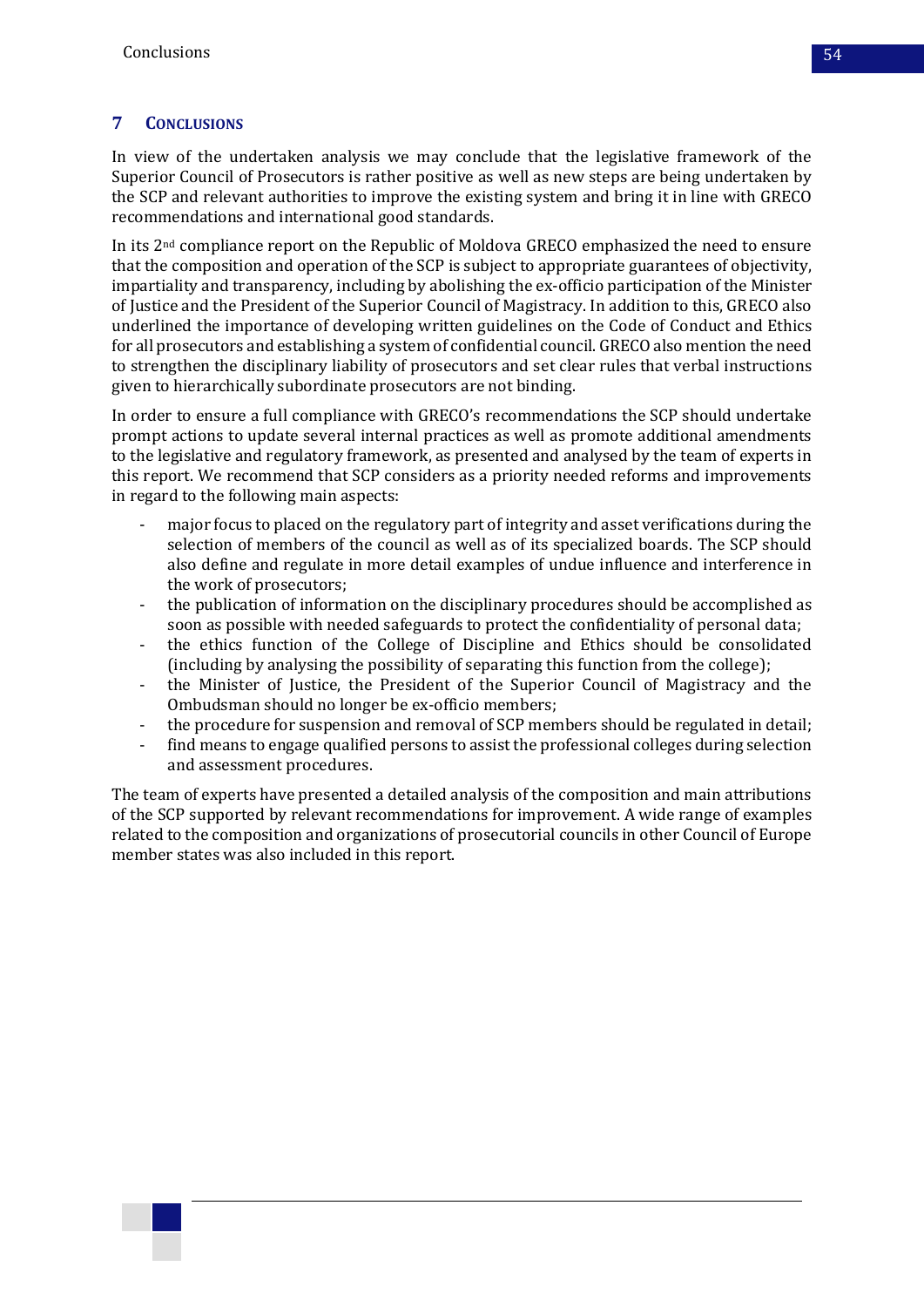# <span id="page-53-0"></span>**7 CONCLUSIONS**

In view of the undertaken analysis we may conclude that the legislative framework of the Superior Council of Prosecutors is rather positive as well as new steps are being undertaken by the SCP and relevant authorities to improve the existing system and bring it in line with GRECO recommendations and international good standards.

In its 2nd compliance report on the Republic of Moldova GRECO emphasized the need to ensure that the composition and operation of the SCP is subject to appropriate guarantees of objectivity, impartiality and transparency, including by abolishing the ex-officio participation of the Minister of Justice and the President of the Superior Council of Magistracy. In addition to this, GRECO also underlined the importance of developing written guidelines on the Code of Conduct and Ethics for all prosecutors and establishing a system of confidential council. GRECO also mention the need to strengthen the disciplinary liability of prosecutors and set clear rules that verbal instructions given to hierarchically subordinate prosecutors are not binding.

In order to ensure a full compliance with GRECO's recommendations the SCP should undertake prompt actions to update several internal practices as well as promote additional amendments to the legislative and regulatory framework, as presented and analysed by the team of experts in this report. We recommend that SCP considers as a priority needed reforms and improvements in regard to the following main aspects:

- major focus to placed on the regulatory part of integrity and asset verifications during the selection of members of the council as well as of its specialized boards. The SCP should also define and regulate in more detail examples of undue influence and interference in the work of prosecutors;
- the publication of information on the disciplinary procedures should be accomplished as soon as possible with needed safeguards to protect the confidentiality of personal data;
- the ethics function of the College of Discipline and Ethics should be consolidated (including by analysing the possibility of separating this function from the college);
- the Minister of Justice, the President of the Superior Council of Magistracy and the Ombudsman should no longer be ex-officio members;
- the procedure for suspension and removal of SCP members should be regulated in detail;
- find means to engage qualified persons to assist the professional colleges during selection and assessment procedures.

The team of experts have presented a detailed analysis of the composition and main attributions of the SCP supported by relevant recommendations for improvement. A wide range of examples related to the composition and organizations of prosecutorial councils in other Council of Europe member states was also included in this report.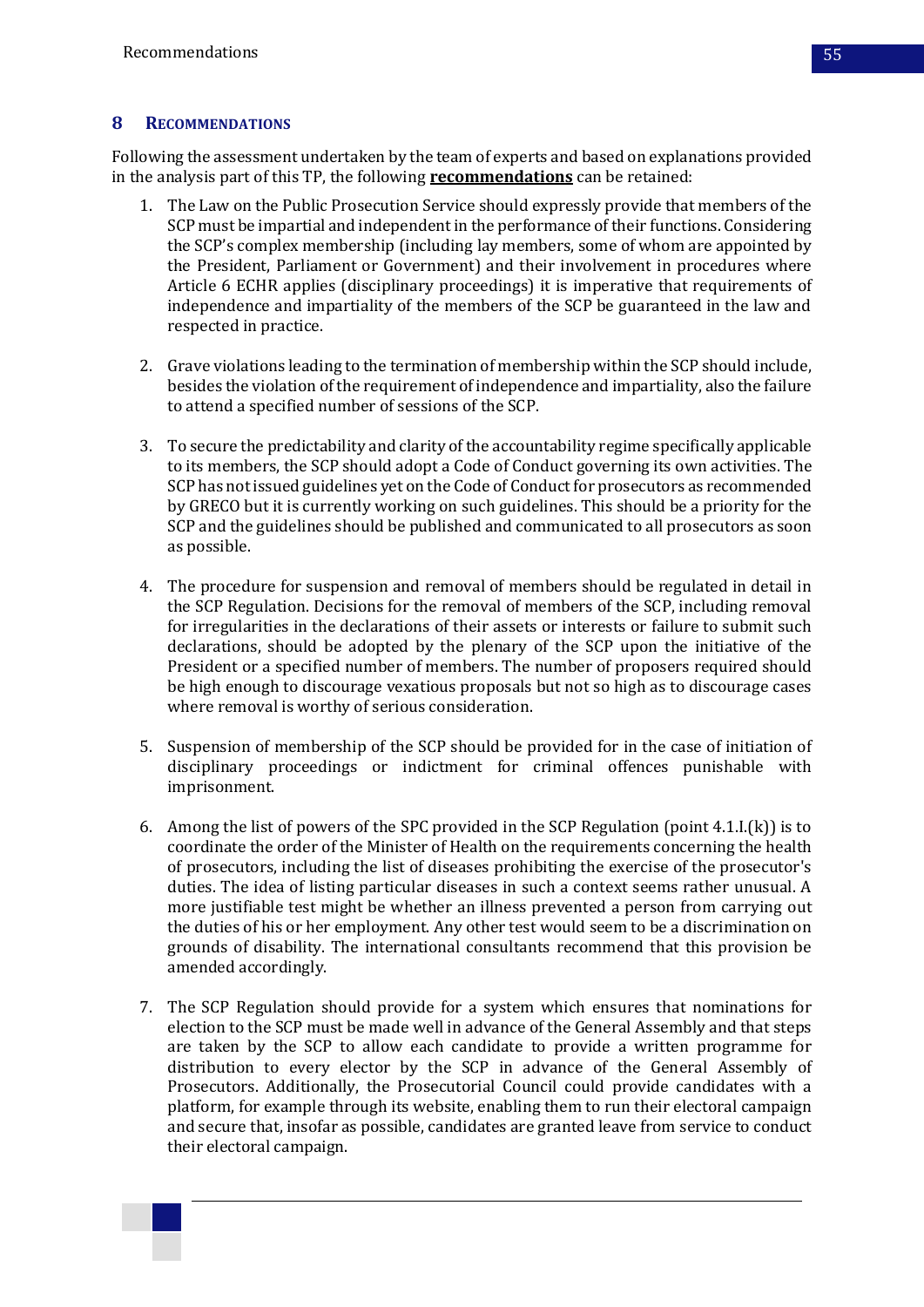## <span id="page-54-0"></span>**8 RECOMMENDATIONS**

Following the assessment undertaken by the team of experts and based on explanations provided in the analysis part of this TP, the following **recommendations** can be retained:

- 1. The Law on the Public Prosecution Service should expressly provide that members of the SCP must be impartial and independent in the performance of their functions. Considering the SCP's complex membership (including lay members, some of whom are appointed by the President, Parliament or Government) and their involvement in procedures where Article 6 ECHR applies (disciplinary proceedings) it is imperative that requirements of independence and impartiality of the members of the SCP be guaranteed in the law and respected in practice.
- 2. Grave violations leading to the termination of membership within the SCP should include, besides the violation of the requirement of independence and impartiality, also the failure to attend a specified number of sessions of the SCP.
- 3. To secure the predictability and clarity of the accountability regime specifically applicable to its members, the SCP should adopt a Code of Conduct governing its own activities. The SCP has not issued guidelines yet on the Code of Conduct for prosecutors as recommended by GRECO but it is currently working on such guidelines. This should be a priority for the SCP and the guidelines should be published and communicated to all prosecutors as soon as possible.
- 4. The procedure for suspension and removal of members should be regulated in detail in the SCP Regulation. Decisions for the removal of members of the SCP, including removal for irregularities in the declarations of their assets or interests or failure to submit such declarations, should be adopted by the plenary of the SCP upon the initiative of the President or a specified number of members. The number of proposers required should be high enough to discourage vexatious proposals but not so high as to discourage cases where removal is worthy of serious consideration.
- 5. Suspension of membership of the SCP should be provided for in the case of initiation of disciplinary proceedings or indictment for criminal offences punishable with imprisonment.
- 6. Among the list of powers of the SPC provided in the SCP Regulation (point 4.1.I.(k)) is to coordinate the order of the Minister of Health on the requirements concerning the health of prosecutors, including the list of diseases prohibiting the exercise of the prosecutor's duties. The idea of listing particular diseases in such a context seems rather unusual. A more justifiable test might be whether an illness prevented a person from carrying out the duties of his or her employment. Any other test would seem to be a discrimination on grounds of disability. The international consultants recommend that this provision be amended accordingly.
- 7. The SCP Regulation should provide for a system which ensures that nominations for election to the SCP must be made well in advance of the General Assembly and that steps are taken by the SCP to allow each candidate to provide a written programme for distribution to every elector by the SCP in advance of the General Assembly of Prosecutors. Additionally, the Prosecutorial Council could provide candidates with a platform, for example through its website, enabling them to run their electoral campaign and secure that, insofar as possible, candidates are granted leave from service to conduct their electoral campaign.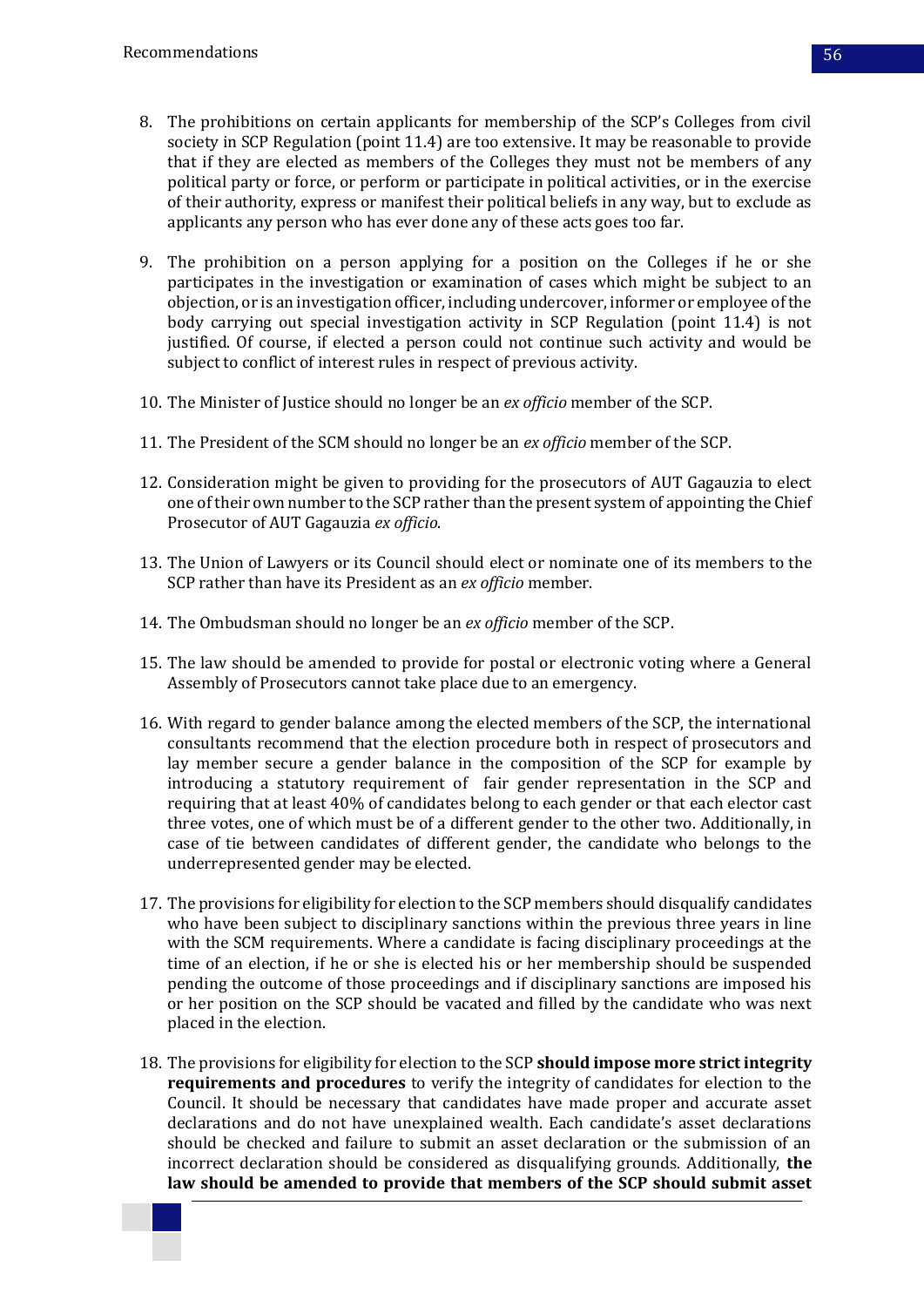- 8. The prohibitions on certain applicants for membership of the SCP's Colleges from civil society in SCP Regulation (point 11.4) are too extensive. It may be reasonable to provide that if they are elected as members of the Colleges they must not be members of any political party or force, or perform or participate in political activities, or in the exercise of their authority, express or manifest their political beliefs in any way, but to exclude as applicants any person who has ever done any of these acts goes too far.
- 9. The prohibition on a person applying for a position on the Colleges if he or she participates in the investigation or examination of cases which might be subject to an objection, or is an investigation officer, including undercover, informer or employee of the body carrying out special investigation activity in SCP Regulation (point 11.4) is not justified. Of course, if elected a person could not continue such activity and would be subject to conflict of interest rules in respect of previous activity.
- 10. The Minister of Justice should no longer be an *ex officio* member of the SCP.
- 11. The President of the SCM should no longer be an *ex officio* member of the SCP.
- 12. Consideration might be given to providing for the prosecutors of AUT Gagauzia to elect one of their own number to the SCP rather than the present system of appointing the Chief Prosecutor of AUT Gagauzia *ex officio*.
- 13. The Union of Lawyers or its Council should elect or nominate one of its members to the SCP rather than have its President as an *ex officio* member.
- 14. The Ombudsman should no longer be an *ex officio* member of the SCP.
- 15. The law should be amended to provide for postal or electronic voting where a General Assembly of Prosecutors cannot take place due to an emergency.
- 16. With regard to gender balance among the elected members of the SCP, the international consultants recommend that the election procedure both in respect of prosecutors and lay member secure a gender balance in the composition of the SCP for example by introducing a statutory requirement of fair gender representation in the SCP and requiring that at least 40% of candidates belong to each gender or that each elector cast three votes, one of which must be of a different gender to the other two. Additionally, in case of tie between candidates of different gender, the candidate who belongs to the underrepresented gender may be elected.
- 17. The provisions for eligibility for election to the SCP members should disqualify candidates who have been subject to disciplinary sanctions within the previous three years in line with the SCM requirements. Where a candidate is facing disciplinary proceedings at the time of an election, if he or she is elected his or her membership should be suspended pending the outcome of those proceedings and if disciplinary sanctions are imposed his or her position on the SCP should be vacated and filled by the candidate who was next placed in the election.
- 18. The provisions for eligibility for election to the SCP **should impose more strict integrity requirements and procedures** to verify the integrity of candidates for election to the Council. It should be necessary that candidates have made proper and accurate asset declarations and do not have unexplained wealth. Each candidate's asset declarations should be checked and failure to submit an asset declaration or the submission of an incorrect declaration should be considered as disqualifying grounds. Additionally, **the law should be amended to provide that members of the SCP should submit asset**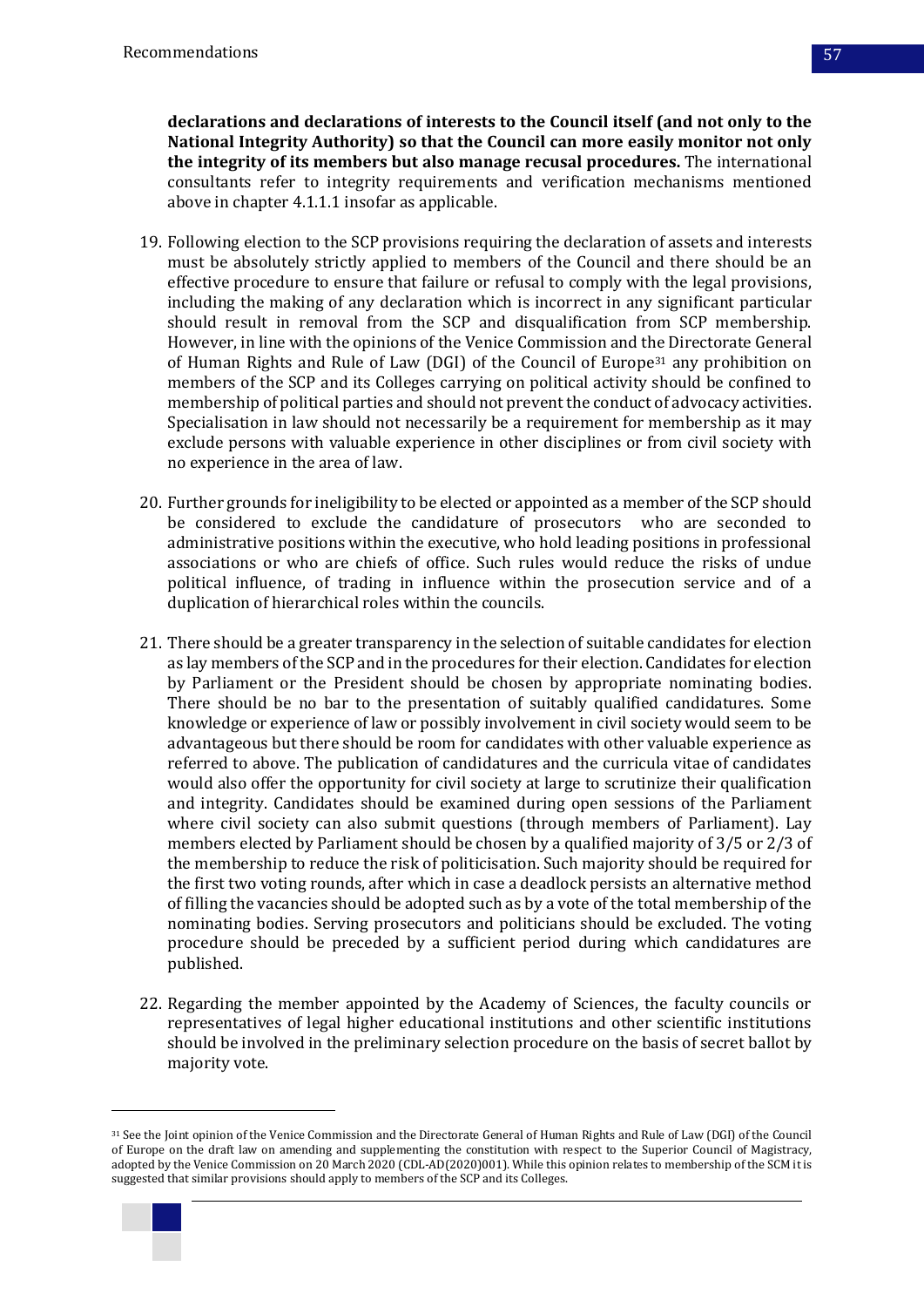**declarations and declarations of interests to the Council itself (and not only to the National Integrity Authority) so that the Council can more easily monitor not only the integrity of its members but also manage recusal procedures.** The international consultants refer to integrity requirements and verification mechanisms mentioned above in chapter 4.1.1.1 insofar as applicable.

- 19. Following election to the SCP provisions requiring the declaration of assets and interests must be absolutely strictly applied to members of the Council and there should be an effective procedure to ensure that failure or refusal to comply with the legal provisions, including the making of any declaration which is incorrect in any significant particular should result in removal from the SCP and disqualification from SCP membership. However, in line with the opinions of the Venice Commission and the Directorate General of Human Rights and Rule of Law (DGI) of the Council of Europe<sup>31</sup> any prohibition on members of the SCP and its Colleges carrying on political activity should be confined to membership of political parties and should not prevent the conduct of advocacy activities. Specialisation in law should not necessarily be a requirement for membership as it may exclude persons with valuable experience in other disciplines or from civil society with no experience in the area of law.
- 20. Further grounds for ineligibility to be elected or appointed as a member of the SCP should be considered to exclude the candidature of prosecutors who are seconded to administrative positions within the executive, who hold leading positions in professional associations or who are chiefs of office. Such rules would reduce the risks of undue political influence, of trading in influence within the prosecution service and of a duplication of hierarchical roles within the councils.
- 21. There should be a greater transparency in the selection of suitable candidates for election as lay members of the SCP and in the procedures for their election. Candidates for election by Parliament or the President should be chosen by appropriate nominating bodies. There should be no bar to the presentation of suitably qualified candidatures. Some knowledge or experience of law or possibly involvement in civil society would seem to be advantageous but there should be room for candidates with other valuable experience as referred to above. The publication of candidatures and the curricula vitae of candidates would also offer the opportunity for civil society at large to scrutinize their qualification and integrity. Candidates should be examined during open sessions of the Parliament where civil society can also submit questions (through members of Parliament). Lay members elected by Parliament should be chosen by a qualified majority of 3/5 or 2/3 of the membership to reduce the risk of politicisation. Such majority should be required for the first two voting rounds, after which in case a deadlock persists an alternative method of filling the vacancies should be adopted such as by a vote of the total membership of the nominating bodies. Serving prosecutors and politicians should be excluded. The voting procedure should be preceded by a sufficient period during which candidatures are published.
- 22. Regarding the member appointed by the Academy of Sciences, the faculty councils or representatives of legal higher educational institutions and other scientific institutions should be involved in the preliminary selection procedure on the basis of secret ballot by majority vote.

<sup>31</sup> See the Joint opinion of the Venice Commission and the Directorate General of Human Rights and Rule of Law (DGI) of the Council of Europe on the draft law on amending and supplementing the constitution with respect to the Superior Council of Magistracy, adopted by the Venice Commission on 20 March 2020 (CDL-AD(2020)001). While this opinion relates to membership of the SCM it is suggested that similar provisions should apply to members of the SCP and its Colleges.

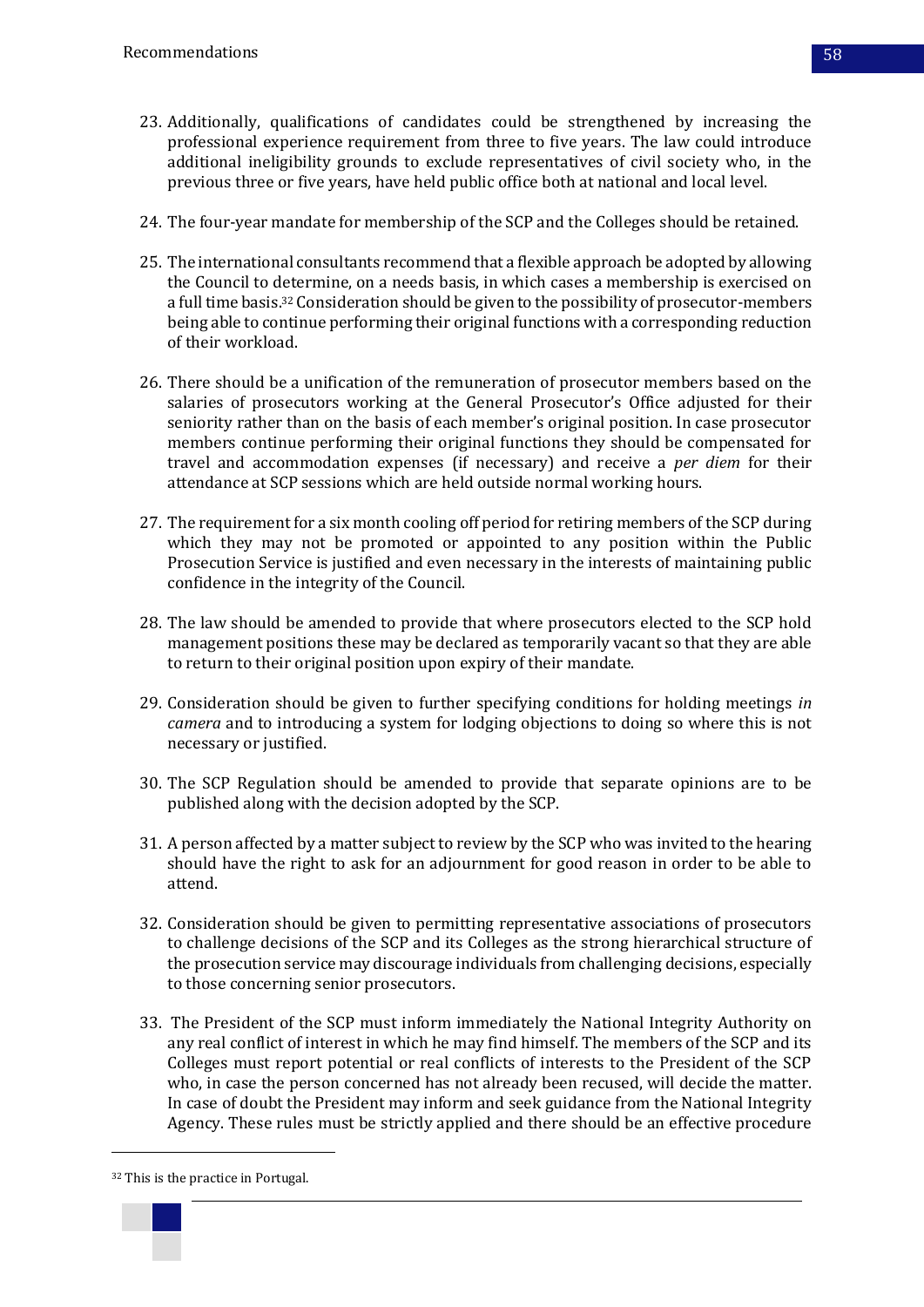- 23. Additionally, qualifications of candidates could be strengthened by increasing the professional experience requirement from three to five years. The law could introduce additional ineligibility grounds to exclude representatives of civil society who, in the previous three or five years, have held public office both at national and local level.
- 24. The four-year mandate for membership of the SCP and the Colleges should be retained.
- 25. The international consultants recommend that a flexible approach be adopted by allowing the Council to determine, on a needs basis, in which cases a membership is exercised on a full time basis.<sup>32</sup> Consideration should be given to the possibility of prosecutor-members being able to continue performing their original functions with a corresponding reduction of their workload.
- 26. There should be a unification of the remuneration of prosecutor members based on the salaries of prosecutors working at the General Prosecutor's Office adjusted for their seniority rather than on the basis of each member's original position. In case prosecutor members continue performing their original functions they should be compensated for travel and accommodation expenses (if necessary) and receive a *per diem* for their attendance at SCP sessions which are held outside normal working hours.
- 27. The requirement for a six month cooling off period for retiring members of the SCP during which they may not be promoted or appointed to any position within the Public Prosecution Service is justified and even necessary in the interests of maintaining public confidence in the integrity of the Council.
- 28. The law should be amended to provide that where prosecutors elected to the SCP hold management positions these may be declared as temporarily vacant so that they are able to return to their original position upon expiry of their mandate.
- 29. Consideration should be given to further specifying conditions for holding meetings *in camera* and to introducing a system for lodging objections to doing so where this is not necessary or justified.
- 30. The SCP Regulation should be amended to provide that separate opinions are to be published along with the decision adopted by the SCP.
- 31. A person affected by a matter subject to review by the SCP who was invited to the hearing should have the right to ask for an adjournment for good reason in order to be able to attend.
- 32. Consideration should be given to permitting representative associations of prosecutors to challenge decisions of the SCP and its Colleges as the strong hierarchical structure of the prosecution service may discourage individuals from challenging decisions, especially to those concerning senior prosecutors.
- 33. The President of the SCP must inform immediately the National Integrity Authority on any real conflict of interest in which he may find himself. The members of the SCP and its Colleges must report potential or real conflicts of interests to the President of the SCP who, in case the person concerned has not already been recused, will decide the matter. In case of doubt the President may inform and seek guidance from the National Integrity Agency. These rules must be strictly applied and there should be an effective procedure

<sup>&</sup>lt;sup>32</sup> This is the practice in Portugal.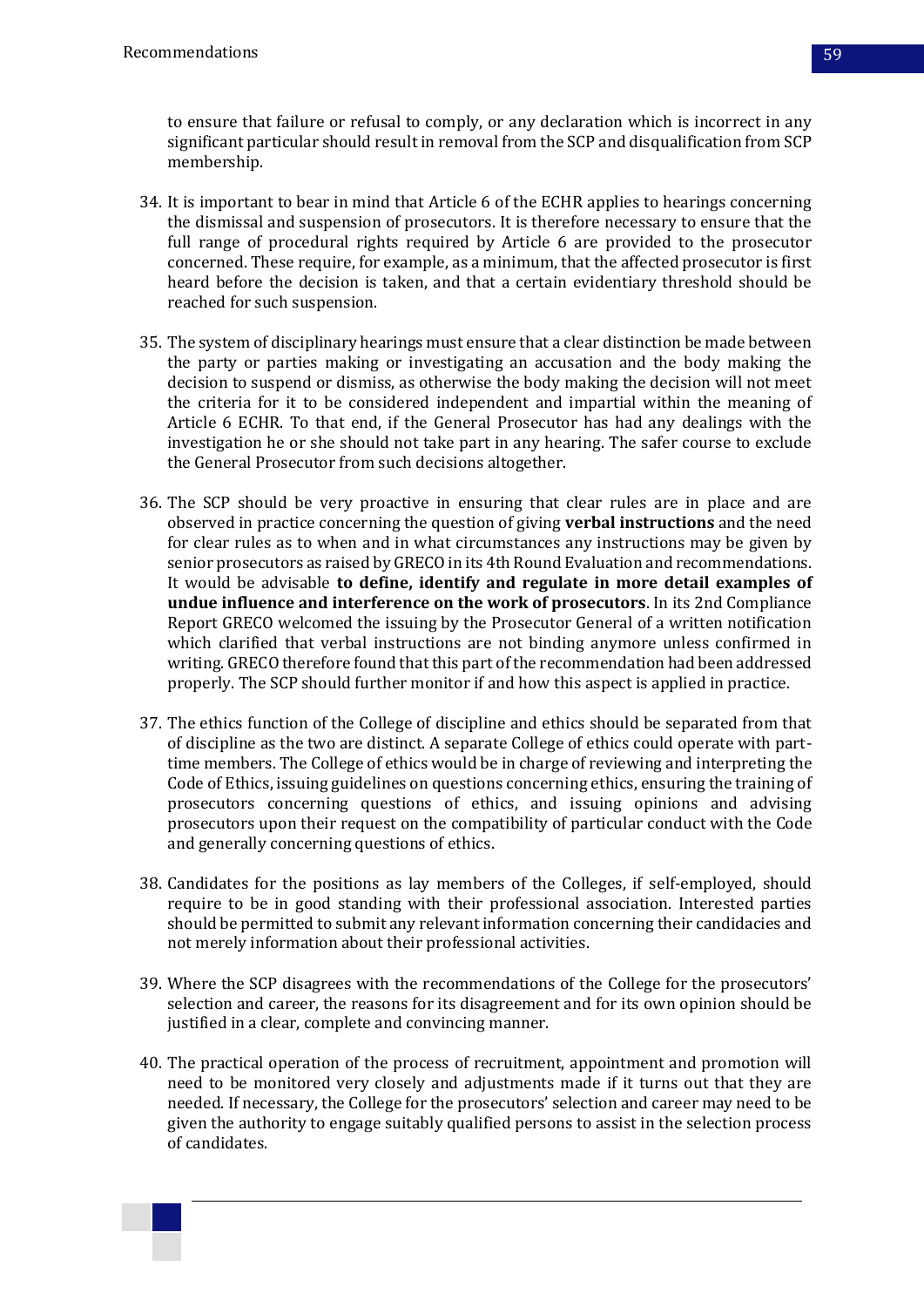to ensure that failure or refusal to comply, or any declaration which is incorrect in any significant particular should result in removal from the SCP and disqualification from SCP membership.

- 34. It is important to bear in mind that Article 6 of the ECHR applies to hearings concerning the dismissal and suspension of prosecutors. It is therefore necessary to ensure that the full range of procedural rights required by Article 6 are provided to the prosecutor concerned. These require, for example, as a minimum, that the affected prosecutor is first heard before the decision is taken, and that a certain evidentiary threshold should be reached for such suspension.
- 35. The system of disciplinary hearings must ensure that a clear distinction be made between the party or parties making or investigating an accusation and the body making the decision to suspend or dismiss, as otherwise the body making the decision will not meet the criteria for it to be considered independent and impartial within the meaning of Article 6 ECHR. To that end, if the General Prosecutor has had any dealings with the investigation he or she should not take part in any hearing. The safer course to exclude the General Prosecutor from such decisions altogether.
- 36. The SCP should be very proactive in ensuring that clear rules are in place and are observed in practice concerning the question of giving **verbal instructions** and the need for clear rules as to when and in what circumstances any instructions may be given by senior prosecutors as raised by GRECO in its 4th Round Evaluation and recommendations. It would be advisable **to define, identify and regulate in more detail examples of undue influence and interference on the work of prosecutors**. In its 2nd Compliance Report GRECO welcomed the issuing by the Prosecutor General of a written notification which clarified that verbal instructions are not binding anymore unless confirmed in writing. GRECO therefore found that this part of the recommendation had been addressed properly. The SCP should further monitor if and how this aspect is applied in practice.
- 37. The ethics function of the College of discipline and ethics should be separated from that of discipline as the two are distinct. A separate College of ethics could operate with parttime members. The College of ethics would be in charge of reviewing and interpreting the Code of Ethics, issuing guidelines on questions concerning ethics, ensuring the training of prosecutors concerning questions of ethics, and issuing opinions and advising prosecutors upon their request on the compatibility of particular conduct with the Code and generally concerning questions of ethics.
- 38. Candidates for the positions as lay members of the Colleges, if self-employed, should require to be in good standing with their professional association. Interested parties should be permitted to submit any relevant information concerning their candidacies and not merely information about their professional activities.
- 39. Where the SCP disagrees with the recommendations of the College for the prosecutors' selection and career, the reasons for its disagreement and for its own opinion should be justified in a clear, complete and convincing manner.
- 40. The practical operation of the process of recruitment, appointment and promotion will need to be monitored very closely and adjustments made if it turns out that they are needed. If necessary, the College for the prosecutors' selection and career may need to be given the authority to engage suitably qualified persons to assist in the selection process of candidates.